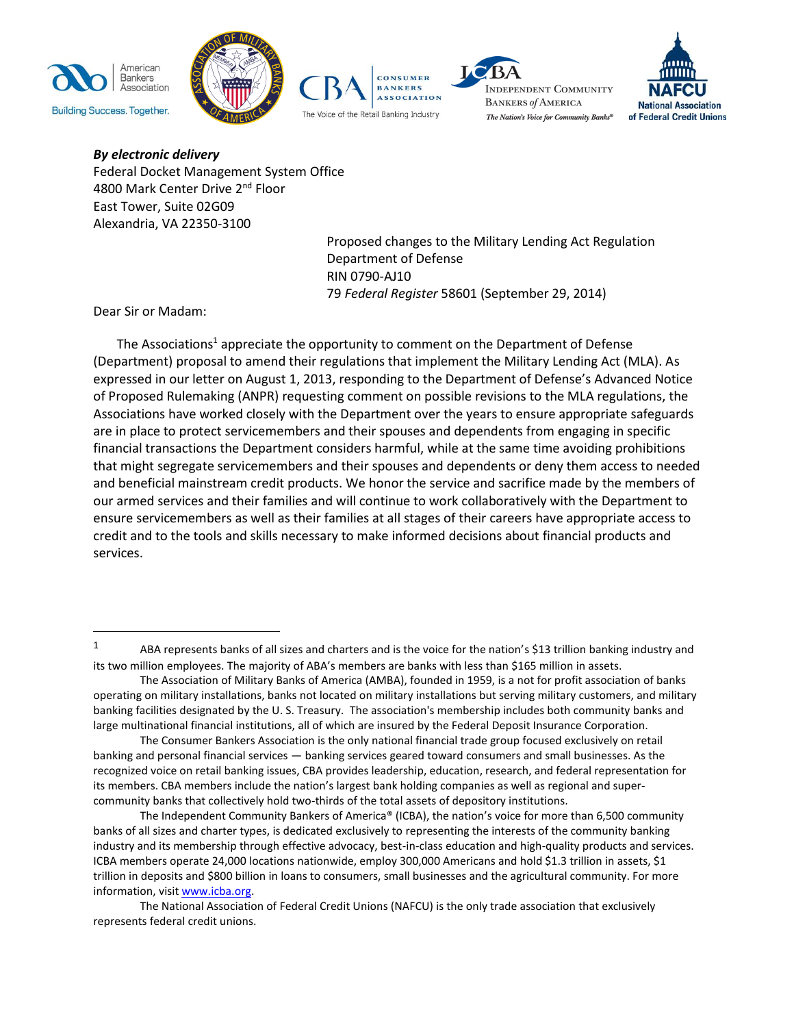









*By electronic delivery* Federal Docket Management System Office 4800 Mark Center Drive 2nd Floor East Tower, Suite 02G09 Alexandria, VA 22350-3100

> Proposed changes to the Military Lending Act Regulation Department of Defense RIN 0790-AJ10 79 *Federal Register* 58601 (September 29, 2014)

Dear Sir or Madam:

 $\overline{a}$ 

The Associations<sup>1</sup> appreciate the opportunity to comment on the Department of Defense (Department) proposal to amend their regulations that implement the Military Lending Act (MLA). As expressed in our letter on August 1, 2013, responding to the Department of Defense's Advanced Notice of Proposed Rulemaking (ANPR) requesting comment on possible revisions to the MLA regulations, the Associations have worked closely with the Department over the years to ensure appropriate safeguards are in place to protect servicemembers and their spouses and dependents from engaging in specific financial transactions the Department considers harmful, while at the same time avoiding prohibitions that might segregate servicemembers and their spouses and dependents or deny them access to needed and beneficial mainstream credit products. We honor the service and sacrifice made by the members of our armed services and their families and will continue to work collaboratively with the Department to ensure servicemembers as well as their families at all stages of their careers have appropriate access to credit and to the tools and skills necessary to make informed decisions about financial products and services.

<sup>&</sup>lt;sup>1</sup> ABA represents banks of all sizes and charters and is the voice for the nation's \$13 trillion banking industry and its two million employees. The majority of ABA's members are banks with less than \$165 million in assets.

The Association of Military Banks of America (AMBA), founded in 1959, is a not for profit association of banks operating on military installations, banks not located on military installations but serving military customers, and military banking facilities designated by the U. S. Treasury. The association's membership includes both community banks and large multinational financial institutions, all of which are insured by the Federal Deposit Insurance Corporation.

The Consumer Bankers Association is the only national financial trade group focused exclusively on retail banking and personal financial services — banking services geared toward consumers and small businesses. As the recognized voice on retail banking issues, CBA provides leadership, education, research, and federal representation for its members. CBA members include the nation's largest bank holding companies as well as regional and supercommunity banks that collectively hold two-thirds of the total assets of depository institutions.

The Independent Community Bankers of America® (ICBA), the nation's voice for more than 6,500 community banks of all sizes and charter types, is dedicated exclusively to representing the interests of the community banking industry and its membership through effective advocacy, best-in-class education and high-quality products and services. ICBA members operate 24,000 locations nationwide, employ 300,000 Americans and hold \$1.3 trillion in assets, \$1 trillion in deposits and \$800 billion in loans to consumers, small businesses and the agricultural community. For more information, visi[t www.icba.org.](http://www.icba.org/)

The National Association of Federal Credit Unions (NAFCU) is the only trade association that exclusively represents federal credit unions.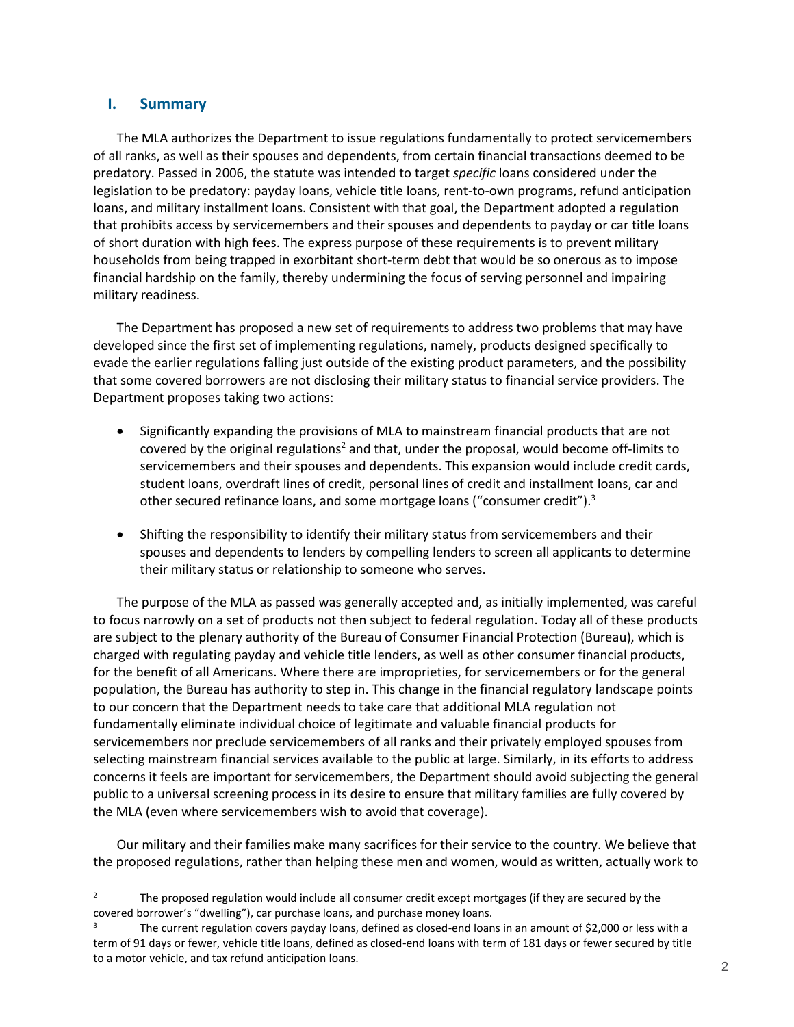### <span id="page-1-0"></span>**I. Summary**

 $\overline{a}$ 

The MLA authorizes the Department to issue regulations fundamentally to protect servicemembers of all ranks, as well as their spouses and dependents, from certain financial transactions deemed to be predatory. Passed in 2006, the statute was intended to target *specific* loans considered under the legislation to be predatory: payday loans, vehicle title loans, rent-to-own programs, refund anticipation loans, and military installment loans. Consistent with that goal, the Department adopted a regulation that prohibits access by servicemembers and their spouses and dependents to payday or car title loans of short duration with high fees. The express purpose of these requirements is to prevent military households from being trapped in exorbitant short-term debt that would be so onerous as to impose financial hardship on the family, thereby undermining the focus of serving personnel and impairing military readiness.

The Department has proposed a new set of requirements to address two problems that may have developed since the first set of implementing regulations, namely, products designed specifically to evade the earlier regulations falling just outside of the existing product parameters, and the possibility that some covered borrowers are not disclosing their military status to financial service providers. The Department proposes taking two actions:

- Significantly expanding the provisions of MLA to mainstream financial products that are not covered by the original regulations<sup>2</sup> and that, under the proposal, would become off-limits to servicemembers and their spouses and dependents. This expansion would include credit cards, student loans, overdraft lines of credit, personal lines of credit and installment loans, car and other secured refinance loans, and some mortgage loans ("consumer credit"). $3$
- Shifting the responsibility to identify their military status from servicemembers and their spouses and dependents to lenders by compelling lenders to screen all applicants to determine their military status or relationship to someone who serves.

The purpose of the MLA as passed was generally accepted and, as initially implemented, was careful to focus narrowly on a set of products not then subject to federal regulation. Today all of these products are subject to the plenary authority of the Bureau of Consumer Financial Protection (Bureau), which is charged with regulating payday and vehicle title lenders, as well as other consumer financial products, for the benefit of all Americans. Where there are improprieties, for servicemembers or for the general population, the Bureau has authority to step in. This change in the financial regulatory landscape points to our concern that the Department needs to take care that additional MLA regulation not fundamentally eliminate individual choice of legitimate and valuable financial products for servicemembers nor preclude servicemembers of all ranks and their privately employed spouses from selecting mainstream financial services available to the public at large. Similarly, in its efforts to address concerns it feels are important for servicemembers, the Department should avoid subjecting the general public to a universal screening process in its desire to ensure that military families are fully covered by the MLA (even where servicemembers wish to avoid that coverage).

Our military and their families make many sacrifices for their service to the country. We believe that the proposed regulations, rather than helping these men and women, would as written, actually work to

<sup>&</sup>lt;sup>2</sup> The proposed regulation would include all consumer credit except mortgages (if they are secured by the covered borrower's "dwelling"), car purchase loans, and purchase money loans.

The current regulation covers payday loans, defined as closed-end loans in an amount of \$2,000 or less with a term of 91 days or fewer, vehicle title loans, defined as closed-end loans with term of 181 days or fewer secured by title to a motor vehicle, and tax refund anticipation loans.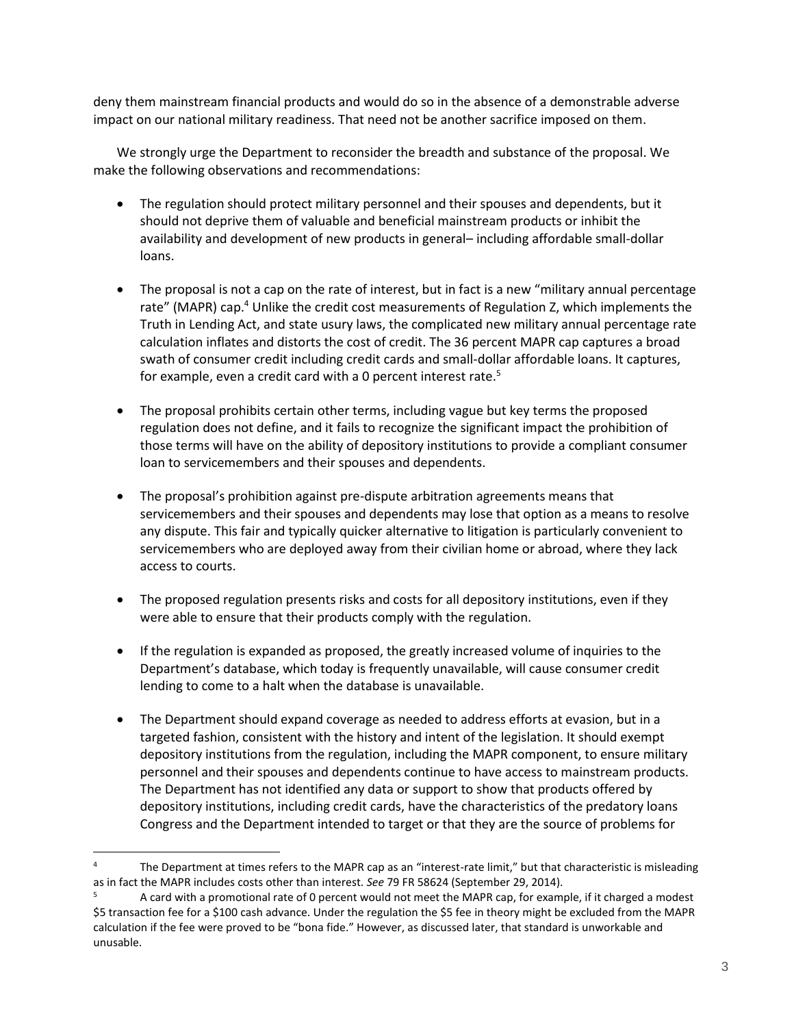deny them mainstream financial products and would do so in the absence of a demonstrable adverse impact on our national military readiness. That need not be another sacrifice imposed on them.

We strongly urge the Department to reconsider the breadth and substance of the proposal. We make the following observations and recommendations:

- The regulation should protect military personnel and their spouses and dependents, but it should not deprive them of valuable and beneficial mainstream products or inhibit the availability and development of new products in general– including affordable small-dollar loans.
- The proposal is not a cap on the rate of interest, but in fact is a new "military annual percentage rate" (MAPR) cap.<sup>4</sup> Unlike the credit cost measurements of Regulation Z, which implements the Truth in Lending Act, and state usury laws, the complicated new military annual percentage rate calculation inflates and distorts the cost of credit. The 36 percent MAPR cap captures a broad swath of consumer credit including credit cards and small-dollar affordable loans. It captures, for example, even a credit card with a 0 percent interest rate.<sup>5</sup>
- The proposal prohibits certain other terms, including vague but key terms the proposed regulation does not define, and it fails to recognize the significant impact the prohibition of those terms will have on the ability of depository institutions to provide a compliant consumer loan to servicemembers and their spouses and dependents.
- The proposal's prohibition against pre-dispute arbitration agreements means that servicemembers and their spouses and dependents may lose that option as a means to resolve any dispute. This fair and typically quicker alternative to litigation is particularly convenient to servicemembers who are deployed away from their civilian home or abroad, where they lack access to courts.
- The proposed regulation presents risks and costs for all depository institutions, even if they were able to ensure that their products comply with the regulation.
- If the regulation is expanded as proposed, the greatly increased volume of inquiries to the Department's database, which today is frequently unavailable, will cause consumer credit lending to come to a halt when the database is unavailable.
- The Department should expand coverage as needed to address efforts at evasion, but in a targeted fashion, consistent with the history and intent of the legislation. It should exempt depository institutions from the regulation, including the MAPR component, to ensure military personnel and their spouses and dependents continue to have access to mainstream products. The Department has not identified any data or support to show that products offered by depository institutions, including credit cards, have the characteristics of the predatory loans Congress and the Department intended to target or that they are the source of problems for

<sup>&</sup>lt;sup>4</sup> The Department at times refers to the MAPR cap as an "interest-rate limit," but that characteristic is misleading as in fact the MAPR includes costs other than interest. *See* 79 FR 58624 (September 29, 2014).

<sup>5</sup> A card with a promotional rate of 0 percent would not meet the MAPR cap, for example, if it charged a modest \$5 transaction fee for a \$100 cash advance. Under the regulation the \$5 fee in theory might be excluded from the MAPR calculation if the fee were proved to be "bona fide." However, as discussed later, that standard is unworkable and unusable.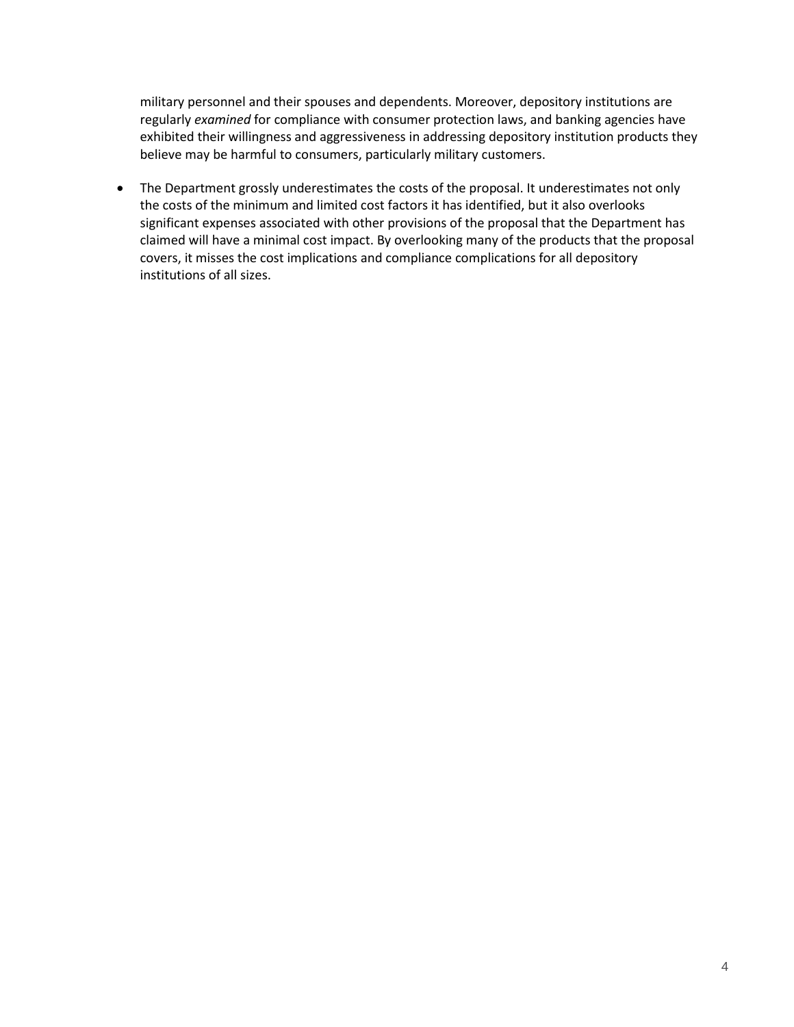military personnel and their spouses and dependents. Moreover, depository institutions are regularly *examined* for compliance with consumer protection laws, and banking agencies have exhibited their willingness and aggressiveness in addressing depository institution products they believe may be harmful to consumers, particularly military customers.

 The Department grossly underestimates the costs of the proposal. It underestimates not only the costs of the minimum and limited cost factors it has identified, but it also overlooks significant expenses associated with other provisions of the proposal that the Department has claimed will have a minimal cost impact. By overlooking many of the products that the proposal covers, it misses the cost implications and compliance complications for all depository institutions of all sizes.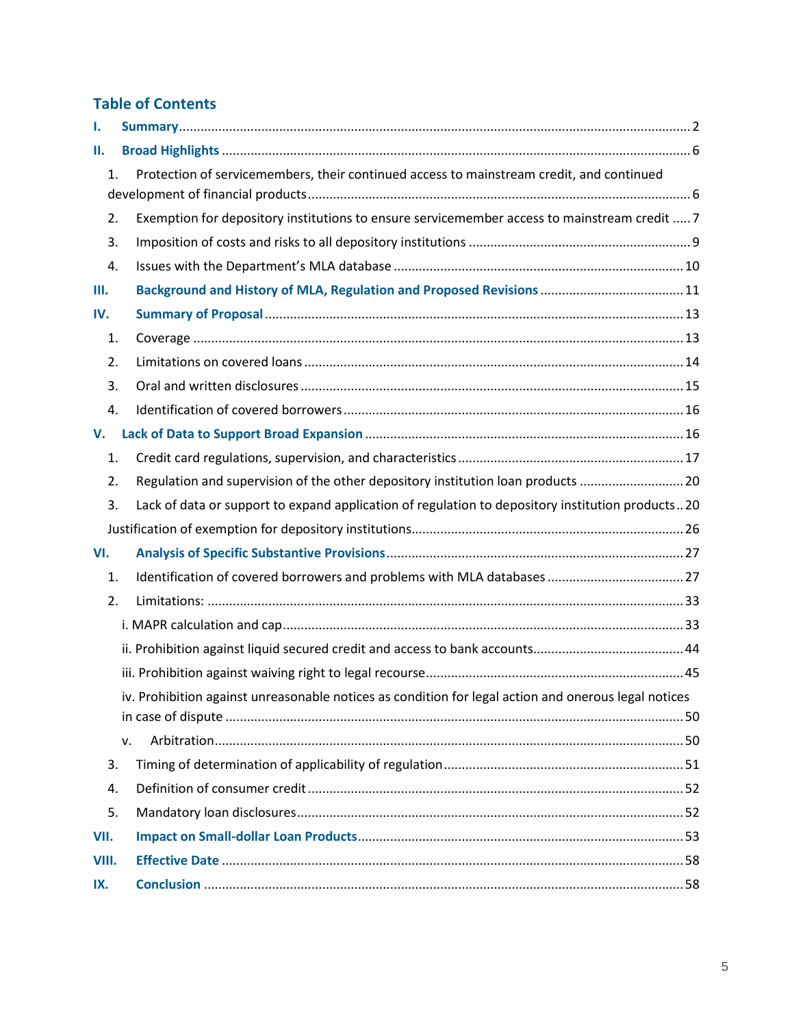# **Table of Contents**

| Ι.                                                                                                         |                                                                                                      |  |  |
|------------------------------------------------------------------------------------------------------------|------------------------------------------------------------------------------------------------------|--|--|
| Н.                                                                                                         |                                                                                                      |  |  |
| Protection of servicemembers, their continued access to mainstream credit, and continued<br>$\mathbf{1}$ . |                                                                                                      |  |  |
| 2.                                                                                                         | Exemption for depository institutions to ensure servicemember access to mainstream credit  7         |  |  |
| 3.                                                                                                         |                                                                                                      |  |  |
| 4.                                                                                                         |                                                                                                      |  |  |
| Ш.                                                                                                         |                                                                                                      |  |  |
| IV.                                                                                                        |                                                                                                      |  |  |
| 1.                                                                                                         |                                                                                                      |  |  |
| 2.                                                                                                         |                                                                                                      |  |  |
| 3.                                                                                                         |                                                                                                      |  |  |
| 4.                                                                                                         |                                                                                                      |  |  |
| V.                                                                                                         |                                                                                                      |  |  |
| 1.                                                                                                         |                                                                                                      |  |  |
| 2.                                                                                                         | Regulation and supervision of the other depository institution loan products  20                     |  |  |
| 3.                                                                                                         | Lack of data or support to expand application of regulation to depository institution products20     |  |  |
|                                                                                                            |                                                                                                      |  |  |
| VI.                                                                                                        |                                                                                                      |  |  |
| 1.                                                                                                         |                                                                                                      |  |  |
| 2.                                                                                                         |                                                                                                      |  |  |
|                                                                                                            |                                                                                                      |  |  |
|                                                                                                            |                                                                                                      |  |  |
|                                                                                                            |                                                                                                      |  |  |
|                                                                                                            | iv. Prohibition against unreasonable notices as condition for legal action and onerous legal notices |  |  |
|                                                                                                            |                                                                                                      |  |  |
|                                                                                                            | v.                                                                                                   |  |  |
| 3.                                                                                                         |                                                                                                      |  |  |
| 4.                                                                                                         |                                                                                                      |  |  |
| 5.                                                                                                         |                                                                                                      |  |  |
| VII.                                                                                                       |                                                                                                      |  |  |
| VIII.                                                                                                      |                                                                                                      |  |  |
| IX.                                                                                                        |                                                                                                      |  |  |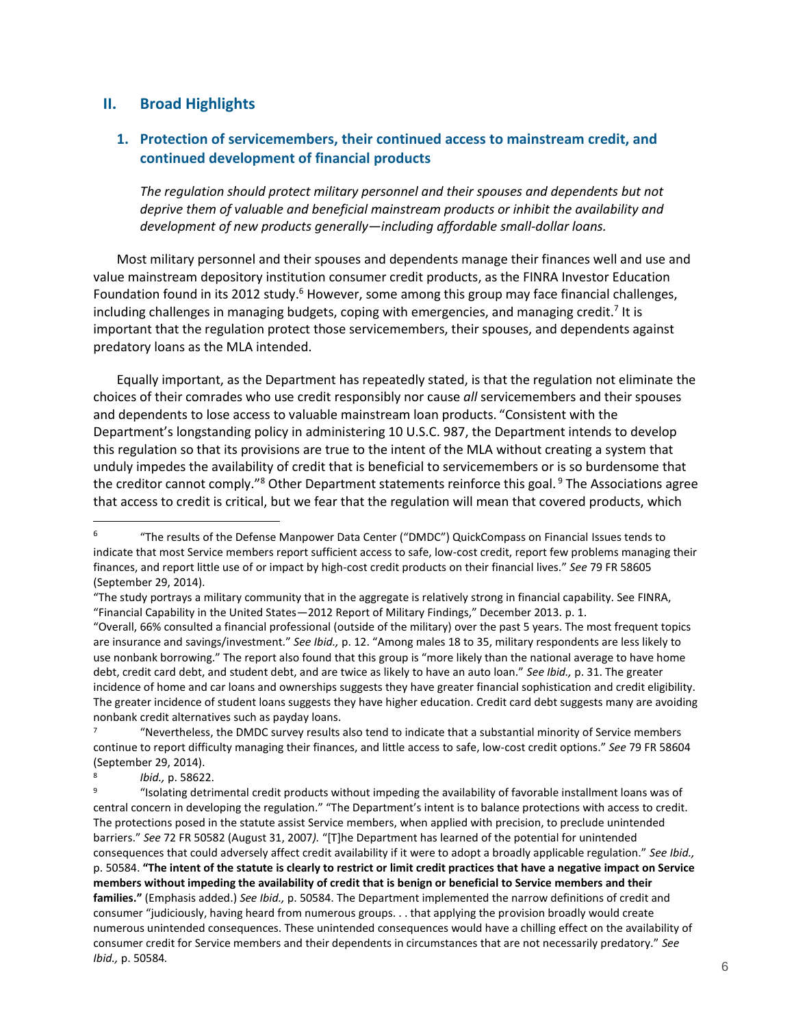### <span id="page-5-0"></span>**II. Broad Highlights**

## <span id="page-5-1"></span>**1. Protection of servicemembers, their continued access to mainstream credit, and continued development of financial products**

*The regulation should protect military personnel and their spouses and dependents but not deprive them of valuable and beneficial mainstream products or inhibit the availability and development of new products generally—including affordable small-dollar loans.*

Most military personnel and their spouses and dependents manage their finances well and use and value mainstream depository institution consumer credit products, as the FINRA Investor Education Foundation found in its 2012 study.<sup>6</sup> However, some among this group may face financial challenges, including challenges in managing budgets, coping with emergencies, and managing credit.<sup>7</sup> It is important that the regulation protect those servicemembers, their spouses, and dependents against predatory loans as the MLA intended.

Equally important, as the Department has repeatedly stated, is that the regulation not eliminate the choices of their comrades who use credit responsibly nor cause *all* servicemembers and their spouses and dependents to lose access to valuable mainstream loan products. "Consistent with the Department's longstanding policy in administering 10 U.S.C. 987, the Department intends to develop this regulation so that its provisions are true to the intent of the MLA without creating a system that unduly impedes the availability of credit that is beneficial to servicemembers or is so burdensome that the creditor cannot comply."<sup>8</sup> Other Department statements reinforce this goal. <sup>9</sup> The Associations agree that access to credit is critical, but we fear that the regulation will mean that covered products, which

<sup>6</sup> "The results of the Defense Manpower Data Center ("DMDC") QuickCompass on Financial Issues tends to indicate that most Service members report sufficient access to safe, low-cost credit, report few problems managing their finances, and report little use of or impact by high-cost credit products on their financial lives." *See* 79 FR 58605 (September 29, 2014).

<sup>&</sup>quot;The study portrays a military community that in the aggregate is relatively strong in financial capability. See FINRA, "Financial Capability in the United States—2012 Report of Military Findings," December 2013. p. 1.

<sup>&</sup>quot;Overall, 66% consulted a financial professional (outside of the military) over the past 5 years. The most frequent topics are insurance and savings/investment." *See Ibid.,* p. 12. "Among males 18 to 35, military respondents are less likely to use nonbank borrowing." The report also found that this group is "more likely than the national average to have home debt, credit card debt, and student debt, and are twice as likely to have an auto loan." *See Ibid.,* p. 31. The greater incidence of home and car loans and ownerships suggests they have greater financial sophistication and credit eligibility. The greater incidence of student loans suggests they have higher education. Credit card debt suggests many are avoiding nonbank credit alternatives such as payday loans.

<sup>7</sup> "Nevertheless, the DMDC survey results also tend to indicate that a substantial minority of Service members continue to report difficulty managing their finances, and little access to safe, low-cost credit options." *See* 79 FR 58604 (September 29, 2014).

<sup>8</sup> *Ibid.,* p. 58622.

<sup>9</sup> "Isolating detrimental credit products without impeding the availability of favorable installment loans was of central concern in developing the regulation." "The Department's intent is to balance protections with access to credit. The protections posed in the statute assist Service members, when applied with precision, to preclude unintended barriers." *See* 72 FR 50582 (August 31, 2007*).* "[T]he Department has learned of the potential for unintended consequences that could adversely affect credit availability if it were to adopt a broadly applicable regulation." *See Ibid.,*  p. 50584. **"The intent of the statute is clearly to restrict or limit credit practices that have a negative impact on Service members without impeding the availability of credit that is benign or beneficial to Service members and their families."** (Emphasis added.) *See Ibid.,* p. 50584. The Department implemented the narrow definitions of credit and consumer "judiciously, having heard from numerous groups. . . that applying the provision broadly would create numerous unintended consequences. These unintended consequences would have a chilling effect on the availability of consumer credit for Service members and their dependents in circumstances that are not necessarily predatory." *See Ibid.,* p. 50584*.*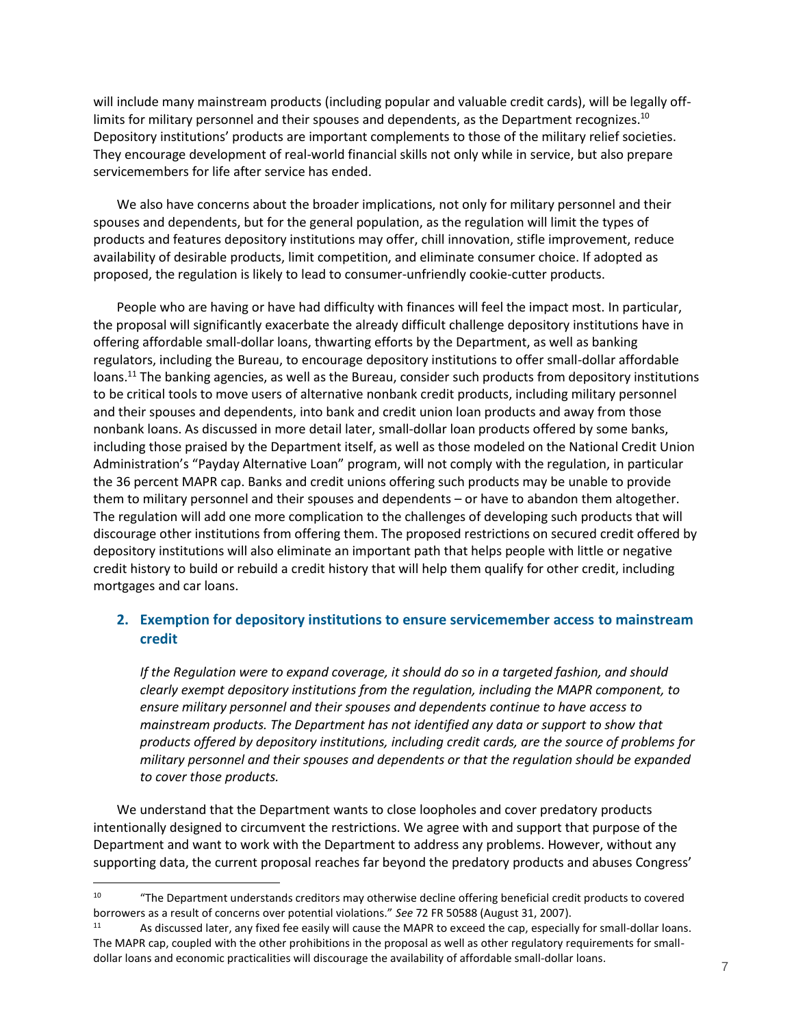will include many mainstream products (including popular and valuable credit cards), will be legally offlimits for military personnel and their spouses and dependents, as the Department recognizes.<sup>10</sup> Depository institutions' products are important complements to those of the military relief societies. They encourage development of real-world financial skills not only while in service, but also prepare servicemembers for life after service has ended.

We also have concerns about the broader implications, not only for military personnel and their spouses and dependents, but for the general population, as the regulation will limit the types of products and features depository institutions may offer, chill innovation, stifle improvement, reduce availability of desirable products, limit competition, and eliminate consumer choice. If adopted as proposed, the regulation is likely to lead to consumer-unfriendly cookie-cutter products.

People who are having or have had difficulty with finances will feel the impact most. In particular, the proposal will significantly exacerbate the already difficult challenge depository institutions have in offering affordable small-dollar loans, thwarting efforts by the Department, as well as banking regulators, including the Bureau, to encourage depository institutions to offer small-dollar affordable loans.<sup>11</sup> The banking agencies, as well as the Bureau, consider such products from depository institutions to be critical tools to move users of alternative nonbank credit products, including military personnel and their spouses and dependents, into bank and credit union loan products and away from those nonbank loans. As discussed in more detail later, small-dollar loan products offered by some banks, including those praised by the Department itself, as well as those modeled on the National Credit Union Administration's "Payday Alternative Loan" program, will not comply with the regulation, in particular the 36 percent MAPR cap. Banks and credit unions offering such products may be unable to provide them to military personnel and their spouses and dependents – or have to abandon them altogether. The regulation will add one more complication to the challenges of developing such products that will discourage other institutions from offering them. The proposed restrictions on secured credit offered by depository institutions will also eliminate an important path that helps people with little or negative credit history to build or rebuild a credit history that will help them qualify for other credit, including mortgages and car loans.

## <span id="page-6-0"></span>**2. Exemption for depository institutions to ensure servicemember access to mainstream credit**

*If the Regulation were to expand coverage, it should do so in a targeted fashion, and should clearly exempt depository institutions from the regulation, including the MAPR component, to ensure military personnel and their spouses and dependents continue to have access to mainstream products. The Department has not identified any data or support to show that products offered by depository institutions, including credit cards, are the source of problems for military personnel and their spouses and dependents or that the regulation should be expanded to cover those products.*

We understand that the Department wants to close loopholes and cover predatory products intentionally designed to circumvent the restrictions. We agree with and support that purpose of the Department and want to work with the Department to address any problems. However, without any supporting data, the current proposal reaches far beyond the predatory products and abuses Congress'

<sup>&</sup>lt;sup>10</sup> "The Department understands creditors may otherwise decline offering beneficial credit products to covered borrowers as a result of concerns over potential violations." *See* 72 FR 50588 (August 31, 2007).

As discussed later, any fixed fee easily will cause the MAPR to exceed the cap, especially for small-dollar loans. The MAPR cap, coupled with the other prohibitions in the proposal as well as other regulatory requirements for smalldollar loans and economic practicalities will discourage the availability of affordable small-dollar loans.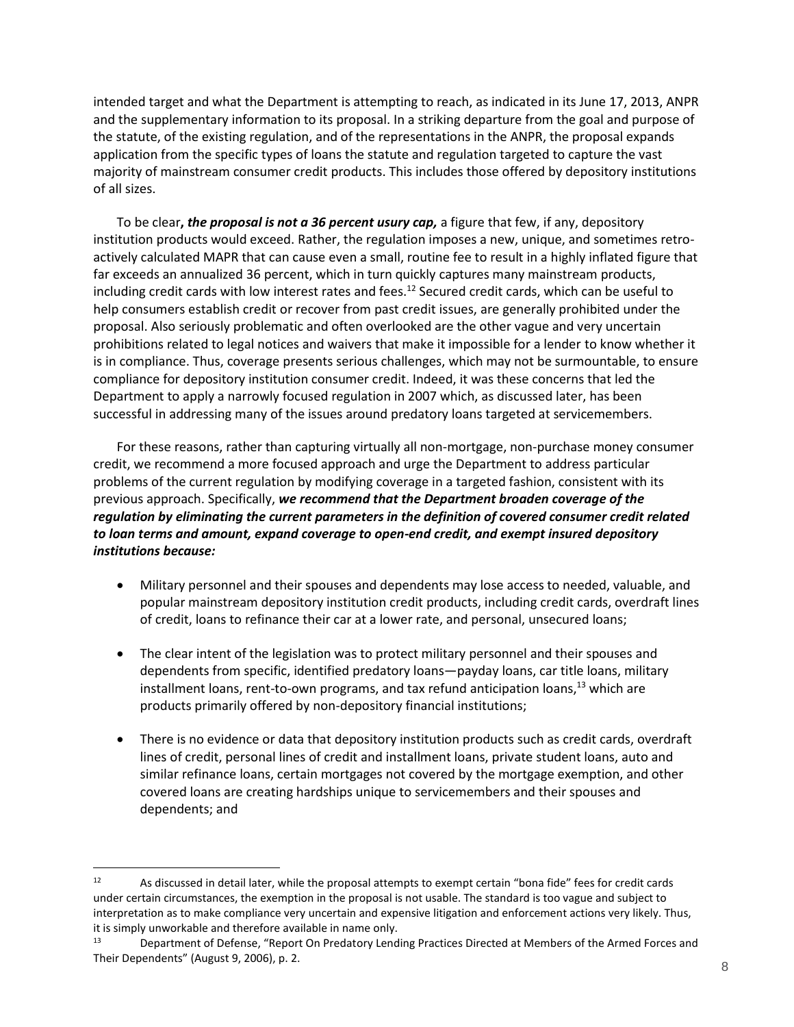intended target and what the Department is attempting to reach, as indicated in its June 17, 2013, ANPR and the supplementary information to its proposal. In a striking departure from the goal and purpose of the statute, of the existing regulation, and of the representations in the ANPR, the proposal expands application from the specific types of loans the statute and regulation targeted to capture the vast majority of mainstream consumer credit products. This includes those offered by depository institutions of all sizes.

To be clear**,** *the proposal is not a 36 percent usury cap,* a figure that few, if any, depository institution products would exceed. Rather, the regulation imposes a new, unique, and sometimes retroactively calculated MAPR that can cause even a small, routine fee to result in a highly inflated figure that far exceeds an annualized 36 percent, which in turn quickly captures many mainstream products, including credit cards with low interest rates and fees.<sup>12</sup> Secured credit cards, which can be useful to help consumers establish credit or recover from past credit issues, are generally prohibited under the proposal. Also seriously problematic and often overlooked are the other vague and very uncertain prohibitions related to legal notices and waivers that make it impossible for a lender to know whether it is in compliance. Thus, coverage presents serious challenges, which may not be surmountable, to ensure compliance for depository institution consumer credit. Indeed, it was these concerns that led the Department to apply a narrowly focused regulation in 2007 which, as discussed later, has been successful in addressing many of the issues around predatory loans targeted at servicemembers.

For these reasons, rather than capturing virtually all non-mortgage, non-purchase money consumer credit, we recommend a more focused approach and urge the Department to address particular problems of the current regulation by modifying coverage in a targeted fashion, consistent with its previous approach. Specifically, *we recommend that the Department broaden coverage of the regulation by eliminating the current parameters in the definition of covered consumer credit related to loan terms and amount, expand coverage to open-end credit, and exempt insured depository institutions because:*

- Military personnel and their spouses and dependents may lose access to needed, valuable, and popular mainstream depository institution credit products, including credit cards, overdraft lines of credit, loans to refinance their car at a lower rate, and personal, unsecured loans;
- The clear intent of the legislation was to protect military personnel and their spouses and dependents from specific, identified predatory loans—payday loans, car title loans, military installment loans, rent-to-own programs, and tax refund anticipation loans, $13$  which are products primarily offered by non-depository financial institutions;
- There is no evidence or data that depository institution products such as credit cards, overdraft lines of credit, personal lines of credit and installment loans, private student loans, auto and similar refinance loans, certain mortgages not covered by the mortgage exemption, and other covered loans are creating hardships unique to servicemembers and their spouses and dependents; and

<sup>&</sup>lt;sup>12</sup> As discussed in detail later, while the proposal attempts to exempt certain "bona fide" fees for credit cards under certain circumstances, the exemption in the proposal is not usable. The standard is too vague and subject to interpretation as to make compliance very uncertain and expensive litigation and enforcement actions very likely. Thus, it is simply unworkable and therefore available in name only.

<sup>13</sup> Department of Defense, "Report On Predatory Lending Practices Directed at Members of the Armed Forces and Their Dependents" (August 9, 2006), p. 2.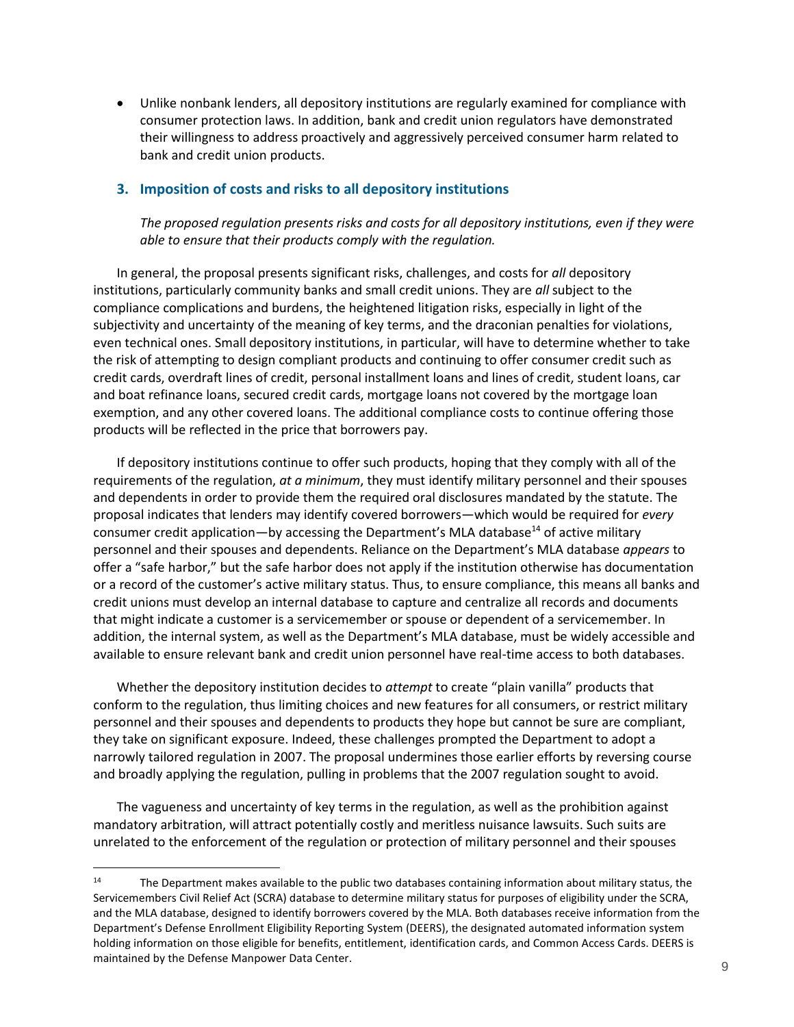Unlike nonbank lenders, all depository institutions are regularly examined for compliance with consumer protection laws. In addition, bank and credit union regulators have demonstrated their willingness to address proactively and aggressively perceived consumer harm related to bank and credit union products.

### <span id="page-8-0"></span>**3. Imposition of costs and risks to all depository institutions**

*The proposed regulation presents risks and costs for all depository institutions, even if they were able to ensure that their products comply with the regulation.*

In general, the proposal presents significant risks, challenges, and costs for *all* depository institutions, particularly community banks and small credit unions. They are *all* subject to the compliance complications and burdens, the heightened litigation risks, especially in light of the subjectivity and uncertainty of the meaning of key terms, and the draconian penalties for violations, even technical ones. Small depository institutions, in particular, will have to determine whether to take the risk of attempting to design compliant products and continuing to offer consumer credit such as credit cards, overdraft lines of credit, personal installment loans and lines of credit, student loans, car and boat refinance loans, secured credit cards, mortgage loans not covered by the mortgage loan exemption, and any other covered loans. The additional compliance costs to continue offering those products will be reflected in the price that borrowers pay.

If depository institutions continue to offer such products, hoping that they comply with all of the requirements of the regulation, *at a minimum*, they must identify military personnel and their spouses and dependents in order to provide them the required oral disclosures mandated by the statute. The proposal indicates that lenders may identify covered borrowers—which would be required for *every* consumer credit application—by accessing the Department's MLA database<sup>14</sup> of active military personnel and their spouses and dependents. Reliance on the Department's MLA database *appears* to offer a "safe harbor," but the safe harbor does not apply if the institution otherwise has documentation or a record of the customer's active military status. Thus, to ensure compliance, this means all banks and credit unions must develop an internal database to capture and centralize all records and documents that might indicate a customer is a servicemember or spouse or dependent of a servicemember. In addition, the internal system, as well as the Department's MLA database, must be widely accessible and available to ensure relevant bank and credit union personnel have real-time access to both databases.

Whether the depository institution decides to *attempt* to create "plain vanilla" products that conform to the regulation, thus limiting choices and new features for all consumers, or restrict military personnel and their spouses and dependents to products they hope but cannot be sure are compliant, they take on significant exposure. Indeed, these challenges prompted the Department to adopt a narrowly tailored regulation in 2007. The proposal undermines those earlier efforts by reversing course and broadly applying the regulation, pulling in problems that the 2007 regulation sought to avoid.

The vagueness and uncertainty of key terms in the regulation, as well as the prohibition against mandatory arbitration, will attract potentially costly and meritless nuisance lawsuits. Such suits are unrelated to the enforcement of the regulation or protection of military personnel and their spouses

<sup>&</sup>lt;sup>14</sup> The Department makes available to the public two databases containing information about military status, the Servicemembers Civil Relief Act (SCRA) database to determine military status for purposes of eligibility under the SCRA, and the MLA database, designed to identify borrowers covered by the MLA. Both databases receive information from the Department's Defense Enrollment Eligibility Reporting System (DEERS), the designated automated information system holding information on those eligible for benefits, entitlement, identification cards, and Common Access Cards. DEERS is maintained by the Defense Manpower Data Center.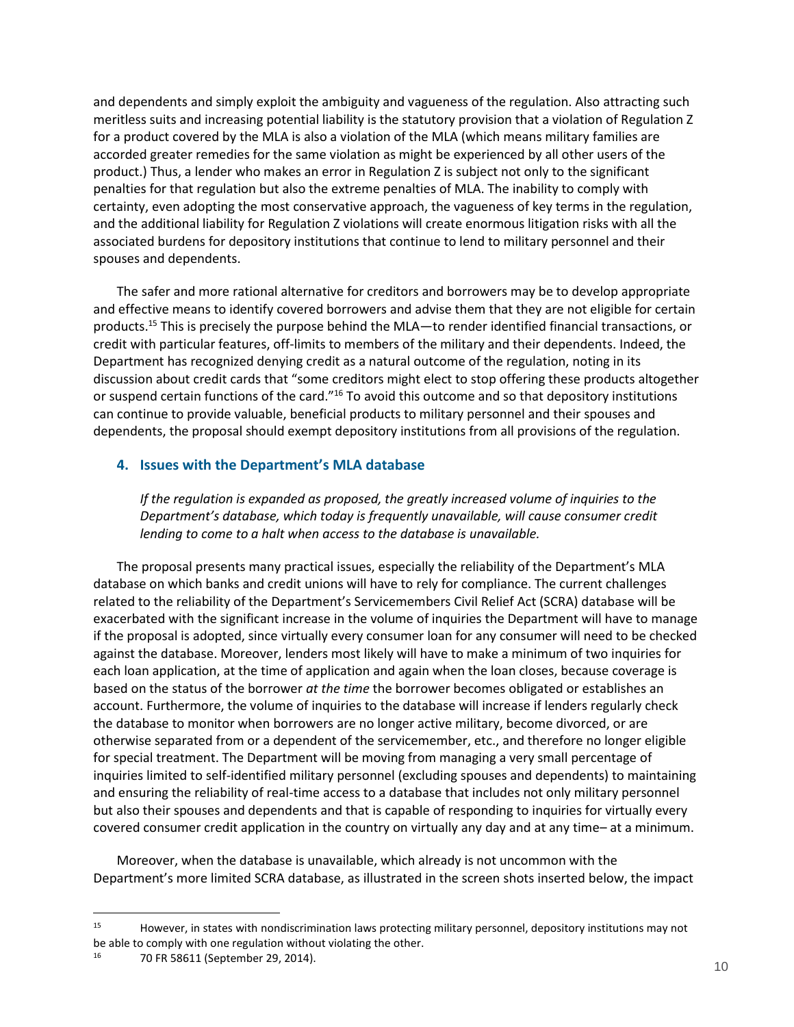and dependents and simply exploit the ambiguity and vagueness of the regulation. Also attracting such meritless suits and increasing potential liability is the statutory provision that a violation of Regulation Z for a product covered by the MLA is also a violation of the MLA (which means military families are accorded greater remedies for the same violation as might be experienced by all other users of the product.) Thus, a lender who makes an error in Regulation Z is subject not only to the significant penalties for that regulation but also the extreme penalties of MLA. The inability to comply with certainty, even adopting the most conservative approach, the vagueness of key terms in the regulation, and the additional liability for Regulation Z violations will create enormous litigation risks with all the associated burdens for depository institutions that continue to lend to military personnel and their spouses and dependents.

The safer and more rational alternative for creditors and borrowers may be to develop appropriate and effective means to identify covered borrowers and advise them that they are not eligible for certain products.<sup>15</sup> This is precisely the purpose behind the MLA—to render identified financial transactions, or credit with particular features, off-limits to members of the military and their dependents. Indeed, the Department has recognized denying credit as a natural outcome of the regulation, noting in its discussion about credit cards that "some creditors might elect to stop offering these products altogether or suspend certain functions of the card."<sup>16</sup> To avoid this outcome and so that depository institutions can continue to provide valuable, beneficial products to military personnel and their spouses and dependents, the proposal should exempt depository institutions from all provisions of the regulation.

### <span id="page-9-0"></span>**4. Issues with the Department's MLA database**

*If the regulation is expanded as proposed, the greatly increased volume of inquiries to the Department's database, which today is frequently unavailable, will cause consumer credit lending to come to a halt when access to the database is unavailable.*

The proposal presents many practical issues, especially the reliability of the Department's MLA database on which banks and credit unions will have to rely for compliance. The current challenges related to the reliability of the Department's Servicemembers Civil Relief Act (SCRA) database will be exacerbated with the significant increase in the volume of inquiries the Department will have to manage if the proposal is adopted, since virtually every consumer loan for any consumer will need to be checked against the database. Moreover, lenders most likely will have to make a minimum of two inquiries for each loan application, at the time of application and again when the loan closes, because coverage is based on the status of the borrower *at the time* the borrower becomes obligated or establishes an account. Furthermore, the volume of inquiries to the database will increase if lenders regularly check the database to monitor when borrowers are no longer active military, become divorced, or are otherwise separated from or a dependent of the servicemember, etc., and therefore no longer eligible for special treatment. The Department will be moving from managing a very small percentage of inquiries limited to self-identified military personnel (excluding spouses and dependents) to maintaining and ensuring the reliability of real-time access to a database that includes not only military personnel but also their spouses and dependents and that is capable of responding to inquiries for virtually every covered consumer credit application in the country on virtually any day and at any time– at a minimum.

Moreover, when the database is unavailable, which already is not uncommon with the Department's more limited SCRA database, as illustrated in the screen shots inserted below, the impact

<sup>&</sup>lt;sup>15</sup> However, in states with nondiscrimination laws protecting military personnel, depository institutions may not be able to comply with one regulation without violating the other.<br> $\frac{16}{10}$   $\frac{70}{10}$  FB 58611 (Sontomber 20, 2014)

<sup>16</sup> 70 FR 58611 (September 29, 2014).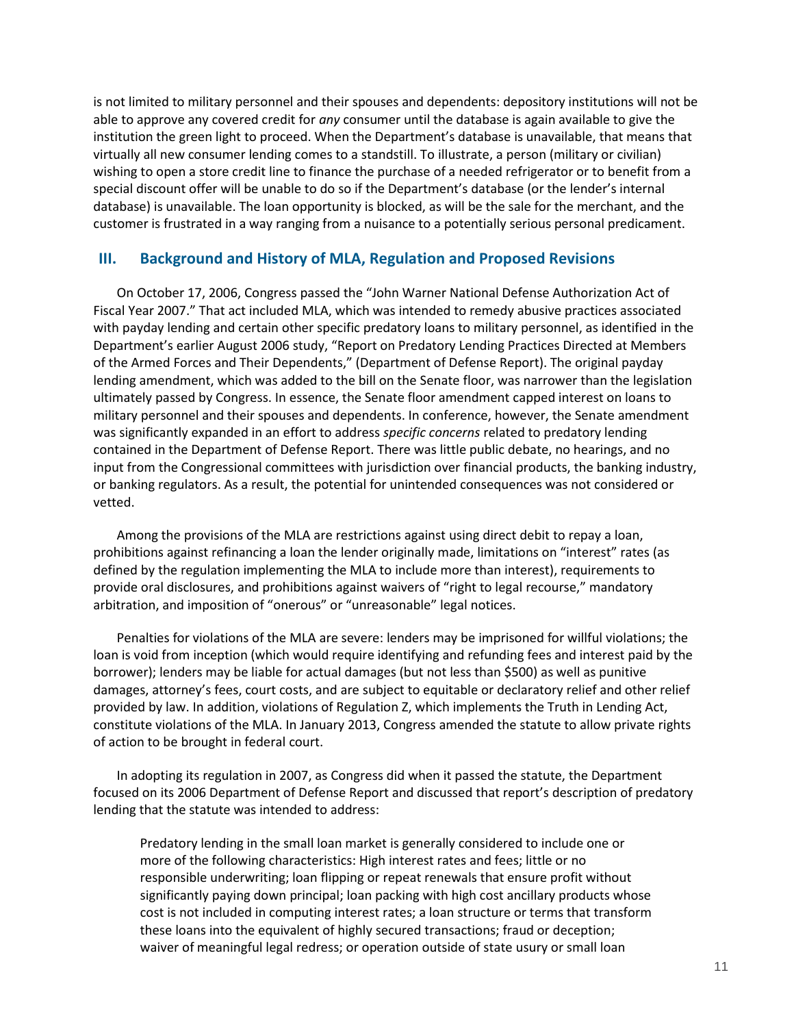is not limited to military personnel and their spouses and dependents: depository institutions will not be able to approve any covered credit for *any* consumer until the database is again available to give the institution the green light to proceed. When the Department's database is unavailable, that means that virtually all new consumer lending comes to a standstill. To illustrate, a person (military or civilian) wishing to open a store credit line to finance the purchase of a needed refrigerator or to benefit from a special discount offer will be unable to do so if the Department's database (or the lender's internal database) is unavailable. The loan opportunity is blocked, as will be the sale for the merchant, and the customer is frustrated in a way ranging from a nuisance to a potentially serious personal predicament.

### <span id="page-10-0"></span>**III. Background and History of MLA, Regulation and Proposed Revisions**

On October 17, 2006, Congress passed the "John Warner National Defense Authorization Act of Fiscal Year 2007." That act included MLA, which was intended to remedy abusive practices associated with payday lending and certain other specific predatory loans to military personnel, as identified in the Department's earlier August 2006 study, "Report on Predatory Lending Practices Directed at Members of the Armed Forces and Their Dependents," (Department of Defense Report). The original payday lending amendment, which was added to the bill on the Senate floor, was narrower than the legislation ultimately passed by Congress. In essence, the Senate floor amendment capped interest on loans to military personnel and their spouses and dependents. In conference, however, the Senate amendment was significantly expanded in an effort to address *specific concerns* related to predatory lending contained in the Department of Defense Report. There was little public debate, no hearings, and no input from the Congressional committees with jurisdiction over financial products, the banking industry, or banking regulators. As a result, the potential for unintended consequences was not considered or vetted.

Among the provisions of the MLA are restrictions against using direct debit to repay a loan, prohibitions against refinancing a loan the lender originally made, limitations on "interest" rates (as defined by the regulation implementing the MLA to include more than interest), requirements to provide oral disclosures, and prohibitions against waivers of "right to legal recourse," mandatory arbitration, and imposition of "onerous" or "unreasonable" legal notices.

Penalties for violations of the MLA are severe: lenders may be imprisoned for willful violations; the loan is void from inception (which would require identifying and refunding fees and interest paid by the borrower); lenders may be liable for actual damages (but not less than \$500) as well as punitive damages, attorney's fees, court costs, and are subject to equitable or declaratory relief and other relief provided by law. In addition, violations of Regulation Z, which implements the Truth in Lending Act, constitute violations of the MLA. In January 2013, Congress amended the statute to allow private rights of action to be brought in federal court.

In adopting its regulation in 2007, as Congress did when it passed the statute, the Department focused on its 2006 Department of Defense Report and discussed that report's description of predatory lending that the statute was intended to address:

Predatory lending in the small loan market is generally considered to include one or more of the following characteristics: High interest rates and fees; little or no responsible underwriting; loan flipping or repeat renewals that ensure profit without significantly paying down principal; loan packing with high cost ancillary products whose cost is not included in computing interest rates; a loan structure or terms that transform these loans into the equivalent of highly secured transactions; fraud or deception; waiver of meaningful legal redress; or operation outside of state usury or small loan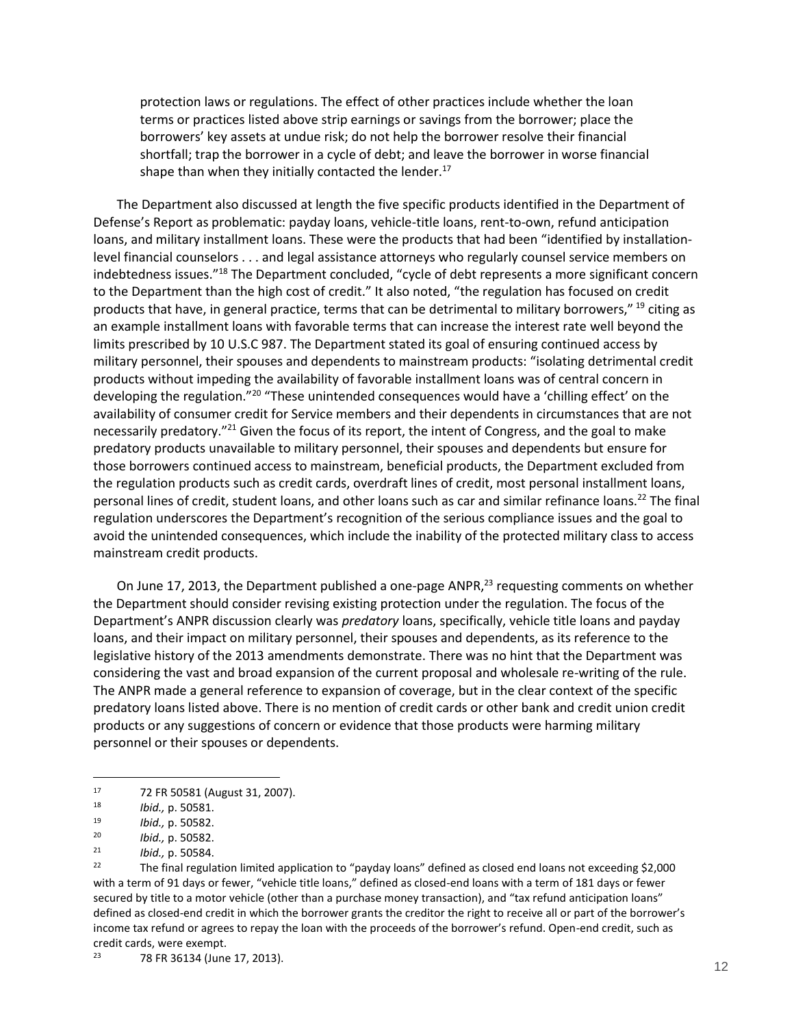protection laws or regulations. The effect of other practices include whether the loan terms or practices listed above strip earnings or savings from the borrower; place the borrowers' key assets at undue risk; do not help the borrower resolve their financial shortfall; trap the borrower in a cycle of debt; and leave the borrower in worse financial shape than when they initially contacted the lender. $17$ 

The Department also discussed at length the five specific products identified in the Department of Defense's Report as problematic: payday loans, vehicle-title loans, rent-to-own, refund anticipation loans, and military installment loans. These were the products that had been "identified by installationlevel financial counselors . . . and legal assistance attorneys who regularly counsel service members on indebtedness issues."<sup>18</sup> The Department concluded, "cycle of debt represents a more significant concern to the Department than the high cost of credit." It also noted, "the regulation has focused on credit products that have, in general practice, terms that can be detrimental to military borrowers," <sup>19</sup> citing as an example installment loans with favorable terms that can increase the interest rate well beyond the limits prescribed by 10 U.S.C 987. The Department stated its goal of ensuring continued access by military personnel, their spouses and dependents to mainstream products: "isolating detrimental credit products without impeding the availability of favorable installment loans was of central concern in developing the regulation."<sup>20</sup> "These unintended consequences would have a 'chilling effect' on the availability of consumer credit for Service members and their dependents in circumstances that are not necessarily predatory."<sup>21</sup> Given the focus of its report, the intent of Congress, and the goal to make predatory products unavailable to military personnel, their spouses and dependents but ensure for those borrowers continued access to mainstream, beneficial products, the Department excluded from the regulation products such as credit cards, overdraft lines of credit, most personal installment loans, personal lines of credit, student loans, and other loans such as car and similar refinance loans.<sup>22</sup> The final regulation underscores the Department's recognition of the serious compliance issues and the goal to avoid the unintended consequences, which include the inability of the protected military class to access mainstream credit products.

On June 17, 2013, the Department published a one-page ANPR,<sup>23</sup> requesting comments on whether the Department should consider revising existing protection under the regulation. The focus of the Department's ANPR discussion clearly was *predatory* loans, specifically, vehicle title loans and payday loans, and their impact on military personnel, their spouses and dependents, as its reference to the legislative history of the 2013 amendments demonstrate. There was no hint that the Department was considering the vast and broad expansion of the current proposal and wholesale re-writing of the rule. The ANPR made a general reference to expansion of coverage, but in the clear context of the specific predatory loans listed above. There is no mention of credit cards or other bank and credit union credit products or any suggestions of concern or evidence that those products were harming military personnel or their spouses or dependents.

<sup>17</sup> 72 FR 50581 (August 31, 2007).

<sup>18</sup> *Ibid.,* p. 50581.

<sup>19</sup> *Ibid.,* p. 50582.

<sup>20</sup> *Ibid.,* p. 50582.

<sup>21</sup> *Ibid.,* p. 50584.

<sup>&</sup>lt;sup>22</sup> The final regulation limited application to "payday loans" defined as closed end loans not exceeding \$2,000 with a term of 91 days or fewer, "vehicle title loans," defined as closed-end loans with a term of 181 days or fewer secured by title to a motor vehicle (other than a purchase money transaction), and "tax refund anticipation loans" defined as closed-end credit in which the borrower grants the creditor the right to receive all or part of the borrower's income tax refund or agrees to repay the loan with the proceeds of the borrower's refund. Open-end credit, such as credit cards, were exempt.<br>23 78 50 26124 (lune

<sup>23</sup> 78 FR 36134 (June 17, 2013).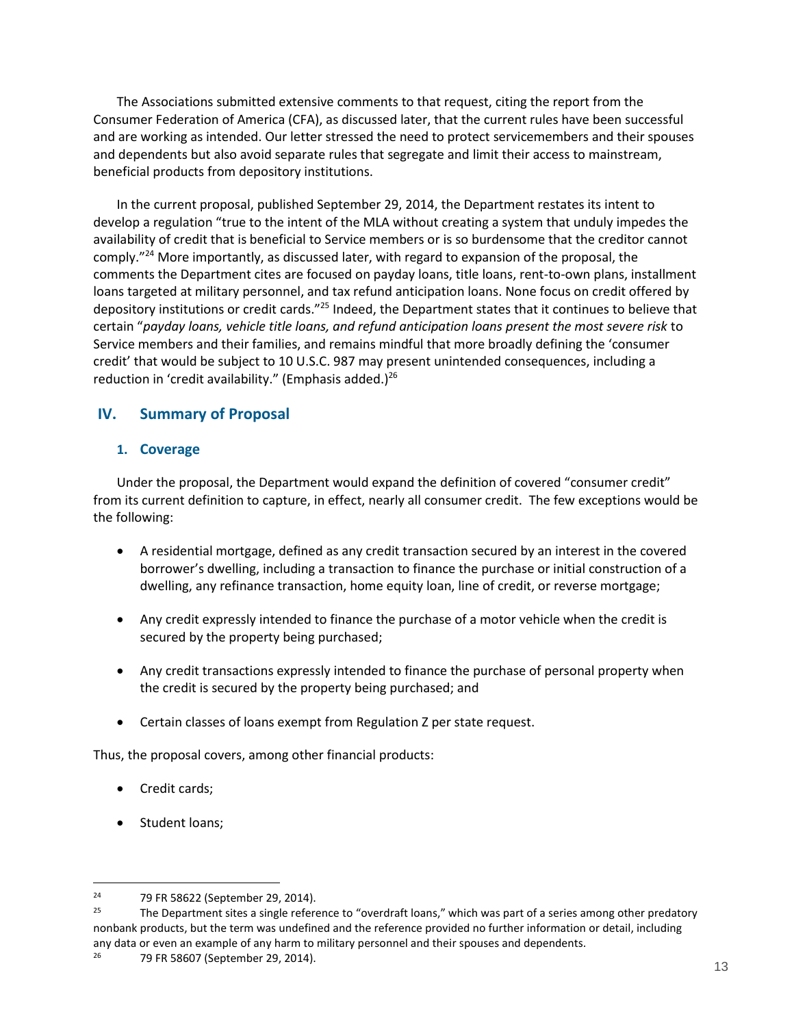The Associations submitted extensive comments to that request, citing the report from the Consumer Federation of America (CFA), as discussed later, that the current rules have been successful and are working as intended. Our letter stressed the need to protect servicemembers and their spouses and dependents but also avoid separate rules that segregate and limit their access to mainstream, beneficial products from depository institutions.

In the current proposal, published September 29, 2014, the Department restates its intent to develop a regulation "true to the intent of the MLA without creating a system that unduly impedes the availability of credit that is beneficial to Service members or is so burdensome that the creditor cannot comply."<sup>24</sup> More importantly, as discussed later, with regard to expansion of the proposal, the comments the Department cites are focused on payday loans, title loans, rent-to-own plans, installment loans targeted at military personnel, and tax refund anticipation loans. None focus on credit offered by depository institutions or credit cards."<sup>25</sup> Indeed, the Department states that it continues to believe that certain "*payday loans, vehicle title loans, and refund anticipation loans present the most severe risk* to Service members and their families, and remains mindful that more broadly defining the 'consumer credit' that would be subject to 10 U.S.C. 987 may present unintended consequences, including a reduction in 'credit availability." (Emphasis added.) $^{26}$ 

## <span id="page-12-0"></span>**IV. Summary of Proposal**

## <span id="page-12-1"></span>**1. Coverage**

Under the proposal, the Department would expand the definition of covered "consumer credit" from its current definition to capture, in effect, nearly all consumer credit. The few exceptions would be the following:

- A residential mortgage, defined as any credit transaction secured by an interest in the covered borrower's dwelling, including a transaction to finance the purchase or initial construction of a dwelling, any refinance transaction, home equity loan, line of credit, or reverse mortgage;
- Any credit expressly intended to finance the purchase of a motor vehicle when the credit is secured by the property being purchased;
- Any credit transactions expressly intended to finance the purchase of personal property when the credit is secured by the property being purchased; and
- Certain classes of loans exempt from Regulation Z per state request.

Thus, the proposal covers, among other financial products:

- Credit cards;
- Student loans;

<sup>&</sup>lt;sup>24</sup>  $25$   $79$  FR 58622 (September 29, 2014).

The Department sites a single reference to "overdraft loans," which was part of a series among other predatory nonbank products, but the term was undefined and the reference provided no further information or detail, including any data or even an example of any harm to military personnel and their spouses and dependents.

<sup>26</sup> 79 FR 58607 (September 29, 2014).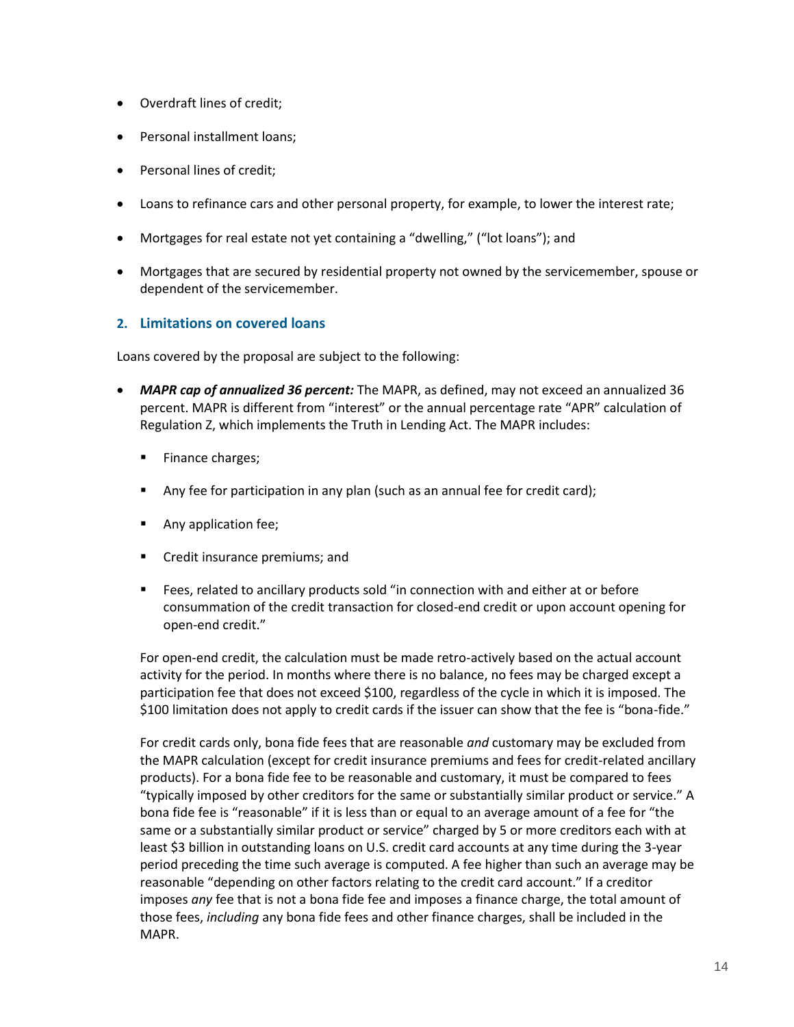- Overdraft lines of credit;
- Personal installment loans;
- Personal lines of credit;
- Loans to refinance cars and other personal property, for example, to lower the interest rate;
- Mortgages for real estate not yet containing a "dwelling," ("lot loans"); and
- Mortgages that are secured by residential property not owned by the servicemember, spouse or dependent of the servicemember.

## <span id="page-13-0"></span>**2. Limitations on covered loans**

Loans covered by the proposal are subject to the following:

- *MAPR cap of annualized 36 percent:* The MAPR, as defined, may not exceed an annualized 36 percent. MAPR is different from "interest" or the annual percentage rate "APR" calculation of Regulation Z, which implements the Truth in Lending Act. The MAPR includes:
	- **Finance charges;**
	- **Any fee for participation in any plan (such as an annual fee for credit card);**
	- **Any application fee;**
	- **Credit insurance premiums; and**
	- Fees, related to ancillary products sold "in connection with and either at or before consummation of the credit transaction for closed-end credit or upon account opening for open-end credit."

For open-end credit, the calculation must be made retro-actively based on the actual account activity for the period. In months where there is no balance, no fees may be charged except a participation fee that does not exceed \$100, regardless of the cycle in which it is imposed. The \$100 limitation does not apply to credit cards if the issuer can show that the fee is "bona-fide."

For credit cards only, bona fide fees that are reasonable *and* customary may be excluded from the MAPR calculation (except for credit insurance premiums and fees for credit-related ancillary products). For a bona fide fee to be reasonable and customary, it must be compared to fees "typically imposed by other creditors for the same or substantially similar product or service." A bona fide fee is "reasonable" if it is less than or equal to an average amount of a fee for "the same or a substantially similar product or service" charged by 5 or more creditors each with at least \$3 billion in outstanding loans on U.S. credit card accounts at any time during the 3-year period preceding the time such average is computed. A fee higher than such an average may be reasonable "depending on other factors relating to the credit card account." If a creditor imposes *any* fee that is not a bona fide fee and imposes a finance charge, the total amount of those fees, *including* any bona fide fees and other finance charges, shall be included in the MAPR.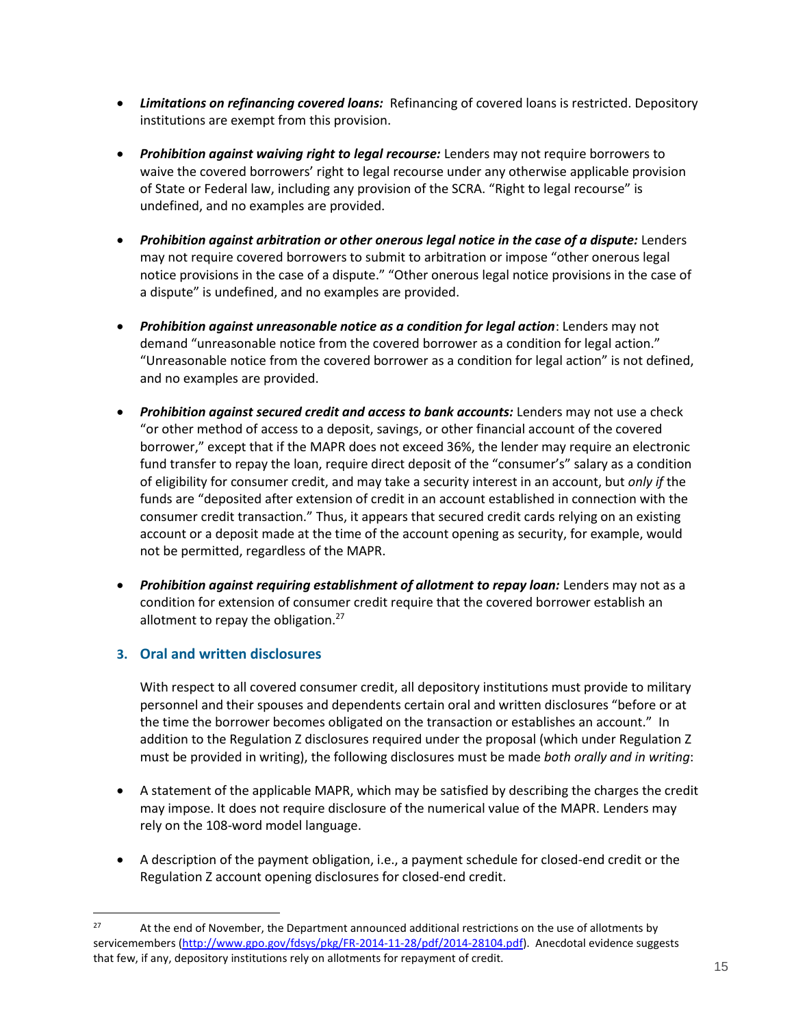- *Limitations on refinancing covered loans:* Refinancing of covered loans is restricted. Depository institutions are exempt from this provision.
- *Prohibition against waiving right to legal recourse:* Lenders may not require borrowers to waive the covered borrowers' right to legal recourse under any otherwise applicable provision of State or Federal law, including any provision of the SCRA. "Right to legal recourse" is undefined, and no examples are provided.
- *Prohibition against arbitration or other onerous legal notice in the case of a dispute: Lenders* may not require covered borrowers to submit to arbitration or impose "other onerous legal notice provisions in the case of a dispute." "Other onerous legal notice provisions in the case of a dispute" is undefined, and no examples are provided.
- *Prohibition against unreasonable notice as a condition for legal action*: Lenders may not demand "unreasonable notice from the covered borrower as a condition for legal action." "Unreasonable notice from the covered borrower as a condition for legal action" is not defined, and no examples are provided.
- *Prohibition against secured credit and access to bank accounts:* Lenders may not use a check "or other method of access to a deposit, savings, or other financial account of the covered borrower," except that if the MAPR does not exceed 36%, the lender may require an electronic fund transfer to repay the loan, require direct deposit of the "consumer's" salary as a condition of eligibility for consumer credit, and may take a security interest in an account, but *only if* the funds are "deposited after extension of credit in an account established in connection with the consumer credit transaction." Thus, it appears that secured credit cards relying on an existing account or a deposit made at the time of the account opening as security, for example, would not be permitted, regardless of the MAPR.
- *Prohibition against requiring establishment of allotment to repay loan: Lenders may not as a* condition for extension of consumer credit require that the covered borrower establish an allotment to repay the obligation.<sup>27</sup>

## <span id="page-14-0"></span>**3. Oral and written disclosures**

 $\overline{a}$ 

With respect to all covered consumer credit, all depository institutions must provide to military personnel and their spouses and dependents certain oral and written disclosures "before or at the time the borrower becomes obligated on the transaction or establishes an account." In addition to the Regulation Z disclosures required under the proposal (which under Regulation Z must be provided in writing), the following disclosures must be made *both orally and in writing*:

- A statement of the applicable MAPR, which may be satisfied by describing the charges the credit may impose. It does not require disclosure of the numerical value of the MAPR. Lenders may rely on the 108-word model language.
- A description of the payment obligation, i.e., a payment schedule for closed-end credit or the Regulation Z account opening disclosures for closed-end credit.

<sup>&</sup>lt;sup>27</sup> At the end of November, the Department announced additional restrictions on the use of allotments by servicemembers [\(http://www.gpo.gov/fdsys/pkg/FR-2014-11-28/pdf/2014-28104.pdf\)](http://www.gpo.gov/fdsys/pkg/FR-2014-11-28/pdf/2014-28104.pdf). Anecdotal evidence suggests that few, if any, depository institutions rely on allotments for repayment of credit.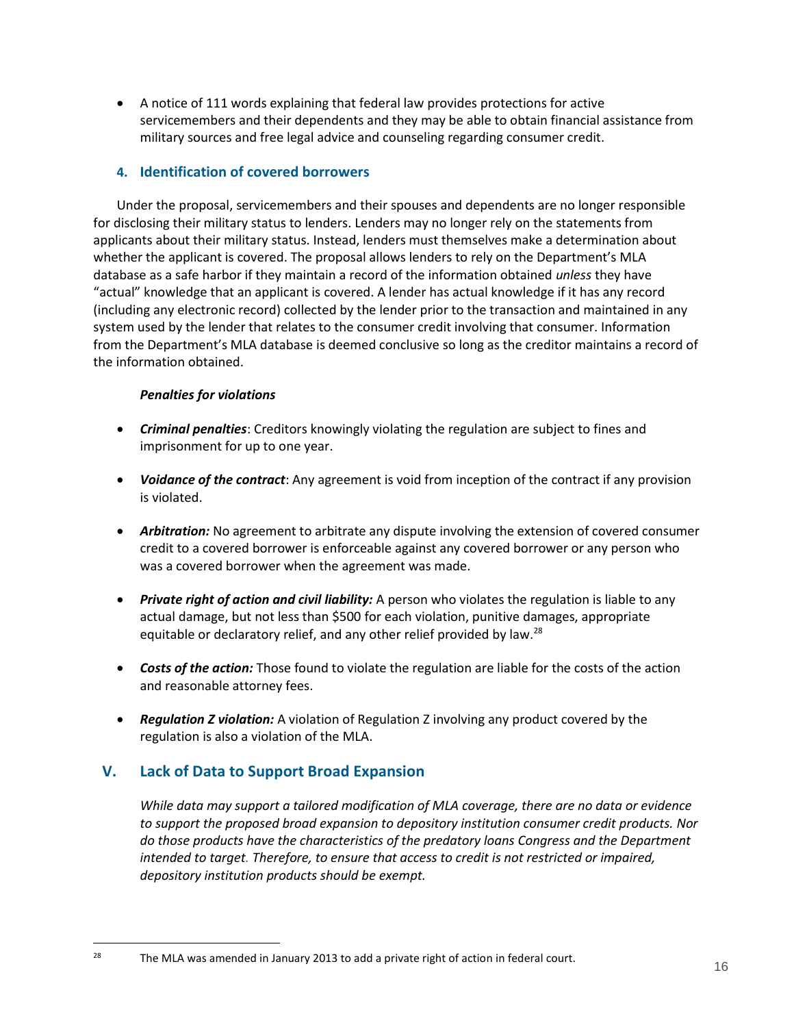A notice of 111 words explaining that federal law provides protections for active servicemembers and their dependents and they may be able to obtain financial assistance from military sources and free legal advice and counseling regarding consumer credit.

### <span id="page-15-0"></span>**4. Identification of covered borrowers**

Under the proposal, servicemembers and their spouses and dependents are no longer responsible for disclosing their military status to lenders. Lenders may no longer rely on the statements from applicants about their military status. Instead, lenders must themselves make a determination about whether the applicant is covered. The proposal allows lenders to rely on the Department's MLA database as a safe harbor if they maintain a record of the information obtained *unless* they have "actual" knowledge that an applicant is covered. A lender has actual knowledge if it has any record (including any electronic record) collected by the lender prior to the transaction and maintained in any system used by the lender that relates to the consumer credit involving that consumer. Information from the Department's MLA database is deemed conclusive so long as the creditor maintains a record of the information obtained.

### *Penalties for violations*

- *Criminal penalties*: Creditors knowingly violating the regulation are subject to fines and imprisonment for up to one year.
- *Voidance of the contract*: Any agreement is void from inception of the contract if any provision is violated.
- *Arbitration:* No agreement to arbitrate any dispute involving the extension of covered consumer credit to a covered borrower is enforceable against any covered borrower or any person who was a covered borrower when the agreement was made.
- *Private right of action and civil liability:* A person who violates the regulation is liable to any actual damage, but not less than \$500 for each violation, punitive damages, appropriate equitable or declaratory relief, and any other relief provided by law.<sup>28</sup>
- *Costs of the action:* Those found to violate the regulation are liable for the costs of the action and reasonable attorney fees.
- *Regulation Z violation:* A violation of Regulation Z involving any product covered by the regulation is also a violation of the MLA.

## <span id="page-15-1"></span>**V. Lack of Data to Support Broad Expansion**

 $\overline{a}$ 

*While data may support a tailored modification of MLA coverage, there are no data or evidence to support the proposed broad expansion to depository institution consumer credit products. Nor do those products have the characteristics of the predatory loans Congress and the Department intended to target. Therefore, to ensure that access to credit is not restricted or impaired, depository institution products should be exempt.*

<sup>28</sup> The MLA was amended in January 2013 to add a private right of action in federal court.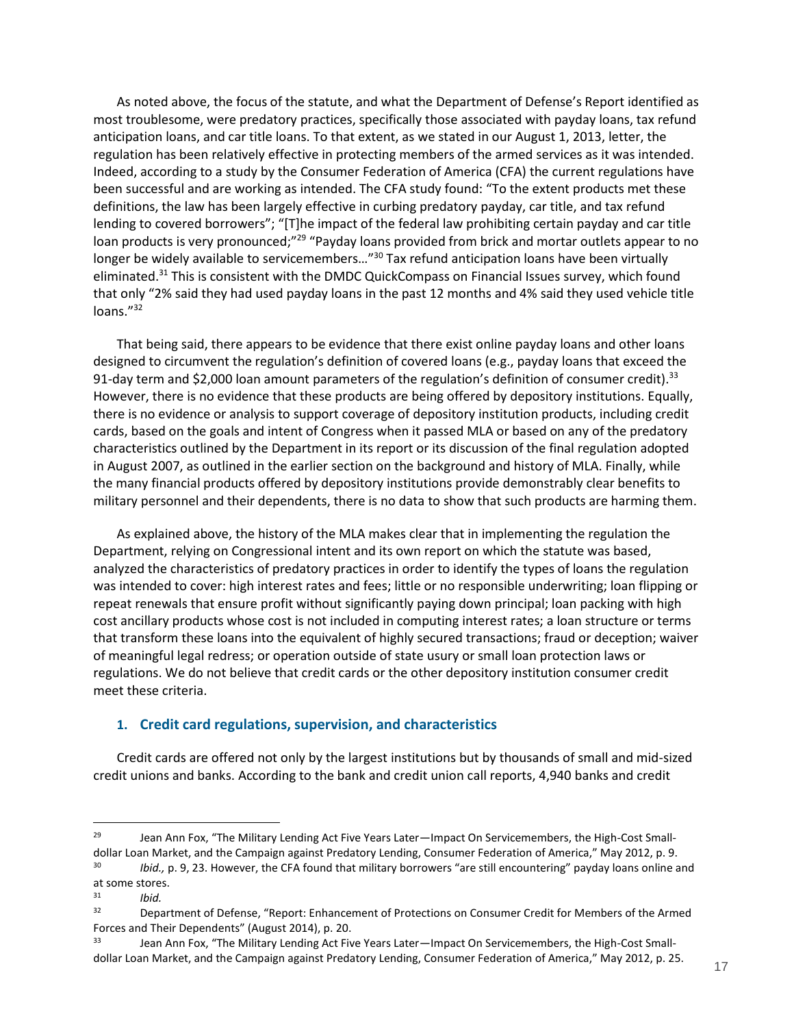As noted above, the focus of the statute, and what the Department of Defense's Report identified as most troublesome, were predatory practices, specifically those associated with payday loans, tax refund anticipation loans, and car title loans. To that extent, as we stated in our August 1, 2013, letter, the regulation has been relatively effective in protecting members of the armed services as it was intended. Indeed, according to a study by the Consumer Federation of America (CFA) the current regulations have been successful and are working as intended. The CFA study found: "To the extent products met these definitions, the law has been largely effective in curbing predatory payday, car title, and tax refund lending to covered borrowers"; "[T]he impact of the federal law prohibiting certain payday and car title loan products is very pronounced;"<sup>29</sup> "Payday loans provided from brick and mortar outlets appear to no longer be widely available to servicemembers..."<sup>30</sup> Tax refund anticipation loans have been virtually eliminated.<sup>31</sup> This is consistent with the DMDC QuickCompass on Financial Issues survey, which found that only "2% said they had used payday loans in the past 12 months and 4% said they used vehicle title loans."<sup>32</sup>

That being said, there appears to be evidence that there exist online payday loans and other loans designed to circumvent the regulation's definition of covered loans (e.g., payday loans that exceed the 91-day term and \$2,000 loan amount parameters of the regulation's definition of consumer credit).<sup>33</sup> However, there is no evidence that these products are being offered by depository institutions. Equally, there is no evidence or analysis to support coverage of depository institution products, including credit cards, based on the goals and intent of Congress when it passed MLA or based on any of the predatory characteristics outlined by the Department in its report or its discussion of the final regulation adopted in August 2007, as outlined in the earlier section on the background and history of MLA. Finally, while the many financial products offered by depository institutions provide demonstrably clear benefits to military personnel and their dependents, there is no data to show that such products are harming them.

As explained above, the history of the MLA makes clear that in implementing the regulation the Department, relying on Congressional intent and its own report on which the statute was based, analyzed the characteristics of predatory practices in order to identify the types of loans the regulation was intended to cover: high interest rates and fees; little or no responsible underwriting; loan flipping or repeat renewals that ensure profit without significantly paying down principal; loan packing with high cost ancillary products whose cost is not included in computing interest rates; a loan structure or terms that transform these loans into the equivalent of highly secured transactions; fraud or deception; waiver of meaningful legal redress; or operation outside of state usury or small loan protection laws or regulations. We do not believe that credit cards or the other depository institution consumer credit meet these criteria.

### <span id="page-16-0"></span>**1. Credit card regulations, supervision, and characteristics**

Credit cards are offered not only by the largest institutions but by thousands of small and mid-sized credit unions and banks. According to the bank and credit union call reports, 4,940 banks and credit

<sup>&</sup>lt;sup>29</sup> Jean Ann Fox, "The Military Lending Act Five Years Later—Impact On Servicemembers, the High-Cost Smalldollar Loan Market, and the Campaign against Predatory Lending, Consumer Federation of America," May 2012, p. 9. 30 *Ibid.,* p. 9, 23. However, the CFA found that military borrowers "are still encountering" payday loans online and

at some stores.<br> $\frac{31}{10}$ <sup>31</sup> *Ibid.*

Department of Defense, "Report: Enhancement of Protections on Consumer Credit for Members of the Armed Forces and Their Dependents" (August 2014), p. 20.

<sup>33</sup> Jean Ann Fox, "The Military Lending Act Five Years Later—Impact On Servicemembers, the High-Cost Smalldollar Loan Market, and the Campaign against Predatory Lending, Consumer Federation of America," May 2012, p. 25.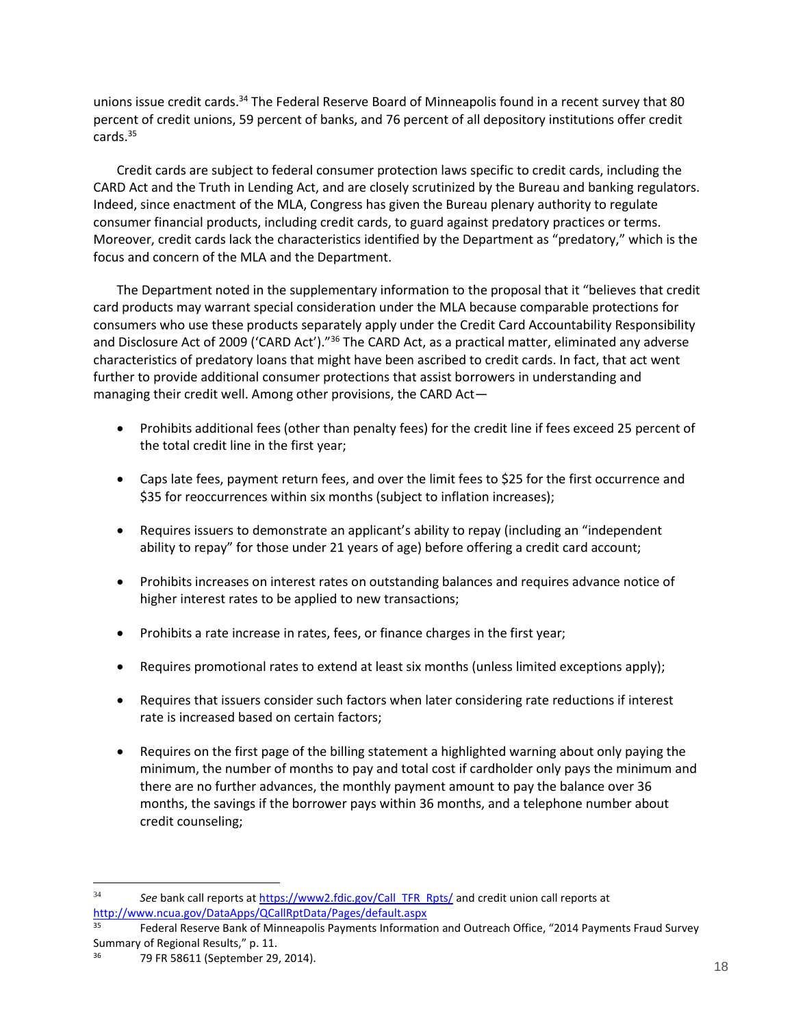unions issue credit cards.<sup>34</sup> The Federal Reserve Board of Minneapolis found in a recent survey that 80 percent of credit unions, 59 percent of banks, and 76 percent of all depository institutions offer credit cards.<sup>35</sup>

Credit cards are subject to federal consumer protection laws specific to credit cards, including the CARD Act and the Truth in Lending Act, and are closely scrutinized by the Bureau and banking regulators. Indeed, since enactment of the MLA, Congress has given the Bureau plenary authority to regulate consumer financial products, including credit cards, to guard against predatory practices or terms. Moreover, credit cards lack the characteristics identified by the Department as "predatory," which is the focus and concern of the MLA and the Department.

The Department noted in the supplementary information to the proposal that it "believes that credit card products may warrant special consideration under the MLA because comparable protections for consumers who use these products separately apply under the Credit Card Accountability Responsibility and Disclosure Act of 2009 ('CARD Act')."<sup>36</sup> The CARD Act, as a practical matter, eliminated any adverse characteristics of predatory loans that might have been ascribed to credit cards. In fact, that act went further to provide additional consumer protections that assist borrowers in understanding and managing their credit well. Among other provisions, the CARD Act—

- Prohibits additional fees (other than penalty fees) for the credit line if fees exceed 25 percent of the total credit line in the first year;
- Caps late fees, payment return fees, and over the limit fees to \$25 for the first occurrence and \$35 for reoccurrences within six months (subject to inflation increases);
- Requires issuers to demonstrate an applicant's ability to repay (including an "independent ability to repay" for those under 21 years of age) before offering a credit card account;
- Prohibits increases on interest rates on outstanding balances and requires advance notice of higher interest rates to be applied to new transactions;
- Prohibits a rate increase in rates, fees, or finance charges in the first year;
- Requires promotional rates to extend at least six months (unless limited exceptions apply);
- Requires that issuers consider such factors when later considering rate reductions if interest rate is increased based on certain factors;
- Requires on the first page of the billing statement a highlighted warning about only paying the minimum, the number of months to pay and total cost if cardholder only pays the minimum and there are no further advances, the monthly payment amount to pay the balance over 36 months, the savings if the borrower pays within 36 months, and a telephone number about credit counseling;

<sup>34</sup> *See* bank call reports at [https://www2.fdic.gov/Call\\_TFR\\_Rpts/](https://www2.fdic.gov/Call_TFR_Rpts/) and credit union call reports at <http://www.ncua.gov/DataApps/QCallRptData/Pages/default.aspx>

Federal Reserve Bank of Minneapolis Payments Information and Outreach Office, "2014 Payments Fraud Survey Summary of Regional Results," p. 11.

<sup>36</sup> 79 FR 58611 (September 29, 2014).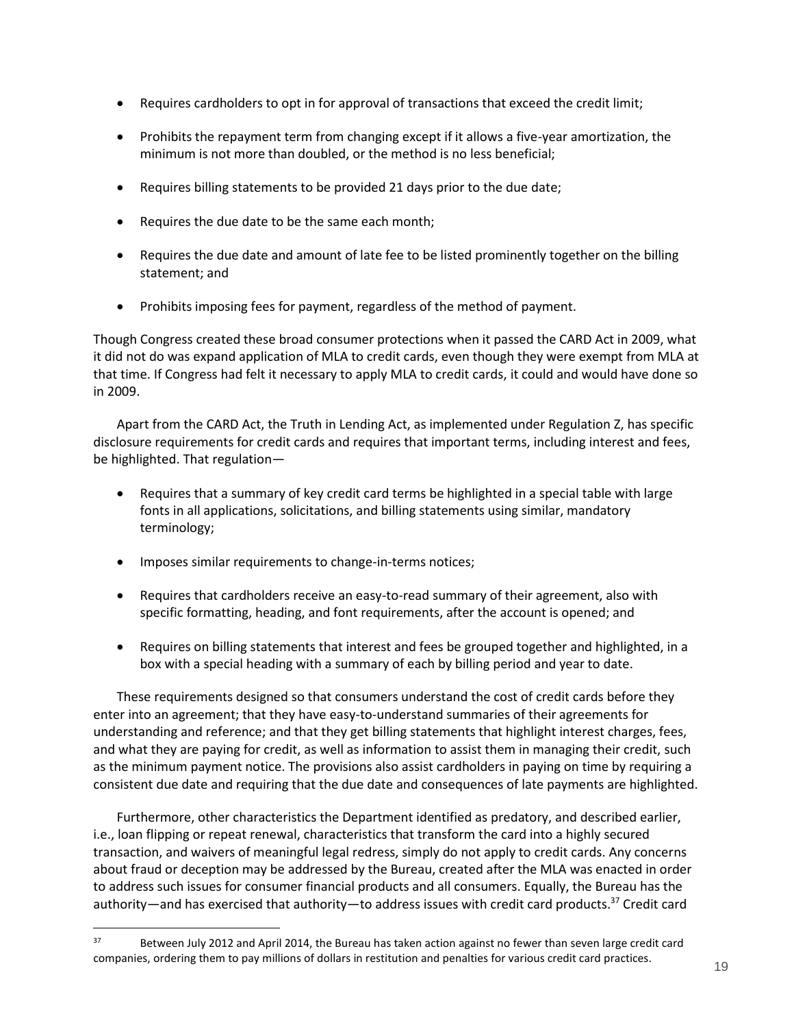- Requires cardholders to opt in for approval of transactions that exceed the credit limit;
- Prohibits the repayment term from changing except if it allows a five-year amortization, the minimum is not more than doubled, or the method is no less beneficial;
- Requires billing statements to be provided 21 days prior to the due date;
- Requires the due date to be the same each month;
- Requires the due date and amount of late fee to be listed prominently together on the billing statement; and
- Prohibits imposing fees for payment, regardless of the method of payment.

Though Congress created these broad consumer protections when it passed the CARD Act in 2009, what it did not do was expand application of MLA to credit cards, even though they were exempt from MLA at that time. If Congress had felt it necessary to apply MLA to credit cards, it could and would have done so in 2009.

Apart from the CARD Act, the Truth in Lending Act, as implemented under Regulation Z, has specific disclosure requirements for credit cards and requires that important terms, including interest and fees, be highlighted. That regulation—

- Requires that a summary of key credit card terms be highlighted in a special table with large fonts in all applications, solicitations, and billing statements using similar, mandatory terminology;
- Imposes similar requirements to change-in-terms notices;

 $\overline{a}$ 

- Requires that cardholders receive an easy-to-read summary of their agreement, also with specific formatting, heading, and font requirements, after the account is opened; and
- Requires on billing statements that interest and fees be grouped together and highlighted, in a box with a special heading with a summary of each by billing period and year to date.

These requirements designed so that consumers understand the cost of credit cards before they enter into an agreement; that they have easy-to-understand summaries of their agreements for understanding and reference; and that they get billing statements that highlight interest charges, fees, and what they are paying for credit, as well as information to assist them in managing their credit, such as the minimum payment notice. The provisions also assist cardholders in paying on time by requiring a consistent due date and requiring that the due date and consequences of late payments are highlighted.

Furthermore, other characteristics the Department identified as predatory, and described earlier, i.e., loan flipping or repeat renewal, characteristics that transform the card into a highly secured transaction, and waivers of meaningful legal redress, simply do not apply to credit cards. Any concerns about fraud or deception may be addressed by the Bureau, created after the MLA was enacted in order to address such issues for consumer financial products and all consumers. Equally, the Bureau has the authority—and has exercised that authority—to address issues with credit card products.<sup>37</sup> Credit card

<sup>&</sup>lt;sup>37</sup> Between July 2012 and April 2014, the Bureau has taken action against no fewer than seven large credit card companies, ordering them to pay millions of dollars in restitution and penalties for various credit card practices.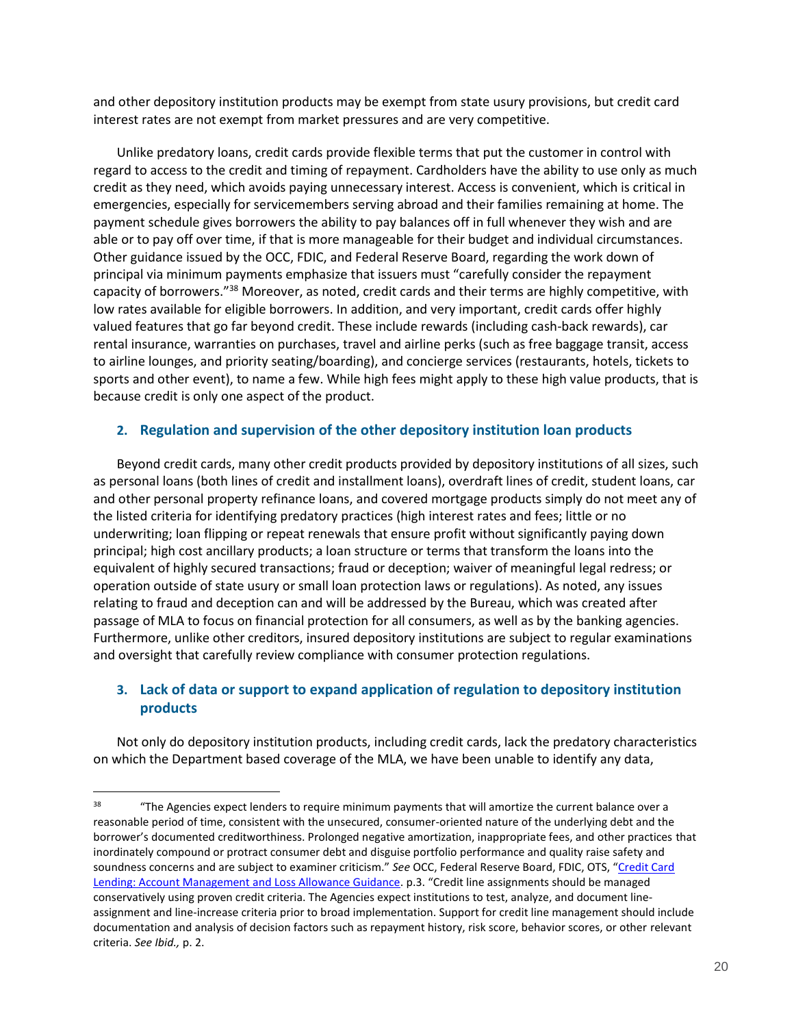and other depository institution products may be exempt from state usury provisions, but credit card interest rates are not exempt from market pressures and are very competitive.

Unlike predatory loans, credit cards provide flexible terms that put the customer in control with regard to access to the credit and timing of repayment. Cardholders have the ability to use only as much credit as they need, which avoids paying unnecessary interest. Access is convenient, which is critical in emergencies, especially for servicemembers serving abroad and their families remaining at home. The payment schedule gives borrowers the ability to pay balances off in full whenever they wish and are able or to pay off over time, if that is more manageable for their budget and individual circumstances. Other guidance issued by the OCC, FDIC, and Federal Reserve Board, regarding the work down of principal via minimum payments emphasize that issuers must "carefully consider the repayment capacity of borrowers."<sup>38</sup> Moreover, as noted, credit cards and their terms are highly competitive, with low rates available for eligible borrowers. In addition, and very important, credit cards offer highly valued features that go far beyond credit. These include rewards (including cash-back rewards), car rental insurance, warranties on purchases, travel and airline perks (such as free baggage transit, access to airline lounges, and priority seating/boarding), and concierge services (restaurants, hotels, tickets to sports and other event), to name a few. While high fees might apply to these high value products, that is because credit is only one aspect of the product.

### <span id="page-19-0"></span>**2. Regulation and supervision of the other depository institution loan products**

Beyond credit cards, many other credit products provided by depository institutions of all sizes, such as personal loans (both lines of credit and installment loans), overdraft lines of credit, student loans, car and other personal property refinance loans, and covered mortgage products simply do not meet any of the listed criteria for identifying predatory practices (high interest rates and fees; little or no underwriting; loan flipping or repeat renewals that ensure profit without significantly paying down principal; high cost ancillary products; a loan structure or terms that transform the loans into the equivalent of highly secured transactions; fraud or deception; waiver of meaningful legal redress; or operation outside of state usury or small loan protection laws or regulations). As noted, any issues relating to fraud and deception can and will be addressed by the Bureau, which was created after passage of MLA to focus on financial protection for all consumers, as well as by the banking agencies. Furthermore, unlike other creditors, insured depository institutions are subject to regular examinations and oversight that carefully review compliance with consumer protection regulations.

## <span id="page-19-1"></span>**3. Lack of data or support to expand application of regulation to depository institution products**

Not only do depository institution products, including credit cards, lack the predatory characteristics on which the Department based coverage of the MLA, we have been unable to identify any data,

<sup>&</sup>lt;sup>38</sup> "The Agencies expect lenders to require minimum payments that will amortize the current balance over a reasonable period of time, consistent with the unsecured, consumer-oriented nature of the underlying debt and the borrower's documented creditworthiness. Prolonged negative amortization, inappropriate fees, and other practices that inordinately compound or protract consumer debt and disguise portfolio performance and quality raise safety and soundness concerns and are subject to examiner criticism." *See* OCC, Federal Reserve Board, FDIC, OTS, "[Credit Card](http://www.occ.gov/news-issuances/bulletins/2003/bulletin-2003-1a.pdf)  [Lending: Account Management and Loss Allowance Guidance](http://www.occ.gov/news-issuances/bulletins/2003/bulletin-2003-1a.pdf). p.3. "Credit line assignments should be managed conservatively using proven credit criteria. The Agencies expect institutions to test, analyze, and document lineassignment and line-increase criteria prior to broad implementation. Support for credit line management should include documentation and analysis of decision factors such as repayment history, risk score, behavior scores, or other relevant criteria. *See Ibid.,* p. 2.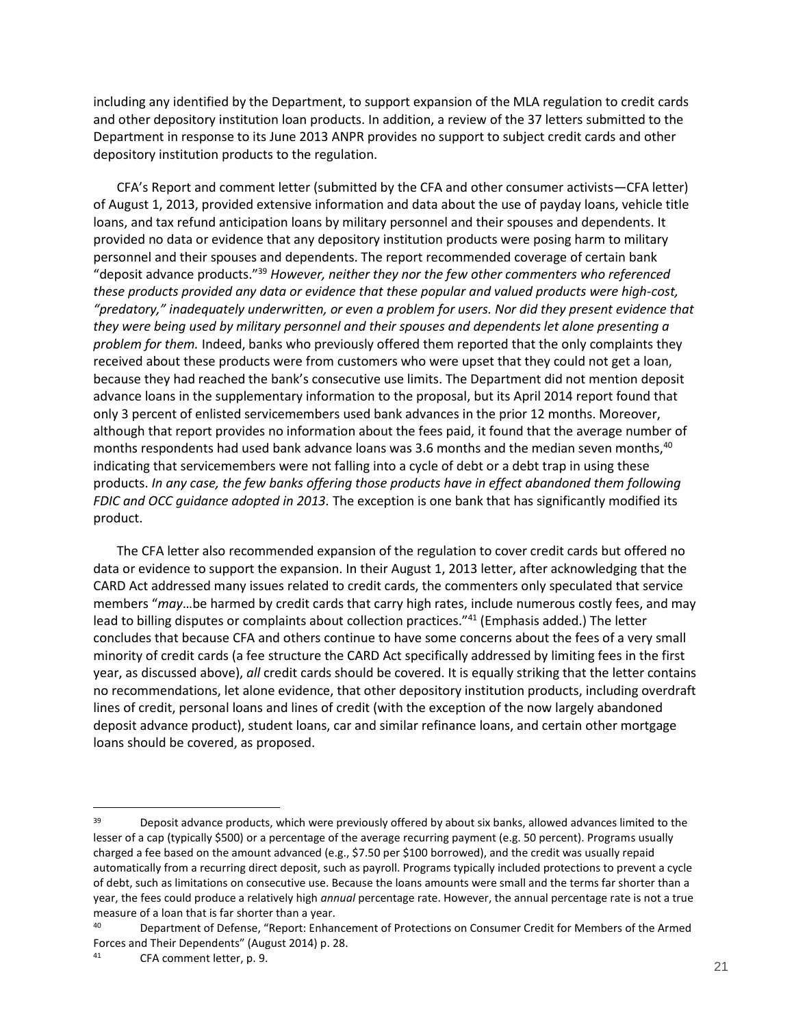including any identified by the Department, to support expansion of the MLA regulation to credit cards and other depository institution loan products. In addition, a review of the 37 letters submitted to the Department in response to its June 2013 ANPR provides no support to subject credit cards and other depository institution products to the regulation.

CFA's Report and comment letter (submitted by the CFA and other consumer activists—CFA letter) of August 1, 2013, provided extensive information and data about the use of payday loans, vehicle title loans, and tax refund anticipation loans by military personnel and their spouses and dependents. It provided no data or evidence that any depository institution products were posing harm to military personnel and their spouses and dependents. The report recommended coverage of certain bank "deposit advance products."<sup>39</sup> *However, neither they nor the few other commenters who referenced these products provided any data or evidence that these popular and valued products were high-cost, "predatory," inadequately underwritten, or even a problem for users. Nor did they present evidence that they were being used by military personnel and their spouses and dependents let alone presenting a problem for them.* Indeed, banks who previously offered them reported that the only complaints they received about these products were from customers who were upset that they could not get a loan, because they had reached the bank's consecutive use limits. The Department did not mention deposit advance loans in the supplementary information to the proposal, but its April 2014 report found that only 3 percent of enlisted servicemembers used bank advances in the prior 12 months. Moreover, although that report provides no information about the fees paid, it found that the average number of months respondents had used bank advance loans was 3.6 months and the median seven months, $40$ indicating that servicemembers were not falling into a cycle of debt or a debt trap in using these products. *In any case, the few banks offering those products have in effect abandoned them following FDIC and OCC guidance adopted in 2013.* The exception is one bank that has significantly modified its product.

The CFA letter also recommended expansion of the regulation to cover credit cards but offered no data or evidence to support the expansion. In their August 1, 2013 letter, after acknowledging that the CARD Act addressed many issues related to credit cards, the commenters only speculated that service members "*may*…be harmed by credit cards that carry high rates, include numerous costly fees, and may lead to billing disputes or complaints about collection practices."41 (Emphasis added.) The letter concludes that because CFA and others continue to have some concerns about the fees of a very small minority of credit cards (a fee structure the CARD Act specifically addressed by limiting fees in the first year, as discussed above), *all* credit cards should be covered. It is equally striking that the letter contains no recommendations, let alone evidence, that other depository institution products, including overdraft lines of credit, personal loans and lines of credit (with the exception of the now largely abandoned deposit advance product), student loans, car and similar refinance loans, and certain other mortgage loans should be covered, as proposed.

<sup>&</sup>lt;sup>39</sup> Deposit advance products, which were previously offered by about six banks, allowed advances limited to the lesser of a cap (typically \$500) or a percentage of the average recurring payment (e.g. 50 percent). Programs usually charged a fee based on the amount advanced (e.g., \$7.50 per \$100 borrowed), and the credit was usually repaid automatically from a recurring direct deposit, such as payroll. Programs typically included protections to prevent a cycle of debt, such as limitations on consecutive use. Because the loans amounts were small and the terms far shorter than a year, the fees could produce a relatively high *annual* percentage rate. However, the annual percentage rate is not a true measure of a loan that is far shorter than a year.<br>40<br>Department of Defense "Benest: Enhan

<sup>40</sup> Department of Defense, "Report: Enhancement of Protections on Consumer Credit for Members of the Armed Forces and Their Dependents" (August 2014) p. 28.

<sup>41</sup> CFA comment letter, p. 9.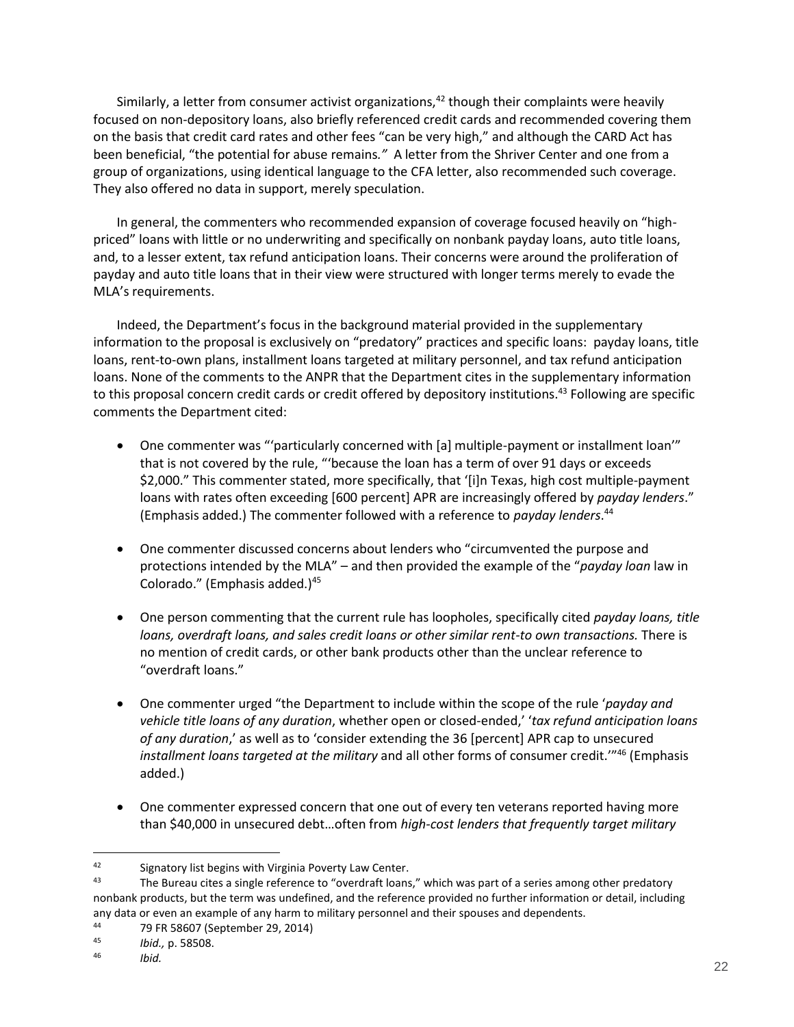Similarly, a letter from consumer activist organizations,  $42$  though their complaints were heavily focused on non-depository loans, also briefly referenced credit cards and recommended covering them on the basis that credit card rates and other fees "can be very high," and although the CARD Act has been beneficial, "the potential for abuse remains*."* A letter from the Shriver Center and one from a group of organizations, using identical language to the CFA letter, also recommended such coverage. They also offered no data in support, merely speculation.

In general, the commenters who recommended expansion of coverage focused heavily on "highpriced" loans with little or no underwriting and specifically on nonbank payday loans, auto title loans, and, to a lesser extent, tax refund anticipation loans. Their concerns were around the proliferation of payday and auto title loans that in their view were structured with longer terms merely to evade the MLA's requirements.

Indeed, the Department's focus in the background material provided in the supplementary information to the proposal is exclusively on "predatory" practices and specific loans: payday loans, title loans, rent-to-own plans, installment loans targeted at military personnel, and tax refund anticipation loans. None of the comments to the ANPR that the Department cites in the supplementary information to this proposal concern credit cards or credit offered by depository institutions.<sup>43</sup> Following are specific comments the Department cited:

- One commenter was "'particularly concerned with [a] multiple-payment or installment loan'" that is not covered by the rule, "'because the loan has a term of over 91 days or exceeds \$2,000." This commenter stated, more specifically, that '[i]n Texas, high cost multiple-payment loans with rates often exceeding [600 percent] APR are increasingly offered by *payday lenders*." (Emphasis added.) The commenter followed with a reference to *payday lenders*. 44
- One commenter discussed concerns about lenders who "circumvented the purpose and protections intended by the MLA" – and then provided the example of the "*payday loan* law in Colorado." (Emphasis added.)<sup>45</sup>
- One person commenting that the current rule has loopholes, specifically cited *payday loans, title loans, overdraft loans, and sales credit loans or other similar rent-to own transactions.* There is no mention of credit cards, or other bank products other than the unclear reference to "overdraft loans."
- One commenter urged "the Department to include within the scope of the rule '*payday and vehicle title loans of any duration*, whether open or closed-ended,' '*tax refund anticipation loans of any duration*,' as well as to 'consider extending the 36 [percent] APR cap to unsecured *installment loans targeted at the military* and all other forms of consumer credit.'"<sup>46</sup> (Emphasis added.)
- One commenter expressed concern that one out of every ten veterans reported having more than \$40,000 in unsecured debt…often from *high-cost lenders that frequently target military*

<sup>42</sup> Signatory list begins with Virginia Poverty Law Center.

<sup>&</sup>lt;sup>43</sup> The Bureau cites a single reference to "overdraft loans," which was part of a series among other predatory nonbank products, but the term was undefined, and the reference provided no further information or detail, including any data or even an example of any harm to military personnel and their spouses and dependents.<br>44

<sup>&</sup>lt;sup>44</sup> 79 FR 58607 (September 29, 2014)<br><sup>45</sup> *Ibid* n 58508

<sup>45</sup> *Ibid.,* p. 58508.

<sup>46</sup> *Ibid.*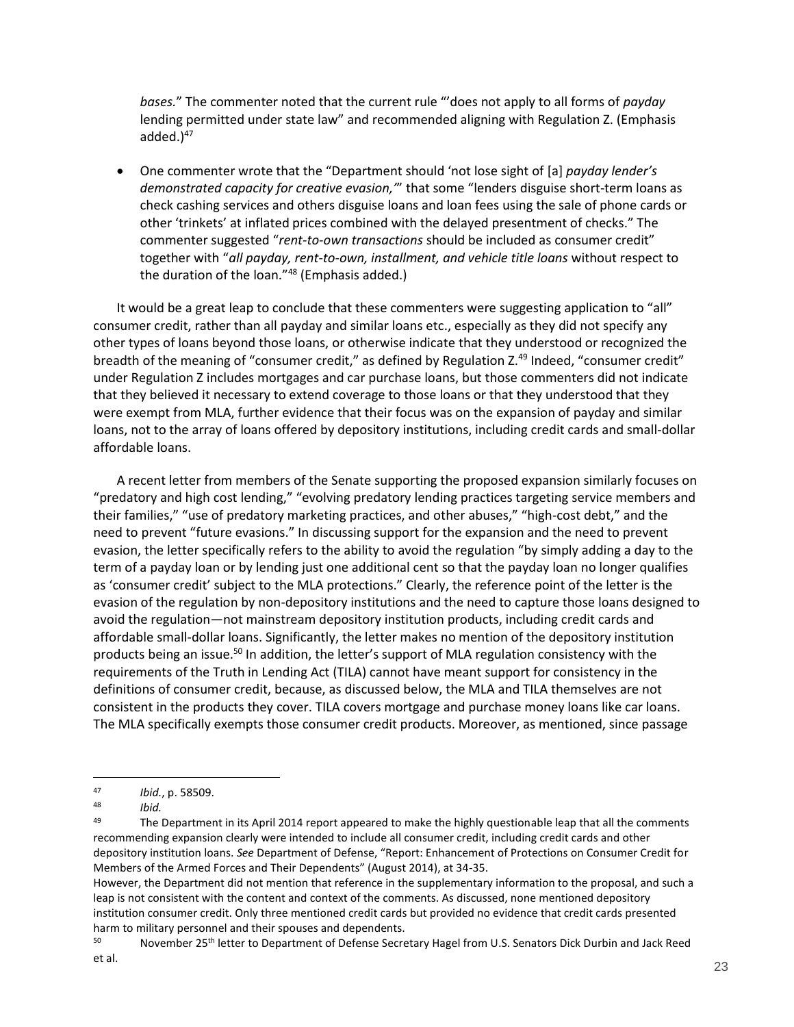*bases.*" The commenter noted that the current rule "'does not apply to all forms of *payday*  lending permitted under state law" and recommended aligning with Regulation Z. (Emphasis added. $)^{47}$ 

 One commenter wrote that the "Department should 'not lose sight of [a] *payday lender's demonstrated capacity for creative evasion,'*" that some "lenders disguise short-term loans as check cashing services and others disguise loans and loan fees using the sale of phone cards or other 'trinkets' at inflated prices combined with the delayed presentment of checks." The commenter suggested "*rent-to-own transactions* should be included as consumer credit" together with "*all payday, rent-to-own, installment, and vehicle title loans* without respect to the duration of the loan."<sup>48</sup> (Emphasis added.)

It would be a great leap to conclude that these commenters were suggesting application to "all" consumer credit, rather than all payday and similar loans etc., especially as they did not specify any other types of loans beyond those loans, or otherwise indicate that they understood or recognized the breadth of the meaning of "consumer credit," as defined by Regulation Z.<sup>49</sup> Indeed, "consumer credit" under Regulation Z includes mortgages and car purchase loans, but those commenters did not indicate that they believed it necessary to extend coverage to those loans or that they understood that they were exempt from MLA, further evidence that their focus was on the expansion of payday and similar loans, not to the array of loans offered by depository institutions, including credit cards and small-dollar affordable loans.

A recent letter from members of the Senate supporting the proposed expansion similarly focuses on "predatory and high cost lending," "evolving predatory lending practices targeting service members and their families," "use of predatory marketing practices, and other abuses," "high-cost debt," and the need to prevent "future evasions." In discussing support for the expansion and the need to prevent evasion, the letter specifically refers to the ability to avoid the regulation "by simply adding a day to the term of a payday loan or by lending just one additional cent so that the payday loan no longer qualifies as 'consumer credit' subject to the MLA protections." Clearly, the reference point of the letter is the evasion of the regulation by non-depository institutions and the need to capture those loans designed to avoid the regulation—not mainstream depository institution products, including credit cards and affordable small-dollar loans. Significantly, the letter makes no mention of the depository institution products being an issue.<sup>50</sup> In addition, the letter's support of MLA regulation consistency with the requirements of the Truth in Lending Act (TILA) cannot have meant support for consistency in the definitions of consumer credit, because, as discussed below, the MLA and TILA themselves are not consistent in the products they cover. TILA covers mortgage and purchase money loans like car loans. The MLA specifically exempts those consumer credit products. Moreover, as mentioned, since passage

50 November 25<sup>th</sup> letter to Department of Defense Secretary Hagel from U.S. Senators Dick Durbin and Jack Reed et al.

 $\overline{a}$ <sup>47</sup> *Ibid.*, p. 58509.

<sup>48</sup> *Ibid.*

<sup>&</sup>lt;sup>49</sup> The Department in its April 2014 report appeared to make the highly questionable leap that all the comments recommending expansion clearly were intended to include all consumer credit, including credit cards and other depository institution loans. *See* Department of Defense, "Report: Enhancement of Protections on Consumer Credit for Members of the Armed Forces and Their Dependents" (August 2014), at 34-35.

However, the Department did not mention that reference in the supplementary information to the proposal, and such a leap is not consistent with the content and context of the comments. As discussed, none mentioned depository institution consumer credit. Only three mentioned credit cards but provided no evidence that credit cards presented harm to military personnel and their spouses and dependents.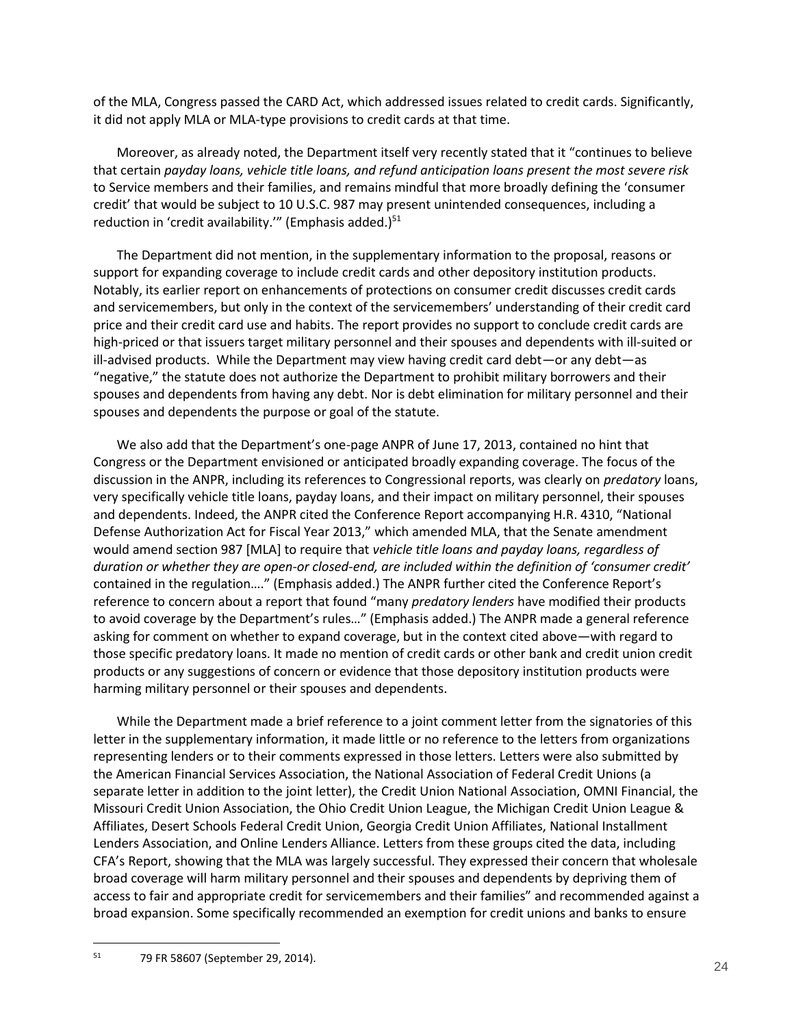of the MLA, Congress passed the CARD Act, which addressed issues related to credit cards. Significantly, it did not apply MLA or MLA-type provisions to credit cards at that time.

Moreover, as already noted, the Department itself very recently stated that it "continues to believe that certain *payday loans, vehicle title loans, and refund anticipation loans present the most severe risk* to Service members and their families, and remains mindful that more broadly defining the 'consumer credit' that would be subject to 10 U.S.C. 987 may present unintended consequences, including a reduction in 'credit availability.'" (Emphasis added.)<sup>51</sup>

The Department did not mention, in the supplementary information to the proposal, reasons or support for expanding coverage to include credit cards and other depository institution products. Notably, its earlier report on enhancements of protections on consumer credit discusses credit cards and servicemembers, but only in the context of the servicemembers' understanding of their credit card price and their credit card use and habits. The report provides no support to conclude credit cards are high-priced or that issuers target military personnel and their spouses and dependents with ill-suited or ill-advised products. While the Department may view having credit card debt—or any debt—as "negative," the statute does not authorize the Department to prohibit military borrowers and their spouses and dependents from having any debt. Nor is debt elimination for military personnel and their spouses and dependents the purpose or goal of the statute.

We also add that the Department's one-page ANPR of June 17, 2013, contained no hint that Congress or the Department envisioned or anticipated broadly expanding coverage. The focus of the discussion in the ANPR, including its references to Congressional reports, was clearly on *predatory* loans, very specifically vehicle title loans, payday loans, and their impact on military personnel, their spouses and dependents. Indeed, the ANPR cited the Conference Report accompanying H.R. 4310, "National Defense Authorization Act for Fiscal Year 2013," which amended MLA, that the Senate amendment would amend section 987 [MLA] to require that *vehicle title loans and payday loans, regardless of duration or whether they are open-or closed-end, are included within the definition of 'consumer credit'*  contained in the regulation…." (Emphasis added.) The ANPR further cited the Conference Report's reference to concern about a report that found "many *predatory lenders* have modified their products to avoid coverage by the Department's rules…" (Emphasis added.) The ANPR made a general reference asking for comment on whether to expand coverage, but in the context cited above—with regard to those specific predatory loans. It made no mention of credit cards or other bank and credit union credit products or any suggestions of concern or evidence that those depository institution products were harming military personnel or their spouses and dependents.

While the Department made a brief reference to a joint comment letter from the signatories of this letter in the supplementary information, it made little or no reference to the letters from organizations representing lenders or to their comments expressed in those letters. Letters were also submitted by the American Financial Services Association, the National Association of Federal Credit Unions (a separate letter in addition to the joint letter), the Credit Union National Association, OMNI Financial, the Missouri Credit Union Association, the Ohio Credit Union League, the Michigan Credit Union League & Affiliates, Desert Schools Federal Credit Union, Georgia Credit Union Affiliates, National Installment Lenders Association, and Online Lenders Alliance. Letters from these groups cited the data, including CFA's Report, showing that the MLA was largely successful. They expressed their concern that wholesale broad coverage will harm military personnel and their spouses and dependents by depriving them of access to fair and appropriate credit for servicemembers and their families" and recommended against a broad expansion. Some specifically recommended an exemption for credit unions and banks to ensure

<sup>51</sup> 79 FR 58607 (September 29, 2014).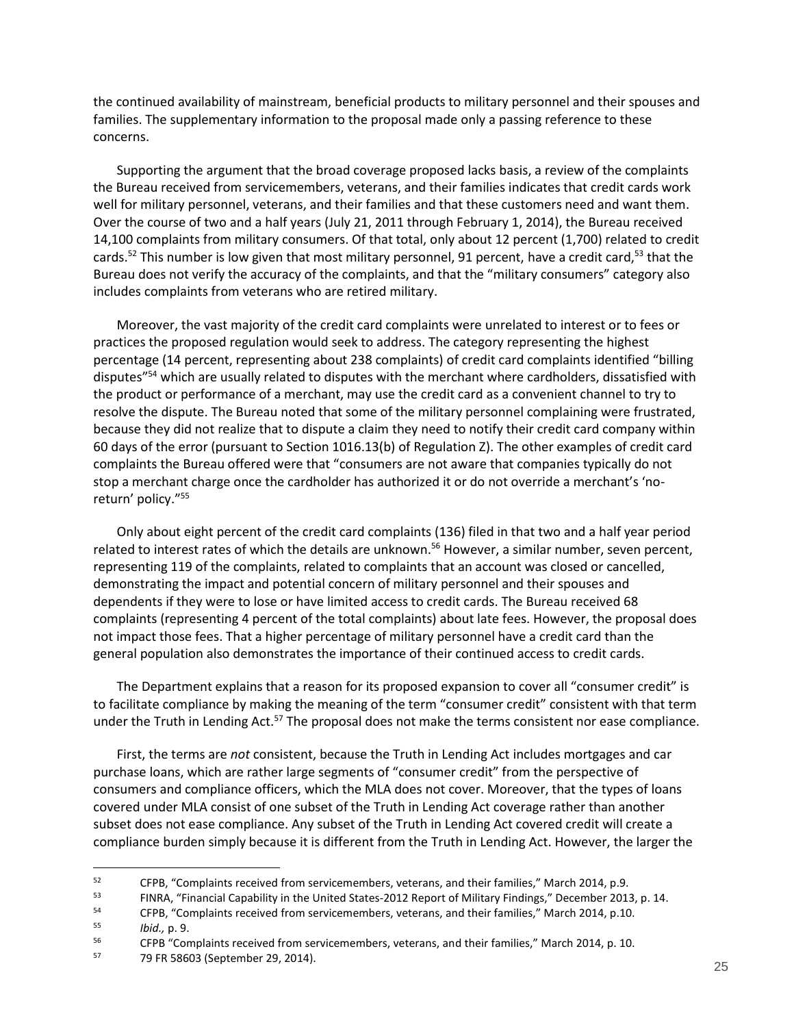the continued availability of mainstream, beneficial products to military personnel and their spouses and families. The supplementary information to the proposal made only a passing reference to these concerns.

Supporting the argument that the broad coverage proposed lacks basis, a review of the complaints the Bureau received from servicemembers, veterans, and their families indicates that credit cards work well for military personnel, veterans, and their families and that these customers need and want them. Over the course of two and a half years (July 21, 2011 through February 1, 2014), the Bureau received 14,100 complaints from military consumers. Of that total, only about 12 percent (1,700) related to credit cards.<sup>52</sup> This number is low given that most military personnel, 91 percent, have a credit card,<sup>53</sup> that the Bureau does not verify the accuracy of the complaints, and that the "military consumers" category also includes complaints from veterans who are retired military.

Moreover, the vast majority of the credit card complaints were unrelated to interest or to fees or practices the proposed regulation would seek to address. The category representing the highest percentage (14 percent, representing about 238 complaints) of credit card complaints identified "billing disputes"<sup>54</sup> which are usually related to disputes with the merchant where cardholders, dissatisfied with the product or performance of a merchant, may use the credit card as a convenient channel to try to resolve the dispute. The Bureau noted that some of the military personnel complaining were frustrated, because they did not realize that to dispute a claim they need to notify their credit card company within 60 days of the error (pursuant to Section 1016.13(b) of Regulation Z). The other examples of credit card complaints the Bureau offered were that "consumers are not aware that companies typically do not stop a merchant charge once the cardholder has authorized it or do not override a merchant's 'noreturn' policy."<sup>55</sup>

Only about eight percent of the credit card complaints (136) filed in that two and a half year period related to interest rates of which the details are unknown.<sup>56</sup> However, a similar number, seven percent, representing 119 of the complaints, related to complaints that an account was closed or cancelled, demonstrating the impact and potential concern of military personnel and their spouses and dependents if they were to lose or have limited access to credit cards. The Bureau received 68 complaints (representing 4 percent of the total complaints) about late fees. However, the proposal does not impact those fees. That a higher percentage of military personnel have a credit card than the general population also demonstrates the importance of their continued access to credit cards.

The Department explains that a reason for its proposed expansion to cover all "consumer credit" is to facilitate compliance by making the meaning of the term "consumer credit" consistent with that term under the Truth in Lending Act. $57$  The proposal does not make the terms consistent nor ease compliance.

First, the terms are *not* consistent, because the Truth in Lending Act includes mortgages and car purchase loans, which are rather large segments of "consumer credit" from the perspective of consumers and compliance officers, which the MLA does not cover. Moreover, that the types of loans covered under MLA consist of one subset of the Truth in Lending Act coverage rather than another subset does not ease compliance. Any subset of the Truth in Lending Act covered credit will create a compliance burden simply because it is different from the Truth in Lending Act. However, the larger the

<sup>52</sup> <sup>52</sup> CFPB, "Complaints received from servicemembers, veterans, and their families," March 2014, p.9.<br><sup>53</sup> CINDA, "Financial Canability in the United States 2012 Benert of Military Findings," December 2011

<sup>53</sup> FINRA, "Financial Capability in the United States-2012 Report of Military Findings," December 2013, p. 14.<br>54 CEBB "Complaints received from servicemembers, veterans, and their families" March 2014, p. 10.

<sup>&</sup>lt;sup>54</sup> CFPB, "Complaints received from servicemembers, veterans, and their families," March 2014, p.10.<br><sup>55</sup>

<sup>55</sup> *Ibid.,* p. 9.

<sup>&</sup>lt;sup>56</sup> CFPB "Complaints received from servicemembers, veterans, and their families," March 2014, p. 10.<br>57 **20 EP 58603 (Sontomber 29, 2014)** 

<sup>57</sup> 79 FR 58603 (September 29, 2014).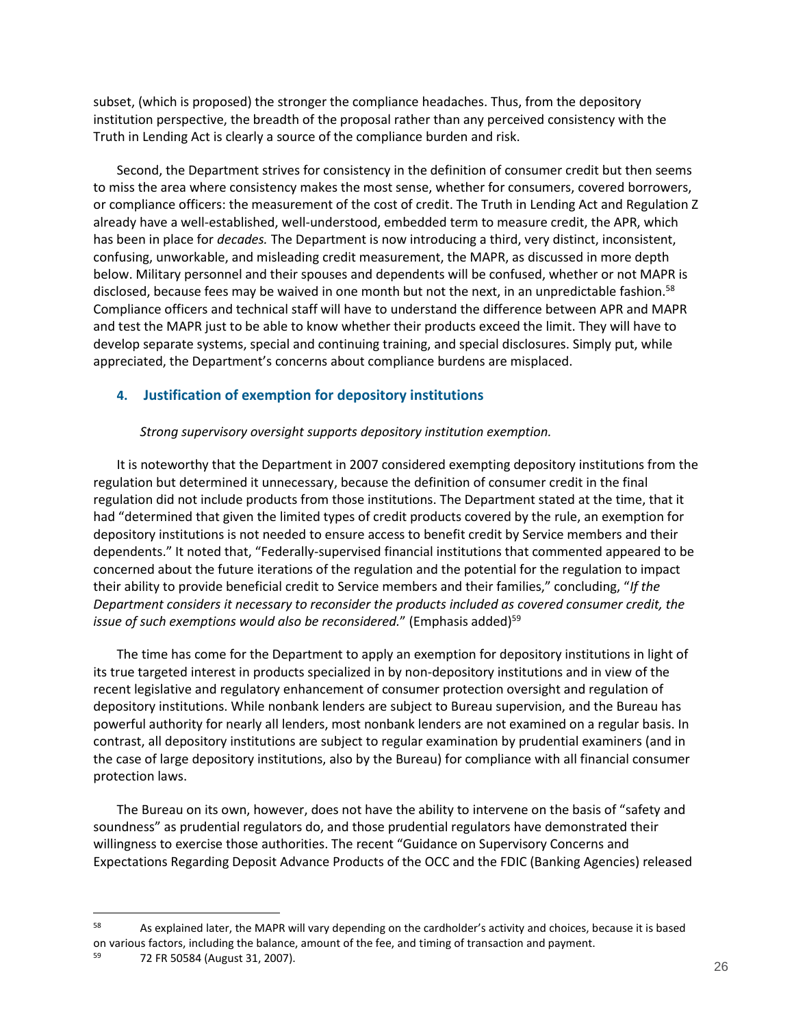subset, (which is proposed) the stronger the compliance headaches. Thus, from the depository institution perspective, the breadth of the proposal rather than any perceived consistency with the Truth in Lending Act is clearly a source of the compliance burden and risk.

Second, the Department strives for consistency in the definition of consumer credit but then seems to miss the area where consistency makes the most sense, whether for consumers, covered borrowers, or compliance officers: the measurement of the cost of credit. The Truth in Lending Act and Regulation Z already have a well-established, well-understood, embedded term to measure credit, the APR, which has been in place for *decades.* The Department is now introducing a third, very distinct, inconsistent, confusing, unworkable, and misleading credit measurement, the MAPR, as discussed in more depth below. Military personnel and their spouses and dependents will be confused, whether or not MAPR is disclosed, because fees may be waived in one month but not the next, in an unpredictable fashion.<sup>58</sup> Compliance officers and technical staff will have to understand the difference between APR and MAPR and test the MAPR just to be able to know whether their products exceed the limit. They will have to develop separate systems, special and continuing training, and special disclosures. Simply put, while appreciated, the Department's concerns about compliance burdens are misplaced.

### <span id="page-25-0"></span>**4. Justification of exemption for depository institutions**

### *Strong supervisory oversight supports depository institution exemption.*

It is noteworthy that the Department in 2007 considered exempting depository institutions from the regulation but determined it unnecessary, because the definition of consumer credit in the final regulation did not include products from those institutions. The Department stated at the time, that it had "determined that given the limited types of credit products covered by the rule, an exemption for depository institutions is not needed to ensure access to benefit credit by Service members and their dependents." It noted that, "Federally-supervised financial institutions that commented appeared to be concerned about the future iterations of the regulation and the potential for the regulation to impact their ability to provide beneficial credit to Service members and their families," concluding, "*If the Department considers it necessary to reconsider the products included as covered consumer credit, the issue of such exemptions would also be reconsidered.*" (Emphasis added)<sup>59</sup>

The time has come for the Department to apply an exemption for depository institutions in light of its true targeted interest in products specialized in by non-depository institutions and in view of the recent legislative and regulatory enhancement of consumer protection oversight and regulation of depository institutions. While nonbank lenders are subject to Bureau supervision, and the Bureau has powerful authority for nearly all lenders, most nonbank lenders are not examined on a regular basis. In contrast, all depository institutions are subject to regular examination by prudential examiners (and in the case of large depository institutions, also by the Bureau) for compliance with all financial consumer protection laws.

The Bureau on its own, however, does not have the ability to intervene on the basis of "safety and soundness" as prudential regulators do, and those prudential regulators have demonstrated their willingness to exercise those authorities. The recent "Guidance on Supervisory Concerns and Expectations Regarding Deposit Advance Products of the OCC and the FDIC (Banking Agencies) released

<sup>&</sup>lt;sup>58</sup> As explained later, the MAPR will vary depending on the cardholder's activity and choices, because it is based on various factors, including the balance, amount of the fee, and timing of transaction and payment.

<sup>59</sup> 72 FR 50584 (August 31, 2007).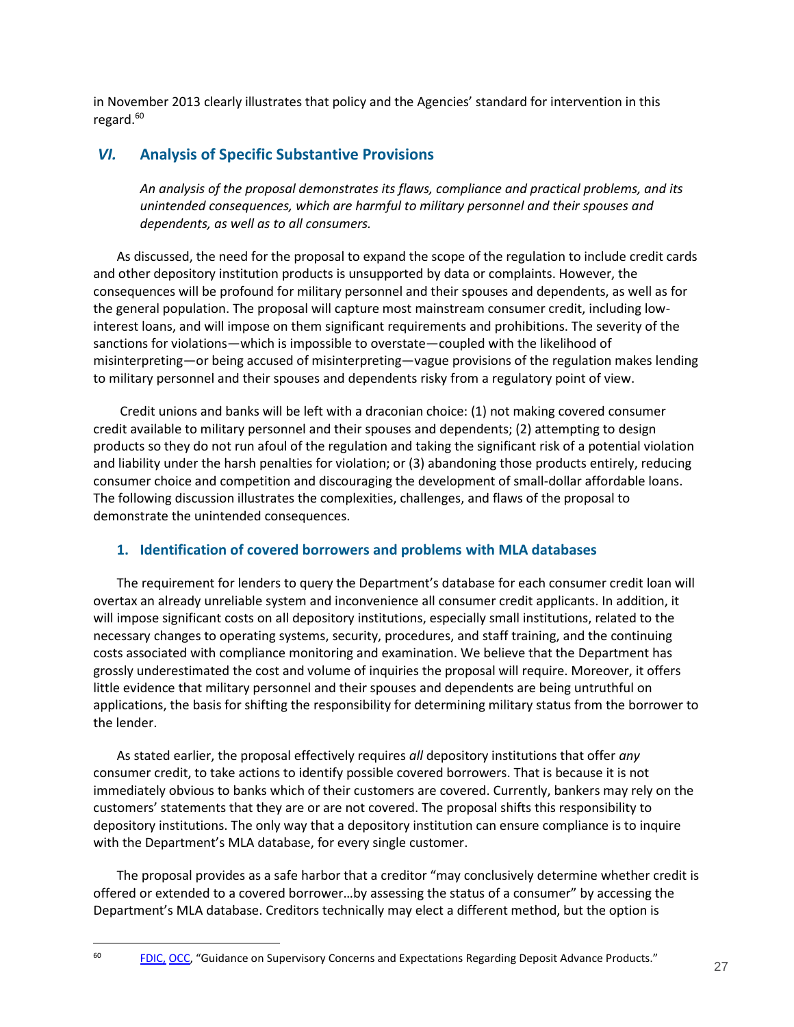in November 2013 clearly illustrates that policy and the Agencies' standard for intervention in this regard. $60$ 

## <span id="page-26-0"></span>*VI.* **Analysis of Specific Substantive Provisions**

*An analysis of the proposal demonstrates its flaws, compliance and practical problems, and its unintended consequences, which are harmful to military personnel and their spouses and dependents, as well as to all consumers.* 

As discussed, the need for the proposal to expand the scope of the regulation to include credit cards and other depository institution products is unsupported by data or complaints. However, the consequences will be profound for military personnel and their spouses and dependents, as well as for the general population. The proposal will capture most mainstream consumer credit, including lowinterest loans, and will impose on them significant requirements and prohibitions. The severity of the sanctions for violations—which is impossible to overstate—coupled with the likelihood of misinterpreting—or being accused of misinterpreting—vague provisions of the regulation makes lending to military personnel and their spouses and dependents risky from a regulatory point of view.

Credit unions and banks will be left with a draconian choice: (1) not making covered consumer credit available to military personnel and their spouses and dependents; (2) attempting to design products so they do not run afoul of the regulation and taking the significant risk of a potential violation and liability under the harsh penalties for violation; or (3) abandoning those products entirely, reducing consumer choice and competition and discouraging the development of small-dollar affordable loans. The following discussion illustrates the complexities, challenges, and flaws of the proposal to demonstrate the unintended consequences.

## <span id="page-26-1"></span>**1. Identification of covered borrowers and problems with MLA databases**

The requirement for lenders to query the Department's database for each consumer credit loan will overtax an already unreliable system and inconvenience all consumer credit applicants. In addition, it will impose significant costs on all depository institutions, especially small institutions, related to the necessary changes to operating systems, security, procedures, and staff training, and the continuing costs associated with compliance monitoring and examination. We believe that the Department has grossly underestimated the cost and volume of inquiries the proposal will require. Moreover, it offers little evidence that military personnel and their spouses and dependents are being untruthful on applications, the basis for shifting the responsibility for determining military status from the borrower to the lender.

As stated earlier, the proposal effectively requires *all* depository institutions that offer *any* consumer credit, to take actions to identify possible covered borrowers. That is because it is not immediately obvious to banks which of their customers are covered. Currently, bankers may rely on the customers' statements that they are or are not covered. The proposal shifts this responsibility to depository institutions. The only way that a depository institution can ensure compliance is to inquire with the Department's MLA database, for every single customer.

The proposal provides as a safe harbor that a creditor "may conclusively determine whether credit is offered or extended to a covered borrower…by assessing the status of a consumer" by accessing the Department's MLA database. Creditors technically may elect a different method, but the option is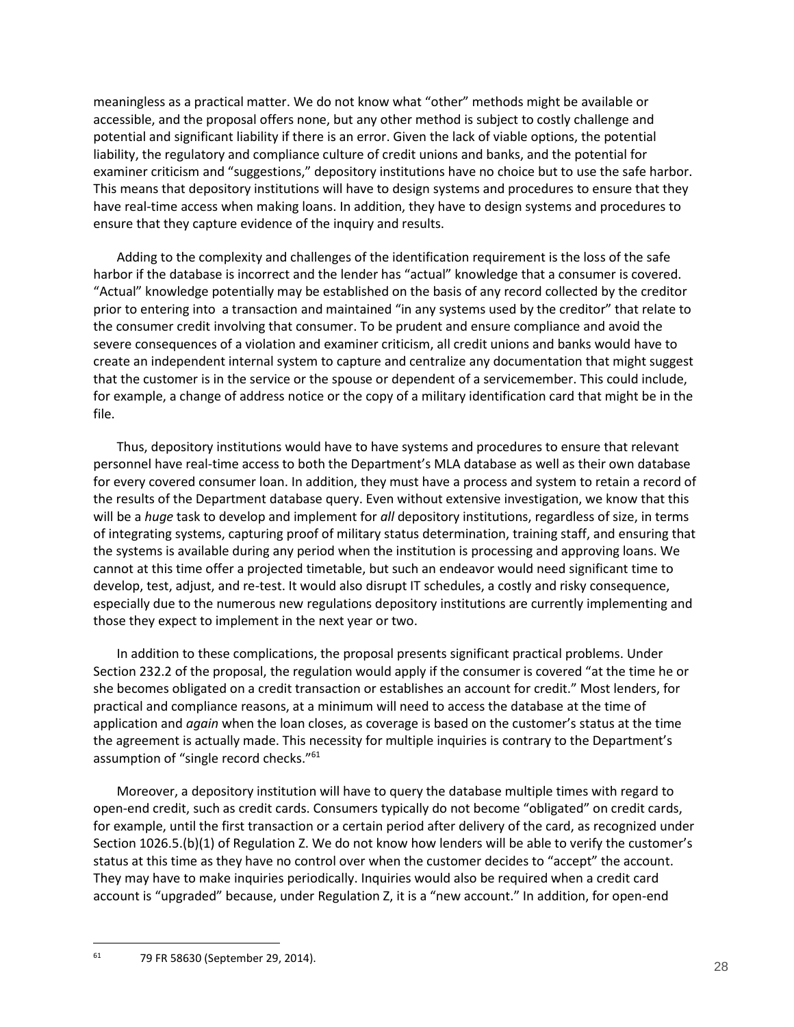meaningless as a practical matter. We do not know what "other" methods might be available or accessible, and the proposal offers none, but any other method is subject to costly challenge and potential and significant liability if there is an error. Given the lack of viable options, the potential liability, the regulatory and compliance culture of credit unions and banks, and the potential for examiner criticism and "suggestions," depository institutions have no choice but to use the safe harbor. This means that depository institutions will have to design systems and procedures to ensure that they have real-time access when making loans. In addition, they have to design systems and procedures to ensure that they capture evidence of the inquiry and results.

Adding to the complexity and challenges of the identification requirement is the loss of the safe harbor if the database is incorrect and the lender has "actual" knowledge that a consumer is covered. "Actual" knowledge potentially may be established on the basis of any record collected by the creditor prior to entering into a transaction and maintained "in any systems used by the creditor" that relate to the consumer credit involving that consumer. To be prudent and ensure compliance and avoid the severe consequences of a violation and examiner criticism, all credit unions and banks would have to create an independent internal system to capture and centralize any documentation that might suggest that the customer is in the service or the spouse or dependent of a servicemember. This could include, for example, a change of address notice or the copy of a military identification card that might be in the file.

Thus, depository institutions would have to have systems and procedures to ensure that relevant personnel have real-time access to both the Department's MLA database as well as their own database for every covered consumer loan. In addition, they must have a process and system to retain a record of the results of the Department database query. Even without extensive investigation, we know that this will be a *huge* task to develop and implement for *all* depository institutions, regardless of size, in terms of integrating systems, capturing proof of military status determination, training staff, and ensuring that the systems is available during any period when the institution is processing and approving loans. We cannot at this time offer a projected timetable, but such an endeavor would need significant time to develop, test, adjust, and re-test. It would also disrupt IT schedules, a costly and risky consequence, especially due to the numerous new regulations depository institutions are currently implementing and those they expect to implement in the next year or two.

In addition to these complications, the proposal presents significant practical problems. Under Section 232.2 of the proposal, the regulation would apply if the consumer is covered "at the time he or she becomes obligated on a credit transaction or establishes an account for credit." Most lenders, for practical and compliance reasons, at a minimum will need to access the database at the time of application and *again* when the loan closes, as coverage is based on the customer's status at the time the agreement is actually made. This necessity for multiple inquiries is contrary to the Department's assumption of "single record checks."<sup>61</sup>

Moreover, a depository institution will have to query the database multiple times with regard to open-end credit, such as credit cards. Consumers typically do not become "obligated" on credit cards, for example, until the first transaction or a certain period after delivery of the card, as recognized under Section 1026.5.(b)(1) of Regulation Z. We do not know how lenders will be able to verify the customer's status at this time as they have no control over when the customer decides to "accept" the account. They may have to make inquiries periodically. Inquiries would also be required when a credit card account is "upgraded" because, under Regulation Z, it is a "new account." In addition, for open-end

<sup>61</sup> 79 FR 58630 (September 29, 2014).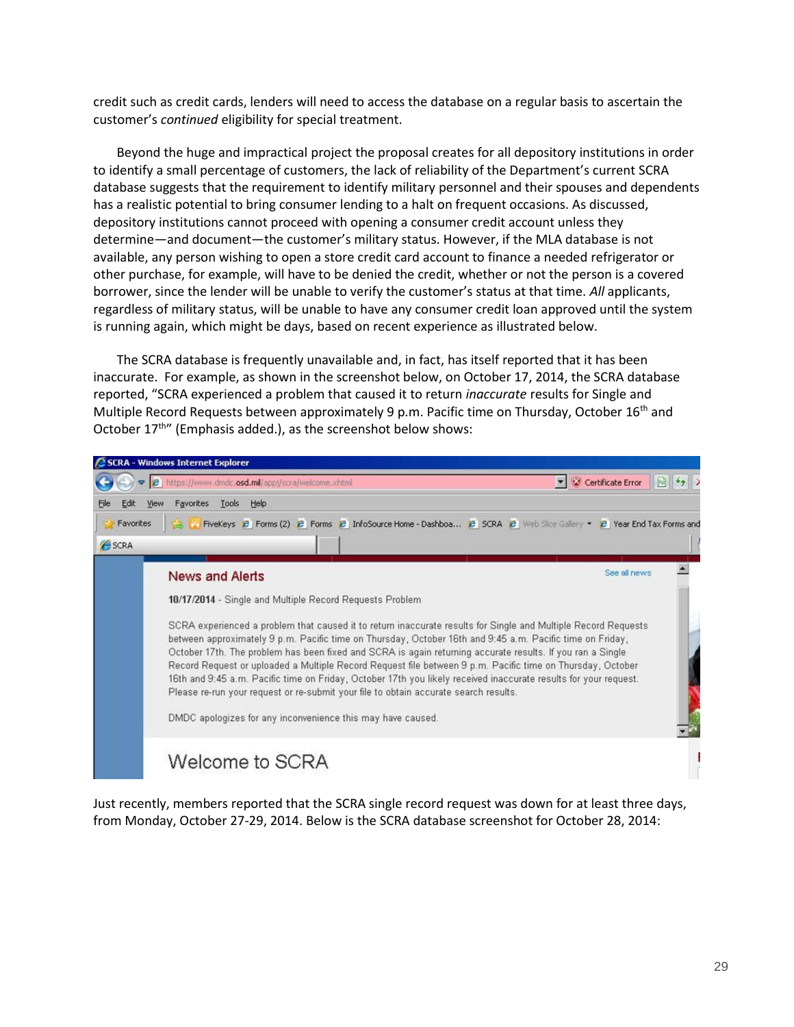credit such as credit cards, lenders will need to access the database on a regular basis to ascertain the customer's *continued* eligibility for special treatment.

Beyond the huge and impractical project the proposal creates for all depository institutions in order to identify a small percentage of customers, the lack of reliability of the Department's current SCRA database suggests that the requirement to identify military personnel and their spouses and dependents has a realistic potential to bring consumer lending to a halt on frequent occasions. As discussed, depository institutions cannot proceed with opening a consumer credit account unless they determine—and document—the customer's military status. However, if the MLA database is not available, any person wishing to open a store credit card account to finance a needed refrigerator or other purchase, for example, will have to be denied the credit, whether or not the person is a covered borrower, since the lender will be unable to verify the customer's status at that time. *All* applicants, regardless of military status, will be unable to have any consumer credit loan approved until the system is running again, which might be days, based on recent experience as illustrated below.

The SCRA database is frequently unavailable and, in fact, has itself reported that it has been inaccurate. For example, as shown in the screenshot below, on October 17, 2014, the SCRA database reported, "SCRA experienced a problem that caused it to return *inaccurate* results for Single and Multiple Record Requests between approximately 9 p.m. Pacific time on Thursday, October 16<sup>th</sup> and October 17<sup>th</sup>" (Emphasis added.), as the screenshot below shows:



Just recently, members reported that the SCRA single record request was down for at least three days, from Monday, October 27-29, 2014. Below is the SCRA database screenshot for October 28, 2014: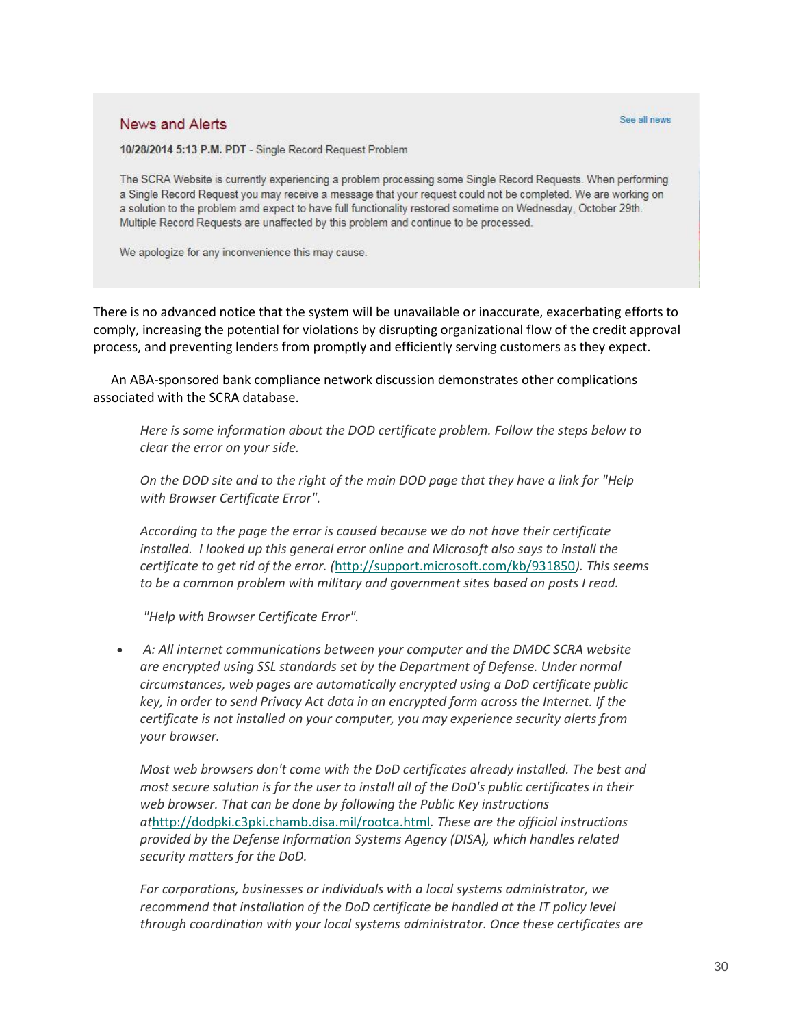### News and Alerts

#### See all news

10/28/2014 5:13 P.M. PDT - Single Record Request Problem

The SCRA Website is currently experiencing a problem processing some Single Record Requests. When performing a Single Record Request you may receive a message that your request could not be completed. We are working on a solution to the problem amd expect to have full functionality restored sometime on Wednesday, October 29th. Multiple Record Requests are unaffected by this problem and continue to be processed.

We apologize for any inconvenience this may cause.

There is no advanced notice that the system will be unavailable or inaccurate, exacerbating efforts to comply, increasing the potential for violations by disrupting organizational flow of the credit approval process, and preventing lenders from promptly and efficiently serving customers as they expect.

An ABA-sponsored bank compliance network discussion demonstrates other complications associated with the SCRA database.

*Here is some information about the DOD certificate problem. Follow the steps below to clear the error on your side.*

*On the DOD site and to the right of the main DOD page that they have a link for "Help with Browser Certificate Error".*

*According to the page the error is caused because we do not have their certificate installed. I looked up this general error online and Microsoft also says to install the certificate to get rid of the error. (*<http://support.microsoft.com/kb/931850>*). This seems to be a common problem with military and government sites based on posts I read.* 

*"Help with Browser Certificate Error".*

 *A: All internet communications between your computer and the DMDC SCRA website are encrypted using SSL standards set by the Department of Defense. Under normal circumstances, web pages are automatically encrypted using a DoD certificate public key, in order to send Privacy Act data in an encrypted form across the Internet. If the certificate is not installed on your computer, you may experience security alerts from your browser.*

*Most web browsers don't come with the DoD certificates already installed. The best and most secure solution is for the user to install all of the DoD's public certificates in their web browser. That can be done by following the Public Key instructions at*<http://dodpki.c3pki.chamb.disa.mil/rootca.html>*. These are the official instructions provided by the Defense Information Systems Agency (DISA), which handles related security matters for the DoD.*

*For corporations, businesses or individuals with a local systems administrator, we recommend that installation of the DoD certificate be handled at the IT policy level through coordination with your local systems administrator. Once these certificates are*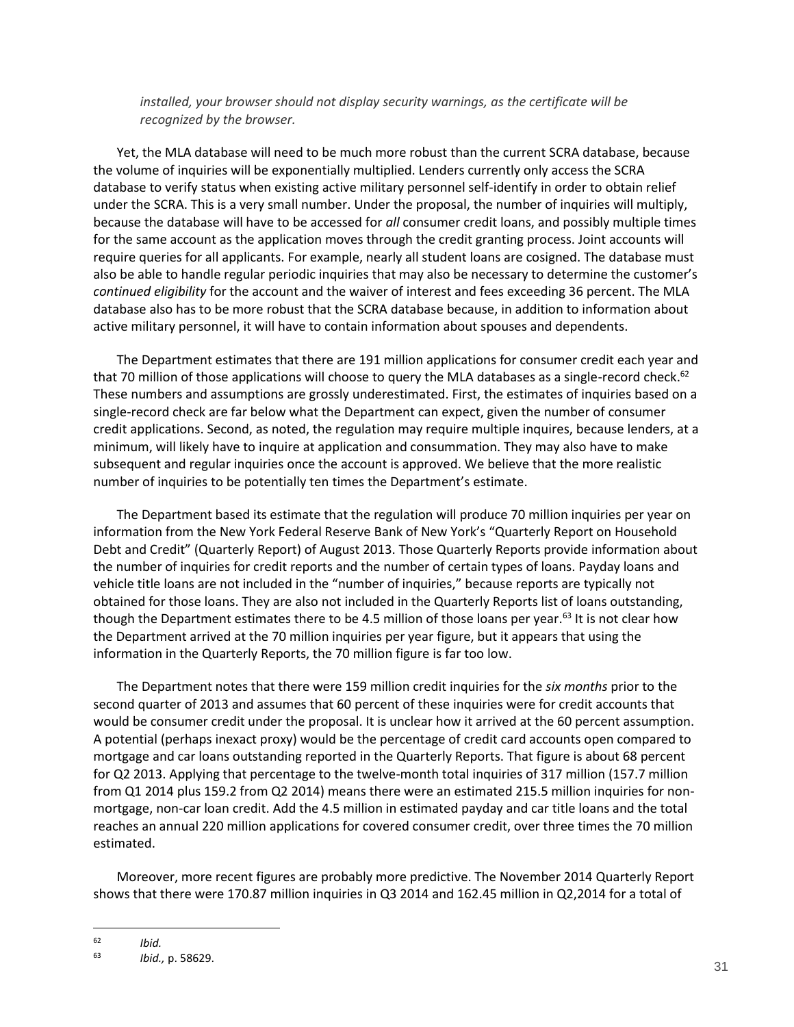*installed, your browser should not display security warnings, as the certificate will be recognized by the browser.*

Yet, the MLA database will need to be much more robust than the current SCRA database, because the volume of inquiries will be exponentially multiplied. Lenders currently only access the SCRA database to verify status when existing active military personnel self-identify in order to obtain relief under the SCRA. This is a very small number. Under the proposal, the number of inquiries will multiply, because the database will have to be accessed for *all* consumer credit loans, and possibly multiple times for the same account as the application moves through the credit granting process. Joint accounts will require queries for all applicants. For example, nearly all student loans are cosigned. The database must also be able to handle regular periodic inquiries that may also be necessary to determine the customer's *continued eligibility* for the account and the waiver of interest and fees exceeding 36 percent. The MLA database also has to be more robust that the SCRA database because, in addition to information about active military personnel, it will have to contain information about spouses and dependents.

The Department estimates that there are 191 million applications for consumer credit each year and that 70 million of those applications will choose to query the MLA databases as a single-record check.<sup>62</sup> These numbers and assumptions are grossly underestimated. First, the estimates of inquiries based on a single-record check are far below what the Department can expect, given the number of consumer credit applications. Second, as noted, the regulation may require multiple inquires, because lenders, at a minimum, will likely have to inquire at application and consummation. They may also have to make subsequent and regular inquiries once the account is approved. We believe that the more realistic number of inquiries to be potentially ten times the Department's estimate.

The Department based its estimate that the regulation will produce 70 million inquiries per year on information from the New York Federal Reserve Bank of New York's "Quarterly Report on Household Debt and Credit" (Quarterly Report) of August 2013. Those Quarterly Reports provide information about the number of inquiries for credit reports and the number of certain types of loans. Payday loans and vehicle title loans are not included in the "number of inquiries," because reports are typically not obtained for those loans. They are also not included in the Quarterly Reports list of loans outstanding, though the Department estimates there to be 4.5 million of those loans per year.<sup>63</sup> It is not clear how the Department arrived at the 70 million inquiries per year figure, but it appears that using the information in the Quarterly Reports, the 70 million figure is far too low.

The Department notes that there were 159 million credit inquiries for the *six months* prior to the second quarter of 2013 and assumes that 60 percent of these inquiries were for credit accounts that would be consumer credit under the proposal. It is unclear how it arrived at the 60 percent assumption. A potential (perhaps inexact proxy) would be the percentage of credit card accounts open compared to mortgage and car loans outstanding reported in the Quarterly Reports. That figure is about 68 percent for Q2 2013. Applying that percentage to the twelve-month total inquiries of 317 million (157.7 million from Q1 2014 plus 159.2 from Q2 2014) means there were an estimated 215.5 million inquiries for nonmortgage, non-car loan credit. Add the 4.5 million in estimated payday and car title loans and the total reaches an annual 220 million applications for covered consumer credit, over three times the 70 million estimated.

Moreover, more recent figures are probably more predictive. The November 2014 Quarterly Report shows that there were 170.87 million inquiries in Q3 2014 and 162.45 million in Q2,2014 for a total of

 $\begin{array}{ccc} 62 & & Ibid. \\ 63 & & Ibid. \end{array}$ 

<sup>63</sup> *Ibid.,* p. 58629.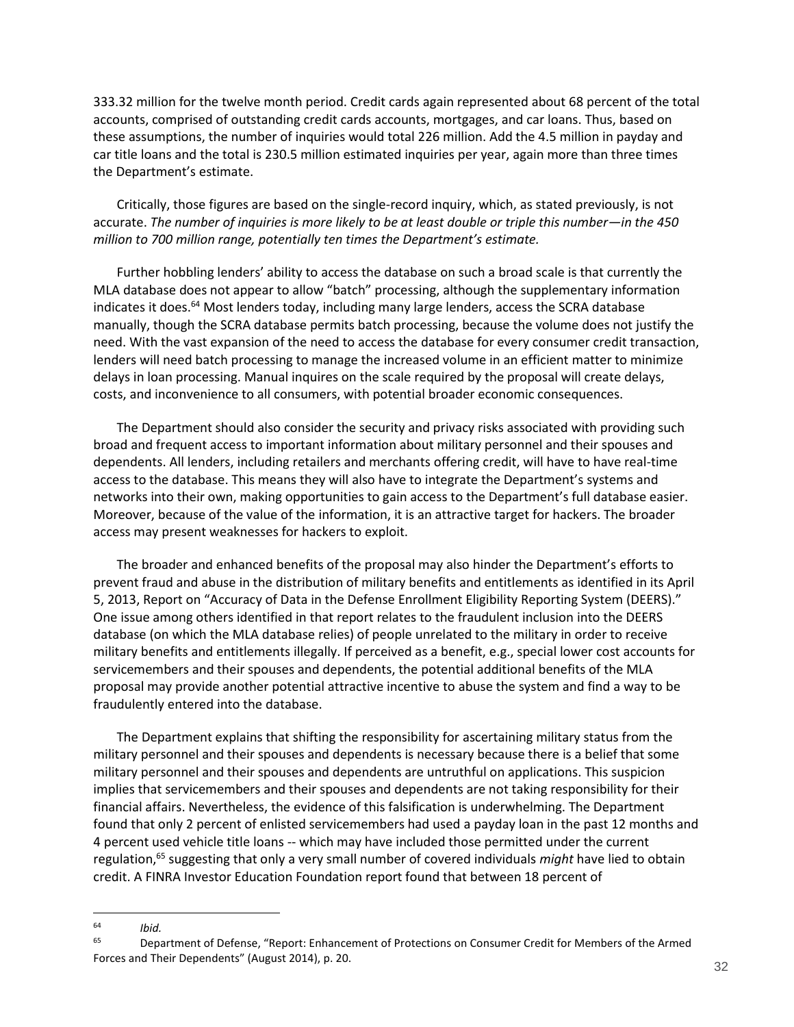333.32 million for the twelve month period. Credit cards again represented about 68 percent of the total accounts, comprised of outstanding credit cards accounts, mortgages, and car loans. Thus, based on these assumptions, the number of inquiries would total 226 million. Add the 4.5 million in payday and car title loans and the total is 230.5 million estimated inquiries per year, again more than three times the Department's estimate.

Critically, those figures are based on the single-record inquiry, which, as stated previously, is not accurate. *The number of inquiries is more likely to be at least double or triple this number—in the 450 million to 700 million range, potentially ten times the Department's estimate.* 

Further hobbling lenders' ability to access the database on such a broad scale is that currently the MLA database does not appear to allow "batch" processing, although the supplementary information indicates it does.<sup>64</sup> Most lenders today, including many large lenders, access the SCRA database manually, though the SCRA database permits batch processing, because the volume does not justify the need. With the vast expansion of the need to access the database for every consumer credit transaction, lenders will need batch processing to manage the increased volume in an efficient matter to minimize delays in loan processing. Manual inquires on the scale required by the proposal will create delays, costs, and inconvenience to all consumers, with potential broader economic consequences.

The Department should also consider the security and privacy risks associated with providing such broad and frequent access to important information about military personnel and their spouses and dependents. All lenders, including retailers and merchants offering credit, will have to have real-time access to the database. This means they will also have to integrate the Department's systems and networks into their own, making opportunities to gain access to the Department's full database easier. Moreover, because of the value of the information, it is an attractive target for hackers. The broader access may present weaknesses for hackers to exploit.

The broader and enhanced benefits of the proposal may also hinder the Department's efforts to prevent fraud and abuse in the distribution of military benefits and entitlements as identified in its April 5, 2013, Report on "Accuracy of Data in the Defense Enrollment Eligibility Reporting System (DEERS)." One issue among others identified in that report relates to the fraudulent inclusion into the DEERS database (on which the MLA database relies) of people unrelated to the military in order to receive military benefits and entitlements illegally. If perceived as a benefit, e.g., special lower cost accounts for servicemembers and their spouses and dependents, the potential additional benefits of the MLA proposal may provide another potential attractive incentive to abuse the system and find a way to be fraudulently entered into the database.

The Department explains that shifting the responsibility for ascertaining military status from the military personnel and their spouses and dependents is necessary because there is a belief that some military personnel and their spouses and dependents are untruthful on applications. This suspicion implies that servicemembers and their spouses and dependents are not taking responsibility for their financial affairs. Nevertheless, the evidence of this falsification is underwhelming. The Department found that only 2 percent of enlisted servicemembers had used a payday loan in the past 12 months and 4 percent used vehicle title loans -- which may have included those permitted under the current regulation,<sup>65</sup> suggesting that only a very small number of covered individuals *might* have lied to obtain credit. A FINRA Investor Education Foundation report found that between 18 percent of

<sup>64</sup> *Ibid.*

<sup>65</sup> Department of Defense, "Report: Enhancement of Protections on Consumer Credit for Members of the Armed Forces and Their Dependents" (August 2014), p. 20.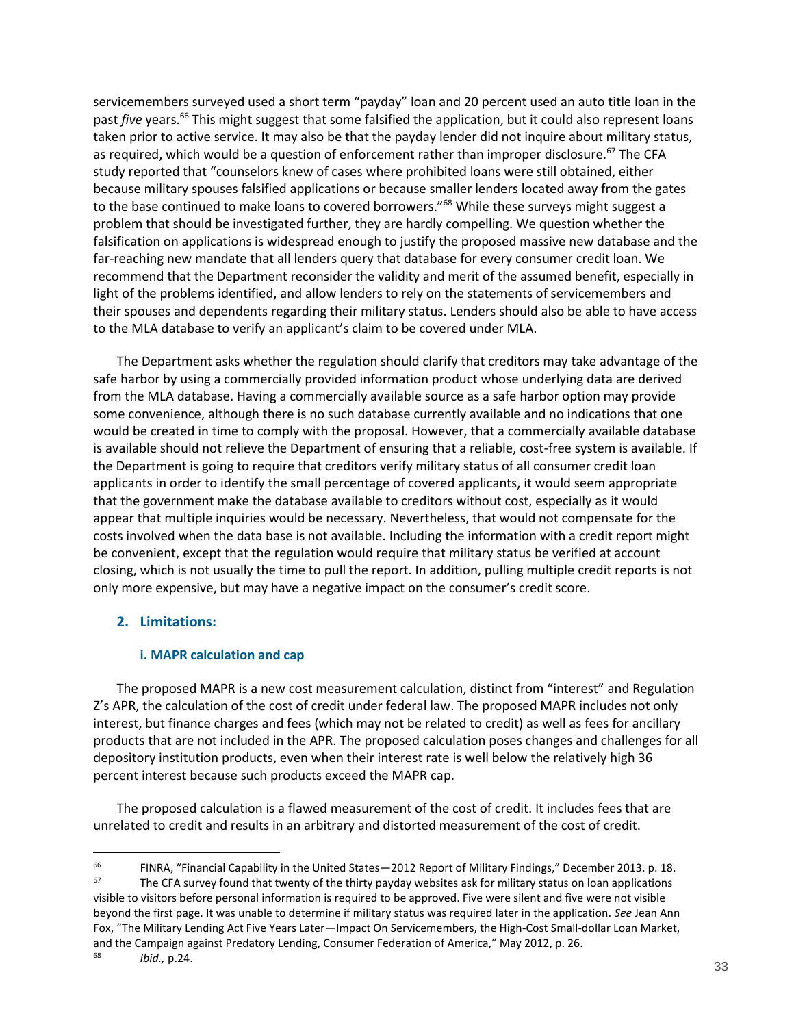servicemembers surveyed used a short term "payday" loan and 20 percent used an auto title loan in the past *five* years.<sup>66</sup> This might suggest that some falsified the application, but it could also represent loans taken prior to active service. It may also be that the payday lender did not inquire about military status, as required, which would be a question of enforcement rather than improper disclosure.<sup>67</sup> The CFA study reported that "counselors knew of cases where prohibited loans were still obtained, either because military spouses falsified applications or because smaller lenders located away from the gates to the base continued to make loans to covered borrowers."<sup>68</sup> While these surveys might suggest a problem that should be investigated further, they are hardly compelling. We question whether the falsification on applications is widespread enough to justify the proposed massive new database and the far-reaching new mandate that all lenders query that database for every consumer credit loan. We recommend that the Department reconsider the validity and merit of the assumed benefit, especially in light of the problems identified, and allow lenders to rely on the statements of servicemembers and their spouses and dependents regarding their military status. Lenders should also be able to have access to the MLA database to verify an applicant's claim to be covered under MLA.

The Department asks whether the regulation should clarify that creditors may take advantage of the safe harbor by using a commercially provided information product whose underlying data are derived from the MLA database. Having a commercially available source as a safe harbor option may provide some convenience, although there is no such database currently available and no indications that one would be created in time to comply with the proposal. However, that a commercially available database is available should not relieve the Department of ensuring that a reliable, cost-free system is available. If the Department is going to require that creditors verify military status of all consumer credit loan applicants in order to identify the small percentage of covered applicants, it would seem appropriate that the government make the database available to creditors without cost, especially as it would appear that multiple inquiries would be necessary. Nevertheless, that would not compensate for the costs involved when the data base is not available. Including the information with a credit report might be convenient, except that the regulation would require that military status be verified at account closing, which is not usually the time to pull the report. In addition, pulling multiple credit reports is not only more expensive, but may have a negative impact on the consumer's credit score.

## <span id="page-32-0"></span>**2. Limitations:**

 $\overline{a}$ 

### **i. MAPR calculation and cap**

<span id="page-32-1"></span>The proposed MAPR is a new cost measurement calculation, distinct from "interest" and Regulation Z's APR, the calculation of the cost of credit under federal law. The proposed MAPR includes not only interest, but finance charges and fees (which may not be related to credit) as well as fees for ancillary products that are not included in the APR. The proposed calculation poses changes and challenges for all depository institution products, even when their interest rate is well below the relatively high 36 percent interest because such products exceed the MAPR cap.

The proposed calculation is a flawed measurement of the cost of credit. It includes fees that are unrelated to credit and results in an arbitrary and distorted measurement of the cost of credit.

<sup>66</sup> FINRA, "Financial Capability in the United States—2012 Report of Military Findings," December 2013. p. 18.  $67$  The CFA survey found that twenty of the thirty payday websites ask for military status on loan applications visible to visitors before personal information is required to be approved. Five were silent and five were not visible beyond the first page. It was unable to determine if military status was required later in the application. *See* Jean Ann Fox, "The Military Lending Act Five Years Later—Impact On Servicemembers, the High-Cost Small-dollar Loan Market, and the Campaign against Predatory Lending, Consumer Federation of America," May 2012, p. 26. 68 *Ibid.,* p.24.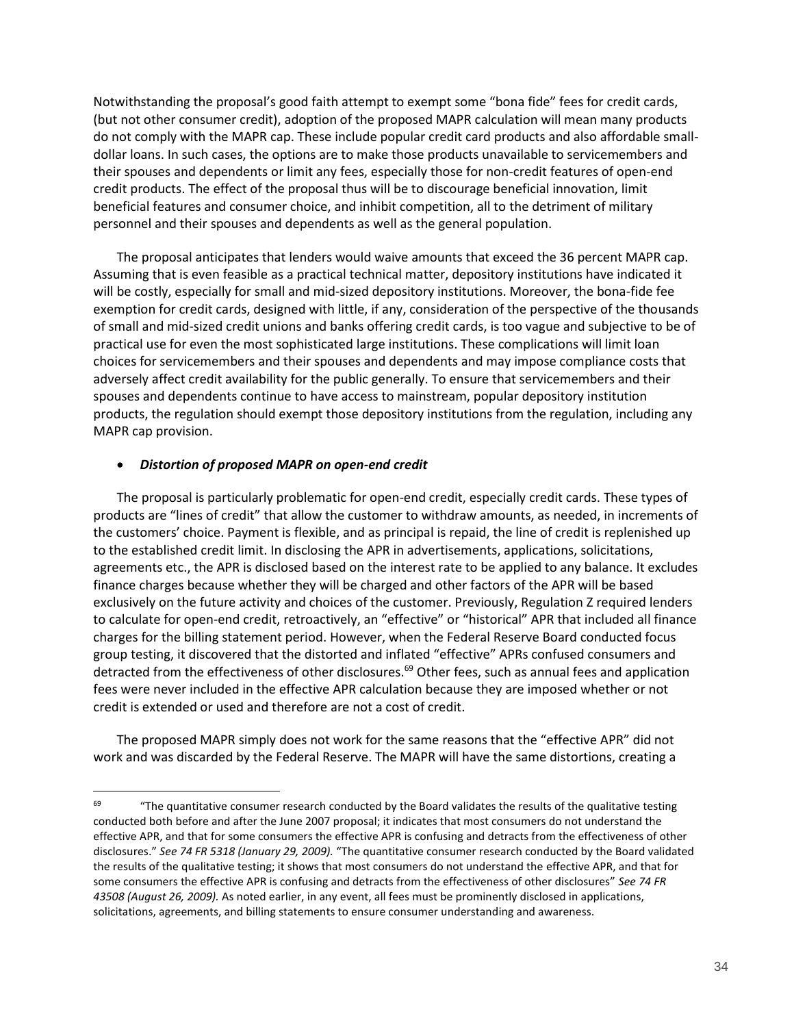Notwithstanding the proposal's good faith attempt to exempt some "bona fide" fees for credit cards, (but not other consumer credit), adoption of the proposed MAPR calculation will mean many products do not comply with the MAPR cap. These include popular credit card products and also affordable smalldollar loans. In such cases, the options are to make those products unavailable to servicemembers and their spouses and dependents or limit any fees, especially those for non-credit features of open-end credit products. The effect of the proposal thus will be to discourage beneficial innovation, limit beneficial features and consumer choice, and inhibit competition, all to the detriment of military personnel and their spouses and dependents as well as the general population.

The proposal anticipates that lenders would waive amounts that exceed the 36 percent MAPR cap. Assuming that is even feasible as a practical technical matter, depository institutions have indicated it will be costly, especially for small and mid-sized depository institutions. Moreover, the bona-fide fee exemption for credit cards, designed with little, if any, consideration of the perspective of the thousands of small and mid-sized credit unions and banks offering credit cards, is too vague and subjective to be of practical use for even the most sophisticated large institutions. These complications will limit loan choices for servicemembers and their spouses and dependents and may impose compliance costs that adversely affect credit availability for the public generally. To ensure that servicemembers and their spouses and dependents continue to have access to mainstream, popular depository institution products, the regulation should exempt those depository institutions from the regulation, including any MAPR cap provision.

### *Distortion of proposed MAPR on open-end credit*

 $\overline{a}$ 

The proposal is particularly problematic for open-end credit, especially credit cards. These types of products are "lines of credit" that allow the customer to withdraw amounts, as needed, in increments of the customers' choice. Payment is flexible, and as principal is repaid, the line of credit is replenished up to the established credit limit. In disclosing the APR in advertisements, applications, solicitations, agreements etc., the APR is disclosed based on the interest rate to be applied to any balance. It excludes finance charges because whether they will be charged and other factors of the APR will be based exclusively on the future activity and choices of the customer. Previously, Regulation Z required lenders to calculate for open-end credit, retroactively, an "effective" or "historical" APR that included all finance charges for the billing statement period. However, when the Federal Reserve Board conducted focus group testing, it discovered that the distorted and inflated "effective" APRs confused consumers and detracted from the effectiveness of other disclosures.<sup>69</sup> Other fees, such as annual fees and application fees were never included in the effective APR calculation because they are imposed whether or not credit is extended or used and therefore are not a cost of credit.

The proposed MAPR simply does not work for the same reasons that the "effective APR" did not work and was discarded by the Federal Reserve. The MAPR will have the same distortions, creating a

 $69$   $49$   $40$  The quantitative consumer research conducted by the Board validates the results of the qualitative testing conducted both before and after the June 2007 proposal; it indicates that most consumers do not understand the effective APR, and that for some consumers the effective APR is confusing and detracts from the effectiveness of other disclosures." *See 74 FR 5318 (January 29, 2009).* "The quantitative consumer research conducted by the Board validated the results of the qualitative testing; it shows that most consumers do not understand the effective APR, and that for some consumers the effective APR is confusing and detracts from the effectiveness of other disclosures" *See 74 FR 43508 (August 26, 2009).* As noted earlier, in any event, all fees must be prominently disclosed in applications, solicitations, agreements, and billing statements to ensure consumer understanding and awareness.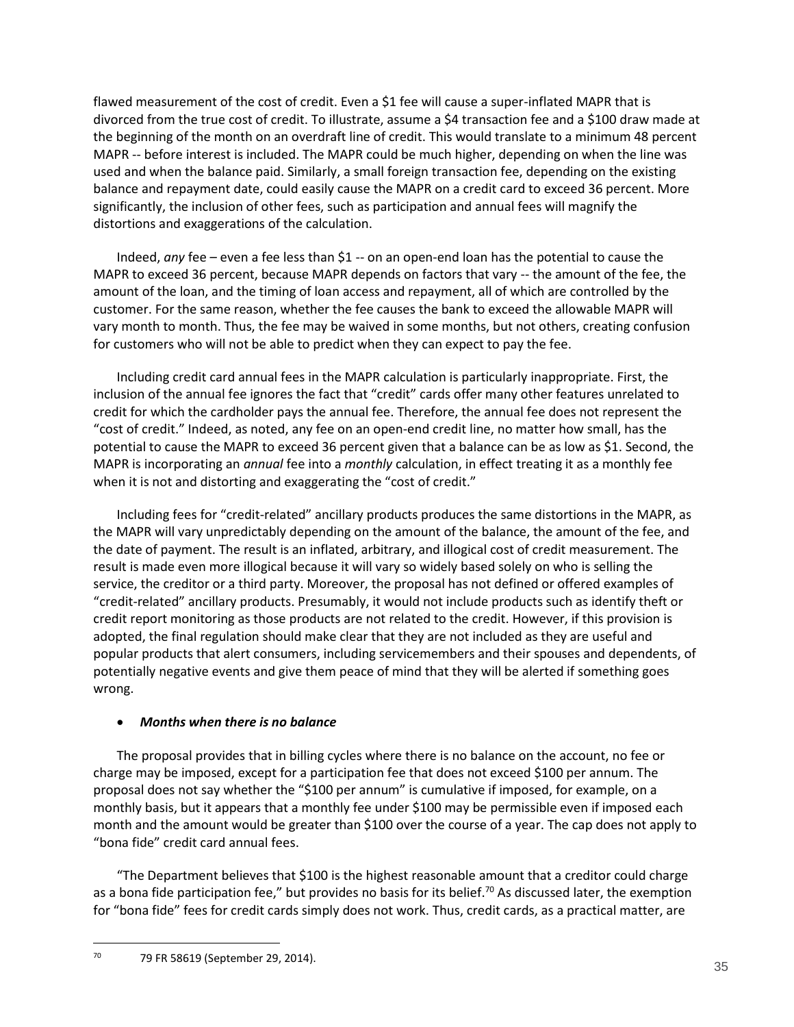flawed measurement of the cost of credit. Even a \$1 fee will cause a super-inflated MAPR that is divorced from the true cost of credit. To illustrate, assume a \$4 transaction fee and a \$100 draw made at the beginning of the month on an overdraft line of credit. This would translate to a minimum 48 percent MAPR -- before interest is included. The MAPR could be much higher, depending on when the line was used and when the balance paid. Similarly, a small foreign transaction fee, depending on the existing balance and repayment date, could easily cause the MAPR on a credit card to exceed 36 percent. More significantly, the inclusion of other fees, such as participation and annual fees will magnify the distortions and exaggerations of the calculation.

Indeed, *any* fee – even a fee less than \$1 -- on an open-end loan has the potential to cause the MAPR to exceed 36 percent, because MAPR depends on factors that vary -- the amount of the fee, the amount of the loan, and the timing of loan access and repayment, all of which are controlled by the customer. For the same reason, whether the fee causes the bank to exceed the allowable MAPR will vary month to month. Thus, the fee may be waived in some months, but not others, creating confusion for customers who will not be able to predict when they can expect to pay the fee.

Including credit card annual fees in the MAPR calculation is particularly inappropriate. First, the inclusion of the annual fee ignores the fact that "credit" cards offer many other features unrelated to credit for which the cardholder pays the annual fee. Therefore, the annual fee does not represent the "cost of credit." Indeed, as noted, any fee on an open-end credit line, no matter how small, has the potential to cause the MAPR to exceed 36 percent given that a balance can be as low as \$1. Second, the MAPR is incorporating an *annual* fee into a *monthly* calculation, in effect treating it as a monthly fee when it is not and distorting and exaggerating the "cost of credit."

Including fees for "credit-related" ancillary products produces the same distortions in the MAPR, as the MAPR will vary unpredictably depending on the amount of the balance, the amount of the fee, and the date of payment. The result is an inflated, arbitrary, and illogical cost of credit measurement. The result is made even more illogical because it will vary so widely based solely on who is selling the service, the creditor or a third party. Moreover, the proposal has not defined or offered examples of "credit-related" ancillary products. Presumably, it would not include products such as identify theft or credit report monitoring as those products are not related to the credit. However, if this provision is adopted, the final regulation should make clear that they are not included as they are useful and popular products that alert consumers, including servicemembers and their spouses and dependents, of potentially negative events and give them peace of mind that they will be alerted if something goes wrong.

## *Months when there is no balance*

The proposal provides that in billing cycles where there is no balance on the account, no fee or charge may be imposed, except for a participation fee that does not exceed \$100 per annum. The proposal does not say whether the "\$100 per annum" is cumulative if imposed, for example, on a monthly basis, but it appears that a monthly fee under \$100 may be permissible even if imposed each month and the amount would be greater than \$100 over the course of a year. The cap does not apply to "bona fide" credit card annual fees.

"The Department believes that \$100 is the highest reasonable amount that a creditor could charge as a bona fide participation fee," but provides no basis for its belief.<sup>70</sup> As discussed later, the exemption for "bona fide" fees for credit cards simply does not work. Thus, credit cards, as a practical matter, are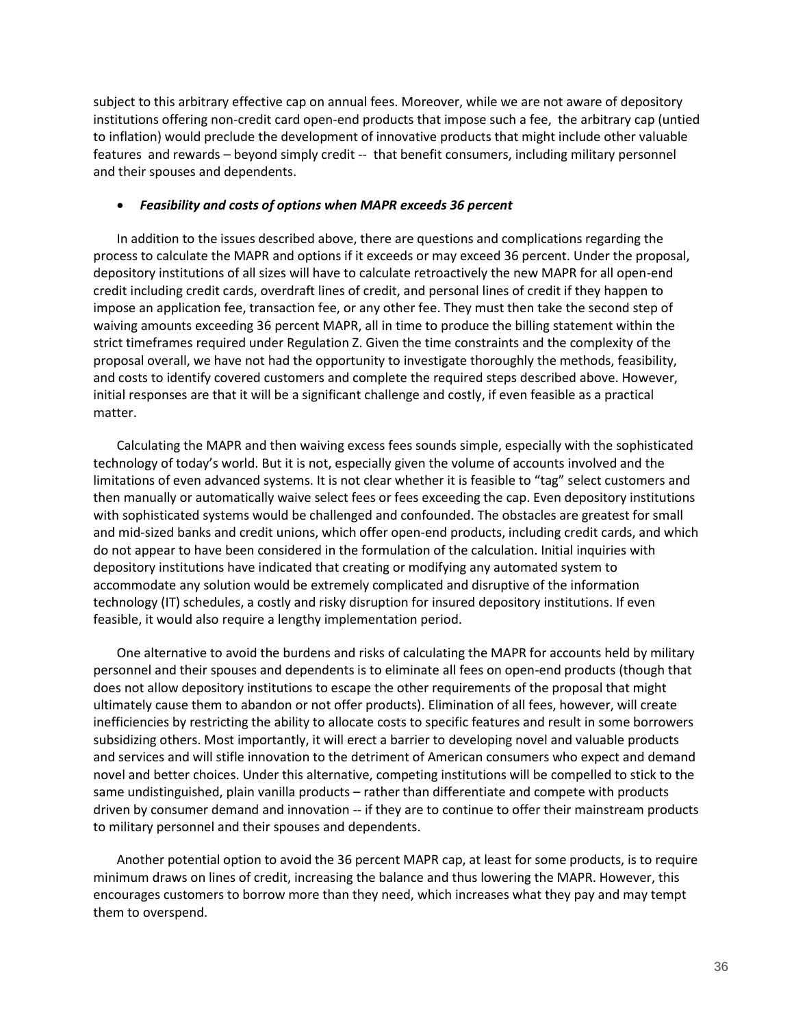subject to this arbitrary effective cap on annual fees. Moreover, while we are not aware of depository institutions offering non-credit card open-end products that impose such a fee, the arbitrary cap (untied to inflation) would preclude the development of innovative products that might include other valuable features and rewards – beyond simply credit -- that benefit consumers, including military personnel and their spouses and dependents.

### *Feasibility and costs of options when MAPR exceeds 36 percent*

In addition to the issues described above, there are questions and complications regarding the process to calculate the MAPR and options if it exceeds or may exceed 36 percent. Under the proposal, depository institutions of all sizes will have to calculate retroactively the new MAPR for all open-end credit including credit cards, overdraft lines of credit, and personal lines of credit if they happen to impose an application fee, transaction fee, or any other fee. They must then take the second step of waiving amounts exceeding 36 percent MAPR, all in time to produce the billing statement within the strict timeframes required under Regulation Z. Given the time constraints and the complexity of the proposal overall, we have not had the opportunity to investigate thoroughly the methods, feasibility, and costs to identify covered customers and complete the required steps described above. However, initial responses are that it will be a significant challenge and costly, if even feasible as a practical matter.

Calculating the MAPR and then waiving excess fees sounds simple, especially with the sophisticated technology of today's world. But it is not, especially given the volume of accounts involved and the limitations of even advanced systems. It is not clear whether it is feasible to "tag" select customers and then manually or automatically waive select fees or fees exceeding the cap. Even depository institutions with sophisticated systems would be challenged and confounded. The obstacles are greatest for small and mid-sized banks and credit unions, which offer open-end products, including credit cards, and which do not appear to have been considered in the formulation of the calculation. Initial inquiries with depository institutions have indicated that creating or modifying any automated system to accommodate any solution would be extremely complicated and disruptive of the information technology (IT) schedules, a costly and risky disruption for insured depository institutions. If even feasible, it would also require a lengthy implementation period.

One alternative to avoid the burdens and risks of calculating the MAPR for accounts held by military personnel and their spouses and dependents is to eliminate all fees on open-end products (though that does not allow depository institutions to escape the other requirements of the proposal that might ultimately cause them to abandon or not offer products). Elimination of all fees, however, will create inefficiencies by restricting the ability to allocate costs to specific features and result in some borrowers subsidizing others. Most importantly, it will erect a barrier to developing novel and valuable products and services and will stifle innovation to the detriment of American consumers who expect and demand novel and better choices. Under this alternative, competing institutions will be compelled to stick to the same undistinguished, plain vanilla products – rather than differentiate and compete with products driven by consumer demand and innovation -- if they are to continue to offer their mainstream products to military personnel and their spouses and dependents.

Another potential option to avoid the 36 percent MAPR cap, at least for some products, is to require minimum draws on lines of credit, increasing the balance and thus lowering the MAPR. However, this encourages customers to borrow more than they need, which increases what they pay and may tempt them to overspend.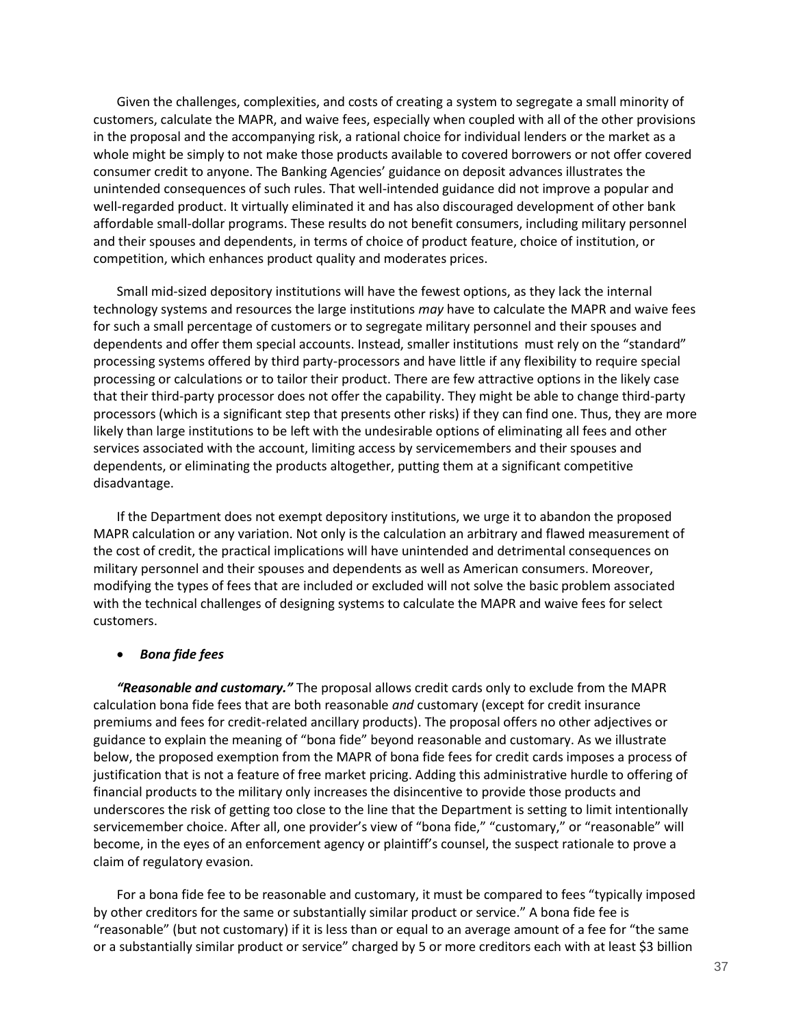Given the challenges, complexities, and costs of creating a system to segregate a small minority of customers, calculate the MAPR, and waive fees, especially when coupled with all of the other provisions in the proposal and the accompanying risk, a rational choice for individual lenders or the market as a whole might be simply to not make those products available to covered borrowers or not offer covered consumer credit to anyone. The Banking Agencies' guidance on deposit advances illustrates the unintended consequences of such rules. That well-intended guidance did not improve a popular and well-regarded product. It virtually eliminated it and has also discouraged development of other bank affordable small-dollar programs. These results do not benefit consumers, including military personnel and their spouses and dependents, in terms of choice of product feature, choice of institution, or competition, which enhances product quality and moderates prices.

Small mid-sized depository institutions will have the fewest options, as they lack the internal technology systems and resources the large institutions *may* have to calculate the MAPR and waive fees for such a small percentage of customers or to segregate military personnel and their spouses and dependents and offer them special accounts. Instead, smaller institutions must rely on the "standard" processing systems offered by third party-processors and have little if any flexibility to require special processing or calculations or to tailor their product. There are few attractive options in the likely case that their third-party processor does not offer the capability. They might be able to change third-party processors (which is a significant step that presents other risks) if they can find one. Thus, they are more likely than large institutions to be left with the undesirable options of eliminating all fees and other services associated with the account, limiting access by servicemembers and their spouses and dependents, or eliminating the products altogether, putting them at a significant competitive disadvantage.

If the Department does not exempt depository institutions, we urge it to abandon the proposed MAPR calculation or any variation. Not only is the calculation an arbitrary and flawed measurement of the cost of credit, the practical implications will have unintended and detrimental consequences on military personnel and their spouses and dependents as well as American consumers. Moreover, modifying the types of fees that are included or excluded will not solve the basic problem associated with the technical challenges of designing systems to calculate the MAPR and waive fees for select customers.

### *Bona fide fees*

*"Reasonable and customary."* The proposal allows credit cards only to exclude from the MAPR calculation bona fide fees that are both reasonable *and* customary (except for credit insurance premiums and fees for credit-related ancillary products). The proposal offers no other adjectives or guidance to explain the meaning of "bona fide" beyond reasonable and customary. As we illustrate below, the proposed exemption from the MAPR of bona fide fees for credit cards imposes a process of justification that is not a feature of free market pricing. Adding this administrative hurdle to offering of financial products to the military only increases the disincentive to provide those products and underscores the risk of getting too close to the line that the Department is setting to limit intentionally servicemember choice. After all, one provider's view of "bona fide," "customary," or "reasonable" will become, in the eyes of an enforcement agency or plaintiff's counsel, the suspect rationale to prove a claim of regulatory evasion.

For a bona fide fee to be reasonable and customary, it must be compared to fees "typically imposed by other creditors for the same or substantially similar product or service." A bona fide fee is "reasonable" (but not customary) if it is less than or equal to an average amount of a fee for "the same or a substantially similar product or service" charged by 5 or more creditors each with at least \$3 billion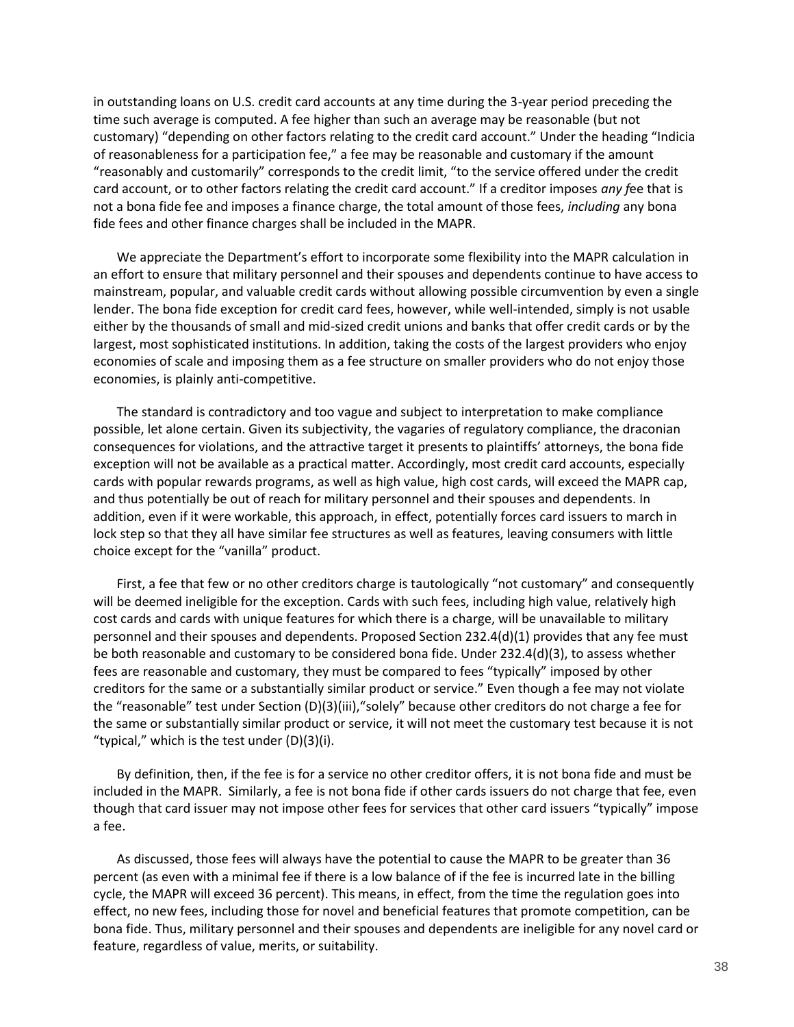in outstanding loans on U.S. credit card accounts at any time during the 3-year period preceding the time such average is computed. A fee higher than such an average may be reasonable (but not customary) "depending on other factors relating to the credit card account." Under the heading "Indicia of reasonableness for a participation fee," a fee may be reasonable and customary if the amount "reasonably and customarily" corresponds to the credit limit, "to the service offered under the credit card account, or to other factors relating the credit card account." If a creditor imposes *any f*ee that is not a bona fide fee and imposes a finance charge, the total amount of those fees, *including* any bona fide fees and other finance charges shall be included in the MAPR.

We appreciate the Department's effort to incorporate some flexibility into the MAPR calculation in an effort to ensure that military personnel and their spouses and dependents continue to have access to mainstream, popular, and valuable credit cards without allowing possible circumvention by even a single lender. The bona fide exception for credit card fees, however, while well-intended, simply is not usable either by the thousands of small and mid-sized credit unions and banks that offer credit cards or by the largest, most sophisticated institutions. In addition, taking the costs of the largest providers who enjoy economies of scale and imposing them as a fee structure on smaller providers who do not enjoy those economies, is plainly anti-competitive.

The standard is contradictory and too vague and subject to interpretation to make compliance possible, let alone certain. Given its subjectivity, the vagaries of regulatory compliance, the draconian consequences for violations, and the attractive target it presents to plaintiffs' attorneys, the bona fide exception will not be available as a practical matter. Accordingly, most credit card accounts, especially cards with popular rewards programs, as well as high value, high cost cards, will exceed the MAPR cap, and thus potentially be out of reach for military personnel and their spouses and dependents. In addition, even if it were workable, this approach, in effect, potentially forces card issuers to march in lock step so that they all have similar fee structures as well as features, leaving consumers with little choice except for the "vanilla" product.

First, a fee that few or no other creditors charge is tautologically "not customary" and consequently will be deemed ineligible for the exception. Cards with such fees, including high value, relatively high cost cards and cards with unique features for which there is a charge, will be unavailable to military personnel and their spouses and dependents. Proposed Section 232.4(d)(1) provides that any fee must be both reasonable and customary to be considered bona fide. Under 232.4(d)(3), to assess whether fees are reasonable and customary, they must be compared to fees "typically" imposed by other creditors for the same or a substantially similar product or service." Even though a fee may not violate the "reasonable" test under Section (D)(3)(iii),"solely" because other creditors do not charge a fee for the same or substantially similar product or service, it will not meet the customary test because it is not "typical," which is the test under  $(D)(3)(i)$ .

By definition, then, if the fee is for a service no other creditor offers, it is not bona fide and must be included in the MAPR. Similarly, a fee is not bona fide if other cards issuers do not charge that fee, even though that card issuer may not impose other fees for services that other card issuers "typically" impose a fee.

As discussed, those fees will always have the potential to cause the MAPR to be greater than 36 percent (as even with a minimal fee if there is a low balance of if the fee is incurred late in the billing cycle, the MAPR will exceed 36 percent). This means, in effect, from the time the regulation goes into effect, no new fees, including those for novel and beneficial features that promote competition, can be bona fide. Thus, military personnel and their spouses and dependents are ineligible for any novel card or feature, regardless of value, merits, or suitability.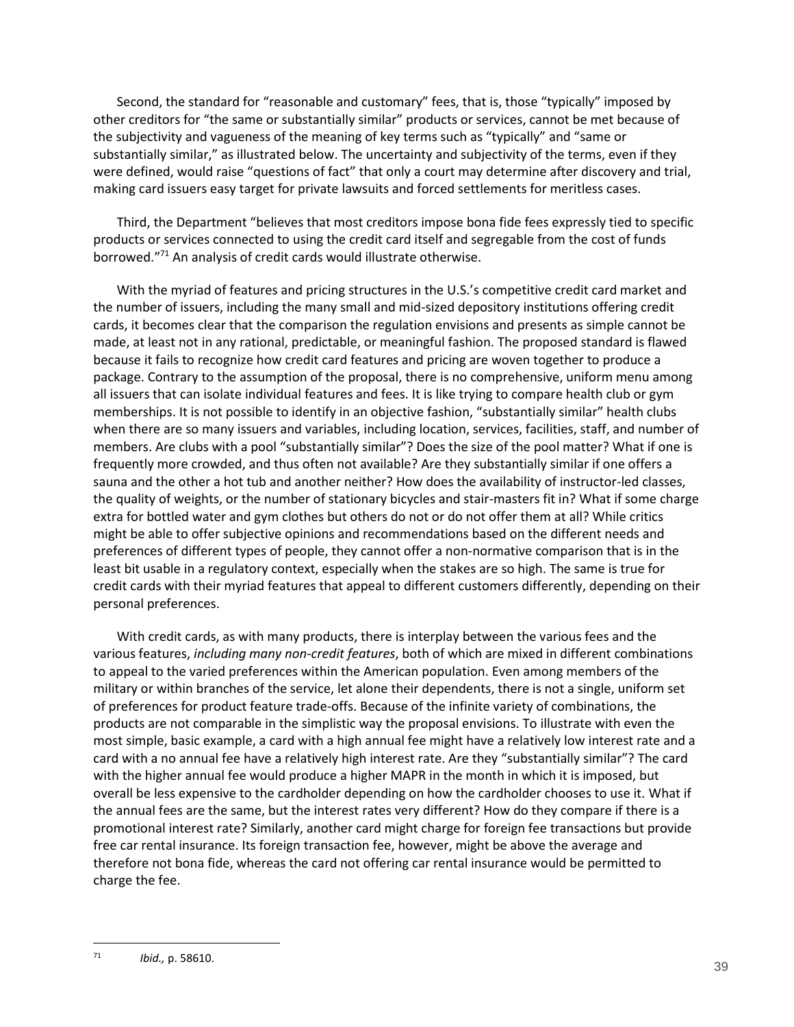Second, the standard for "reasonable and customary" fees, that is, those "typically" imposed by other creditors for "the same or substantially similar" products or services, cannot be met because of the subjectivity and vagueness of the meaning of key terms such as "typically" and "same or substantially similar," as illustrated below. The uncertainty and subjectivity of the terms, even if they were defined, would raise "questions of fact" that only a court may determine after discovery and trial, making card issuers easy target for private lawsuits and forced settlements for meritless cases.

Third, the Department "believes that most creditors impose bona fide fees expressly tied to specific products or services connected to using the credit card itself and segregable from the cost of funds borrowed."<sup>71</sup> An analysis of credit cards would illustrate otherwise.

With the myriad of features and pricing structures in the U.S.'s competitive credit card market and the number of issuers, including the many small and mid-sized depository institutions offering credit cards, it becomes clear that the comparison the regulation envisions and presents as simple cannot be made, at least not in any rational, predictable, or meaningful fashion. The proposed standard is flawed because it fails to recognize how credit card features and pricing are woven together to produce a package. Contrary to the assumption of the proposal, there is no comprehensive, uniform menu among all issuers that can isolate individual features and fees. It is like trying to compare health club or gym memberships. It is not possible to identify in an objective fashion, "substantially similar" health clubs when there are so many issuers and variables, including location, services, facilities, staff, and number of members. Are clubs with a pool "substantially similar"? Does the size of the pool matter? What if one is frequently more crowded, and thus often not available? Are they substantially similar if one offers a sauna and the other a hot tub and another neither? How does the availability of instructor-led classes, the quality of weights, or the number of stationary bicycles and stair-masters fit in? What if some charge extra for bottled water and gym clothes but others do not or do not offer them at all? While critics might be able to offer subjective opinions and recommendations based on the different needs and preferences of different types of people, they cannot offer a non-normative comparison that is in the least bit usable in a regulatory context, especially when the stakes are so high. The same is true for credit cards with their myriad features that appeal to different customers differently, depending on their personal preferences.

With credit cards, as with many products, there is interplay between the various fees and the various features, *including many non-credit features*, both of which are mixed in different combinations to appeal to the varied preferences within the American population. Even among members of the military or within branches of the service, let alone their dependents, there is not a single, uniform set of preferences for product feature trade-offs. Because of the infinite variety of combinations, the products are not comparable in the simplistic way the proposal envisions. To illustrate with even the most simple, basic example, a card with a high annual fee might have a relatively low interest rate and a card with a no annual fee have a relatively high interest rate. Are they "substantially similar"? The card with the higher annual fee would produce a higher MAPR in the month in which it is imposed, but overall be less expensive to the cardholder depending on how the cardholder chooses to use it. What if the annual fees are the same, but the interest rates very different? How do they compare if there is a promotional interest rate? Similarly, another card might charge for foreign fee transactions but provide free car rental insurance. Its foreign transaction fee, however, might be above the average and therefore not bona fide, whereas the card not offering car rental insurance would be permitted to charge the fee.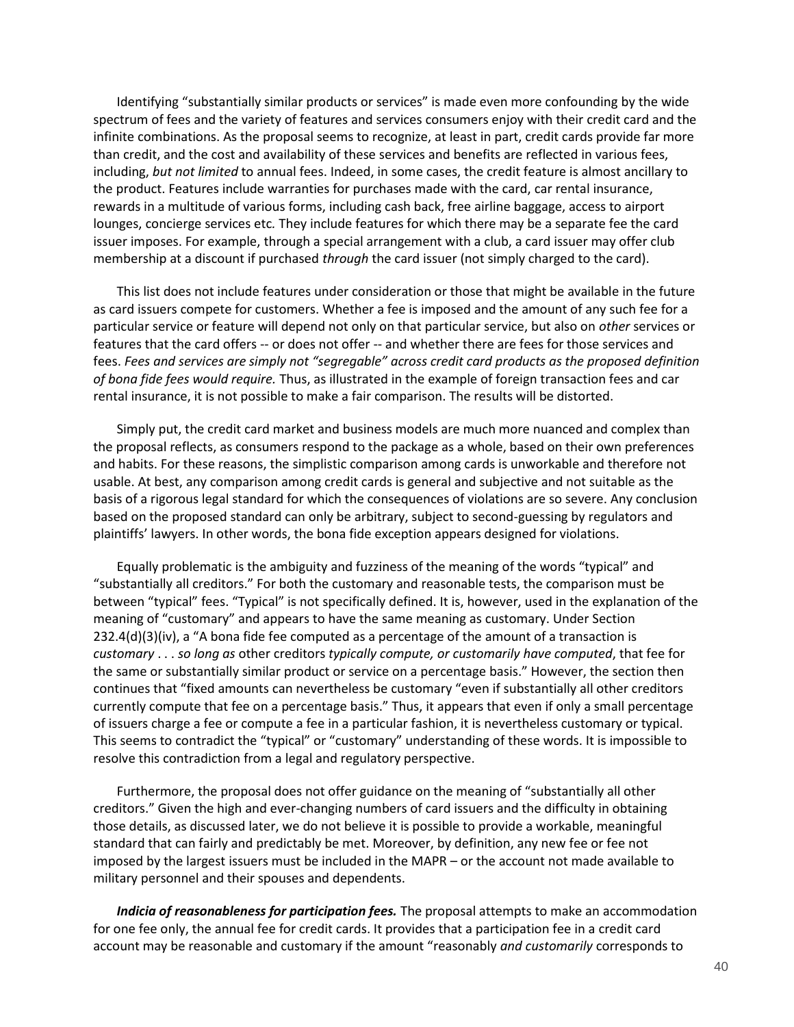Identifying "substantially similar products or services" is made even more confounding by the wide spectrum of fees and the variety of features and services consumers enjoy with their credit card and the infinite combinations. As the proposal seems to recognize, at least in part, credit cards provide far more than credit, and the cost and availability of these services and benefits are reflected in various fees, including, *but not limited* to annual fees. Indeed, in some cases, the credit feature is almost ancillary to the product. Features include warranties for purchases made with the card, car rental insurance, rewards in a multitude of various forms, including cash back, free airline baggage, access to airport lounges, concierge services etc*.* They include features for which there may be a separate fee the card issuer imposes. For example, through a special arrangement with a club, a card issuer may offer club membership at a discount if purchased *through* the card issuer (not simply charged to the card).

This list does not include features under consideration or those that might be available in the future as card issuers compete for customers. Whether a fee is imposed and the amount of any such fee for a particular service or feature will depend not only on that particular service, but also on *other* services or features that the card offers -- or does not offer -- and whether there are fees for those services and fees. *Fees and services are simply not "segregable" across credit card products as the proposed definition of bona fide fees would require.* Thus, as illustrated in the example of foreign transaction fees and car rental insurance, it is not possible to make a fair comparison. The results will be distorted.

Simply put, the credit card market and business models are much more nuanced and complex than the proposal reflects, as consumers respond to the package as a whole, based on their own preferences and habits. For these reasons, the simplistic comparison among cards is unworkable and therefore not usable. At best, any comparison among credit cards is general and subjective and not suitable as the basis of a rigorous legal standard for which the consequences of violations are so severe. Any conclusion based on the proposed standard can only be arbitrary, subject to second-guessing by regulators and plaintiffs' lawyers. In other words, the bona fide exception appears designed for violations.

Equally problematic is the ambiguity and fuzziness of the meaning of the words "typical" and "substantially all creditors." For both the customary and reasonable tests, the comparison must be between "typical" fees. "Typical" is not specifically defined. It is, however, used in the explanation of the meaning of "customary" and appears to have the same meaning as customary. Under Section  $232.4(d)(3)(iv)$ , a "A bona fide fee computed as a percentage of the amount of a transaction is *customary* . . . *so long as* other creditors *typically compute, or customarily have computed*, that fee for the same or substantially similar product or service on a percentage basis." However, the section then continues that "fixed amounts can nevertheless be customary "even if substantially all other creditors currently compute that fee on a percentage basis." Thus, it appears that even if only a small percentage of issuers charge a fee or compute a fee in a particular fashion, it is nevertheless customary or typical. This seems to contradict the "typical" or "customary" understanding of these words. It is impossible to resolve this contradiction from a legal and regulatory perspective.

Furthermore, the proposal does not offer guidance on the meaning of "substantially all other creditors." Given the high and ever-changing numbers of card issuers and the difficulty in obtaining those details, as discussed later, we do not believe it is possible to provide a workable, meaningful standard that can fairly and predictably be met. Moreover, by definition, any new fee or fee not imposed by the largest issuers must be included in the MAPR – or the account not made available to military personnel and their spouses and dependents.

*Indicia of reasonableness for participation fees.* The proposal attempts to make an accommodation for one fee only, the annual fee for credit cards. It provides that a participation fee in a credit card account may be reasonable and customary if the amount "reasonably *and customarily* corresponds to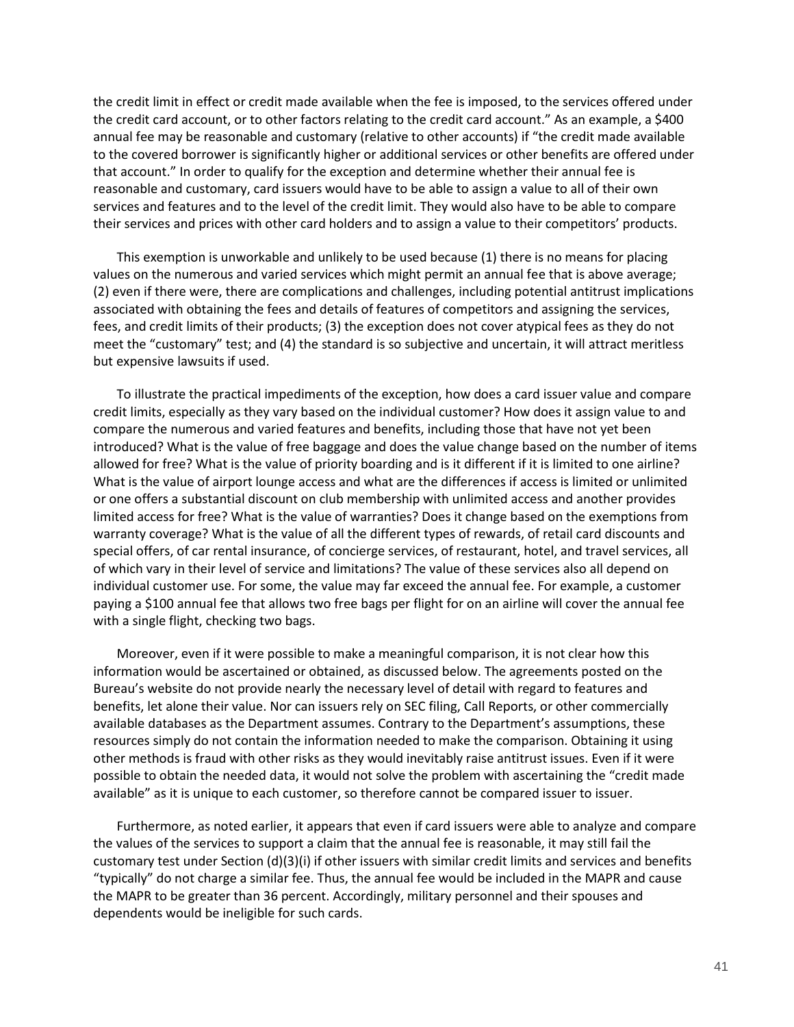the credit limit in effect or credit made available when the fee is imposed, to the services offered under the credit card account, or to other factors relating to the credit card account." As an example, a \$400 annual fee may be reasonable and customary (relative to other accounts) if "the credit made available to the covered borrower is significantly higher or additional services or other benefits are offered under that account." In order to qualify for the exception and determine whether their annual fee is reasonable and customary, card issuers would have to be able to assign a value to all of their own services and features and to the level of the credit limit. They would also have to be able to compare their services and prices with other card holders and to assign a value to their competitors' products.

This exemption is unworkable and unlikely to be used because (1) there is no means for placing values on the numerous and varied services which might permit an annual fee that is above average; (2) even if there were, there are complications and challenges, including potential antitrust implications associated with obtaining the fees and details of features of competitors and assigning the services, fees, and credit limits of their products; (3) the exception does not cover atypical fees as they do not meet the "customary" test; and (4) the standard is so subjective and uncertain, it will attract meritless but expensive lawsuits if used.

To illustrate the practical impediments of the exception, how does a card issuer value and compare credit limits, especially as they vary based on the individual customer? How does it assign value to and compare the numerous and varied features and benefits, including those that have not yet been introduced? What is the value of free baggage and does the value change based on the number of items allowed for free? What is the value of priority boarding and is it different if it is limited to one airline? What is the value of airport lounge access and what are the differences if access is limited or unlimited or one offers a substantial discount on club membership with unlimited access and another provides limited access for free? What is the value of warranties? Does it change based on the exemptions from warranty coverage? What is the value of all the different types of rewards, of retail card discounts and special offers, of car rental insurance, of concierge services, of restaurant, hotel, and travel services, all of which vary in their level of service and limitations? The value of these services also all depend on individual customer use. For some, the value may far exceed the annual fee. For example, a customer paying a \$100 annual fee that allows two free bags per flight for on an airline will cover the annual fee with a single flight, checking two bags.

Moreover, even if it were possible to make a meaningful comparison, it is not clear how this information would be ascertained or obtained, as discussed below. The agreements posted on the Bureau's website do not provide nearly the necessary level of detail with regard to features and benefits, let alone their value. Nor can issuers rely on SEC filing, Call Reports, or other commercially available databases as the Department assumes. Contrary to the Department's assumptions, these resources simply do not contain the information needed to make the comparison. Obtaining it using other methods is fraud with other risks as they would inevitably raise antitrust issues. Even if it were possible to obtain the needed data, it would not solve the problem with ascertaining the "credit made available" as it is unique to each customer, so therefore cannot be compared issuer to issuer.

Furthermore, as noted earlier, it appears that even if card issuers were able to analyze and compare the values of the services to support a claim that the annual fee is reasonable, it may still fail the customary test under Section (d)(3)(i) if other issuers with similar credit limits and services and benefits "typically" do not charge a similar fee. Thus, the annual fee would be included in the MAPR and cause the MAPR to be greater than 36 percent. Accordingly, military personnel and their spouses and dependents would be ineligible for such cards.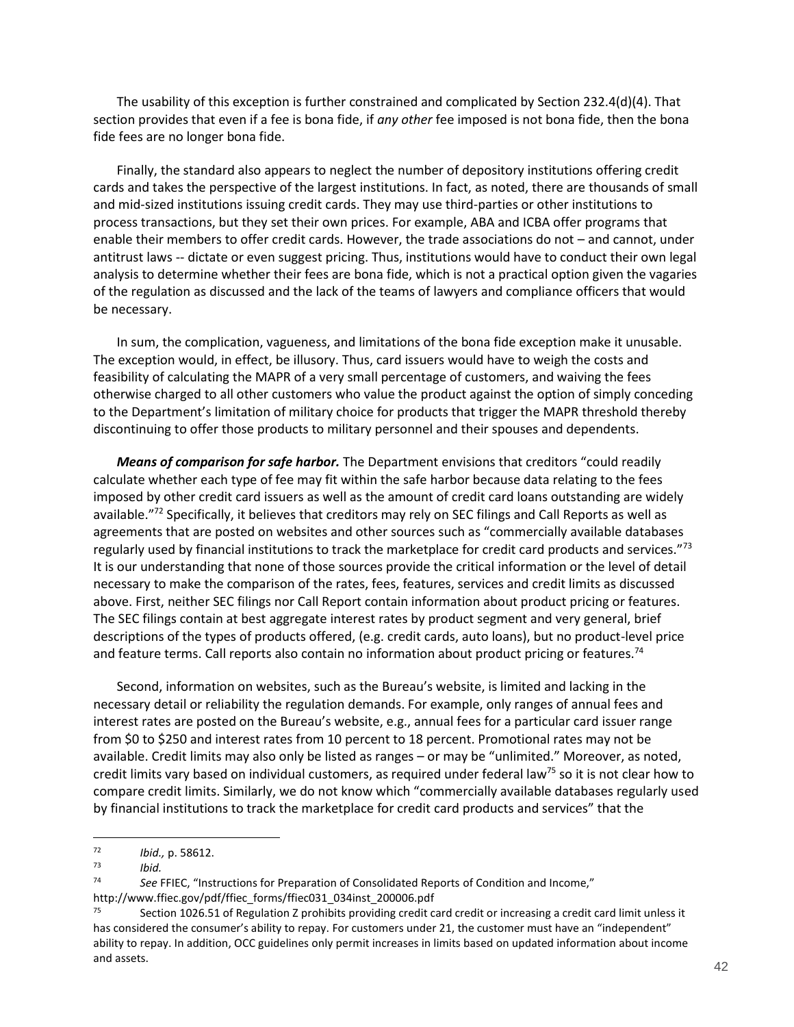The usability of this exception is further constrained and complicated by Section 232.4(d)(4). That section provides that even if a fee is bona fide, if *any other* fee imposed is not bona fide, then the bona fide fees are no longer bona fide.

Finally, the standard also appears to neglect the number of depository institutions offering credit cards and takes the perspective of the largest institutions. In fact, as noted, there are thousands of small and mid-sized institutions issuing credit cards. They may use third-parties or other institutions to process transactions, but they set their own prices. For example, ABA and ICBA offer programs that enable their members to offer credit cards. However, the trade associations do not – and cannot, under antitrust laws -- dictate or even suggest pricing. Thus, institutions would have to conduct their own legal analysis to determine whether their fees are bona fide, which is not a practical option given the vagaries of the regulation as discussed and the lack of the teams of lawyers and compliance officers that would be necessary.

In sum, the complication, vagueness, and limitations of the bona fide exception make it unusable. The exception would, in effect, be illusory. Thus, card issuers would have to weigh the costs and feasibility of calculating the MAPR of a very small percentage of customers, and waiving the fees otherwise charged to all other customers who value the product against the option of simply conceding to the Department's limitation of military choice for products that trigger the MAPR threshold thereby discontinuing to offer those products to military personnel and their spouses and dependents.

*Means of comparison for safe harbor.* The Department envisions that creditors "could readily calculate whether each type of fee may fit within the safe harbor because data relating to the fees imposed by other credit card issuers as well as the amount of credit card loans outstanding are widely available."<sup>72</sup> Specifically, it believes that creditors may rely on SEC filings and Call Reports as well as agreements that are posted on websites and other sources such as "commercially available databases regularly used by financial institutions to track the marketplace for credit card products and services."<sup>73</sup> It is our understanding that none of those sources provide the critical information or the level of detail necessary to make the comparison of the rates, fees, features, services and credit limits as discussed above. First, neither SEC filings nor Call Report contain information about product pricing or features. The SEC filings contain at best aggregate interest rates by product segment and very general, brief descriptions of the types of products offered, (e.g. credit cards, auto loans), but no product-level price and feature terms. Call reports also contain no information about product pricing or features.<sup>74</sup>

Second, information on websites, such as the Bureau's website, is limited and lacking in the necessary detail or reliability the regulation demands. For example, only ranges of annual fees and interest rates are posted on the Bureau's website, e.g., annual fees for a particular card issuer range from \$0 to \$250 and interest rates from 10 percent to 18 percent. Promotional rates may not be available. Credit limits may also only be listed as ranges – or may be "unlimited." Moreover, as noted, credit limits vary based on individual customers, as required under federal law<sup>75</sup> so it is not clear how to compare credit limits. Similarly, we do not know which "commercially available databases regularly used by financial institutions to track the marketplace for credit card products and services" that the

<sup>72</sup> *Ibid.,* p. 58612.

<sup>73</sup> *Ibid.*

<sup>74</sup> *See* FFIEC, "Instructions for Preparation of Consolidated Reports of Condition and Income," http://www.ffiec.gov/pdf/ffiec\_forms/ffiec031\_034inst\_200006.pdf

Section 1026.51 of Regulation Z prohibits providing credit card credit or increasing a credit card limit unless it has considered the consumer's ability to repay. For customers under 21, the customer must have an "independent" ability to repay. In addition, OCC guidelines only permit increases in limits based on updated information about income and assets.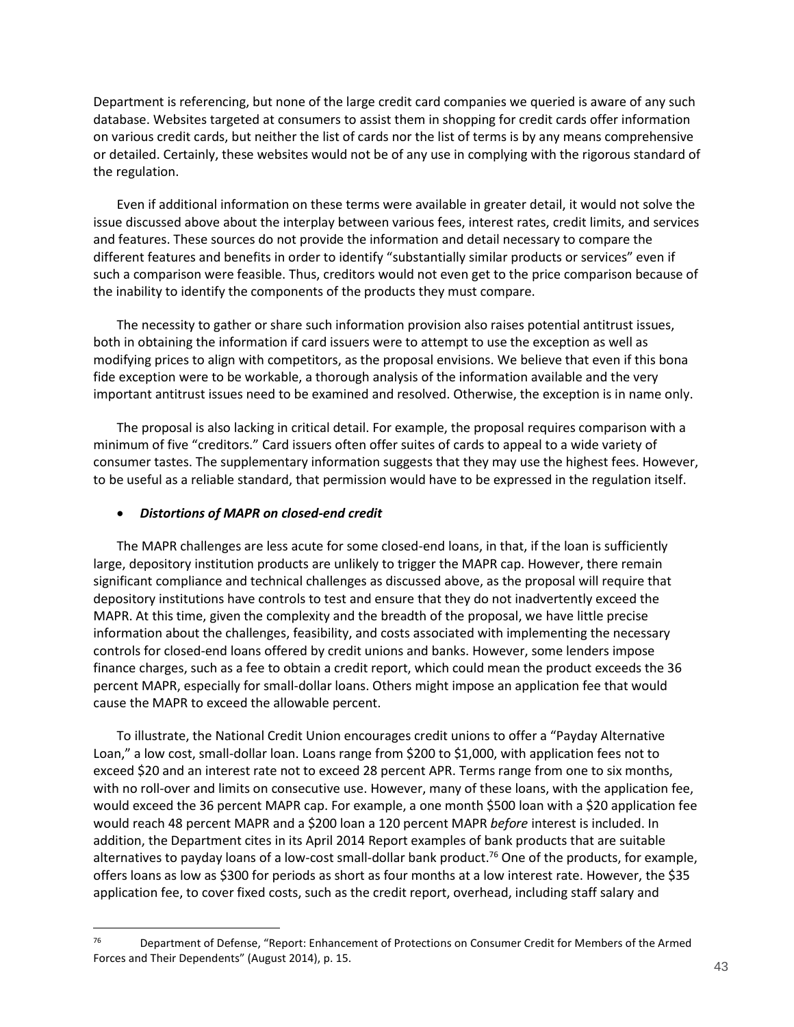Department is referencing, but none of the large credit card companies we queried is aware of any such database. Websites targeted at consumers to assist them in shopping for credit cards offer information on various credit cards, but neither the list of cards nor the list of terms is by any means comprehensive or detailed. Certainly, these websites would not be of any use in complying with the rigorous standard of the regulation.

Even if additional information on these terms were available in greater detail, it would not solve the issue discussed above about the interplay between various fees, interest rates, credit limits, and services and features. These sources do not provide the information and detail necessary to compare the different features and benefits in order to identify "substantially similar products or services" even if such a comparison were feasible. Thus, creditors would not even get to the price comparison because of the inability to identify the components of the products they must compare.

The necessity to gather or share such information provision also raises potential antitrust issues, both in obtaining the information if card issuers were to attempt to use the exception as well as modifying prices to align with competitors, as the proposal envisions. We believe that even if this bona fide exception were to be workable, a thorough analysis of the information available and the very important antitrust issues need to be examined and resolved. Otherwise, the exception is in name only.

The proposal is also lacking in critical detail. For example, the proposal requires comparison with a minimum of five "creditors." Card issuers often offer suites of cards to appeal to a wide variety of consumer tastes. The supplementary information suggests that they may use the highest fees. However, to be useful as a reliable standard, that permission would have to be expressed in the regulation itself.

### *Distortions of MAPR on closed-end credit*

 $\overline{a}$ 

The MAPR challenges are less acute for some closed-end loans, in that, if the loan is sufficiently large, depository institution products are unlikely to trigger the MAPR cap. However, there remain significant compliance and technical challenges as discussed above, as the proposal will require that depository institutions have controls to test and ensure that they do not inadvertently exceed the MAPR. At this time, given the complexity and the breadth of the proposal, we have little precise information about the challenges, feasibility, and costs associated with implementing the necessary controls for closed-end loans offered by credit unions and banks. However, some lenders impose finance charges, such as a fee to obtain a credit report, which could mean the product exceeds the 36 percent MAPR, especially for small-dollar loans. Others might impose an application fee that would cause the MAPR to exceed the allowable percent.

To illustrate, the National Credit Union encourages credit unions to offer a "Payday Alternative Loan," a low cost, small-dollar loan. Loans range from \$200 to \$1,000, with application fees not to exceed \$20 and an interest rate not to exceed 28 percent APR. Terms range from one to six months, with no roll-over and limits on consecutive use. However, many of these loans, with the application fee, would exceed the 36 percent MAPR cap. For example, a one month \$500 loan with a \$20 application fee would reach 48 percent MAPR and a \$200 loan a 120 percent MAPR *before* interest is included. In addition, the Department cites in its April 2014 Report examples of bank products that are suitable alternatives to payday loans of a low-cost small-dollar bank product.<sup>76</sup> One of the products, for example, offers loans as low as \$300 for periods as short as four months at a low interest rate. However, the \$35 application fee, to cover fixed costs, such as the credit report, overhead, including staff salary and

<sup>76</sup> Department of Defense, "Report: Enhancement of Protections on Consumer Credit for Members of the Armed Forces and Their Dependents" (August 2014), p. 15.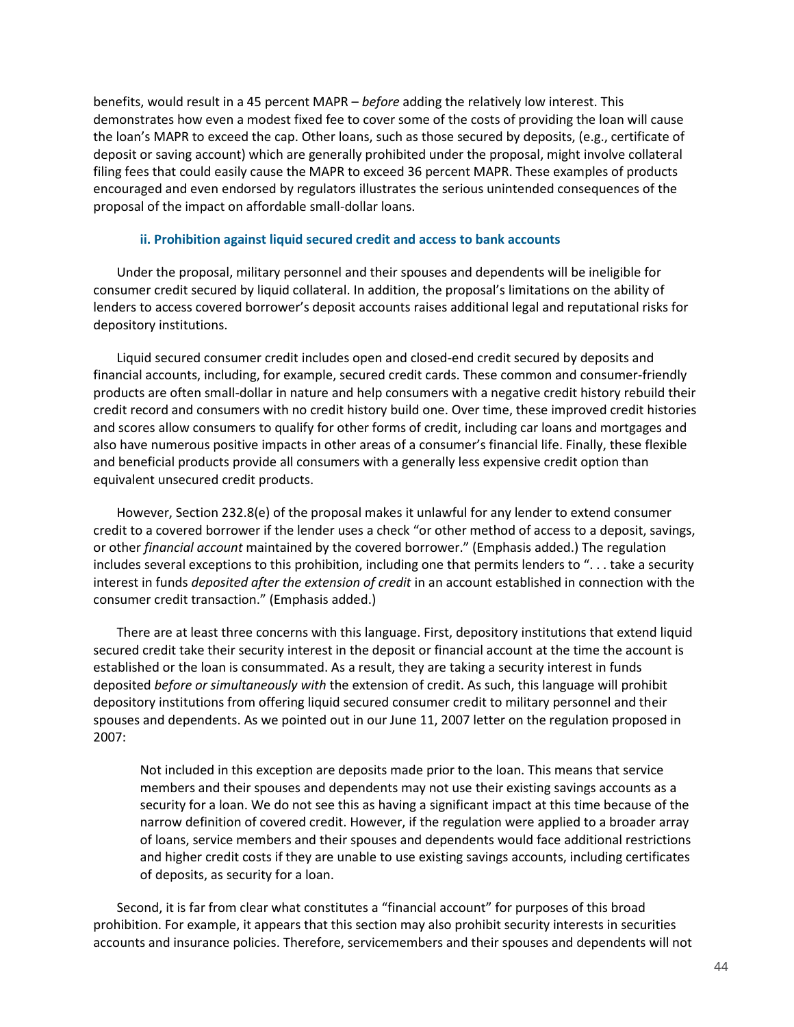benefits, would result in a 45 percent MAPR – *before* adding the relatively low interest. This demonstrates how even a modest fixed fee to cover some of the costs of providing the loan will cause the loan's MAPR to exceed the cap. Other loans, such as those secured by deposits, (e.g., certificate of deposit or saving account) which are generally prohibited under the proposal, might involve collateral filing fees that could easily cause the MAPR to exceed 36 percent MAPR. These examples of products encouraged and even endorsed by regulators illustrates the serious unintended consequences of the proposal of the impact on affordable small-dollar loans.

### **ii. Prohibition against liquid secured credit and access to bank accounts**

<span id="page-43-0"></span>Under the proposal, military personnel and their spouses and dependents will be ineligible for consumer credit secured by liquid collateral. In addition, the proposal's limitations on the ability of lenders to access covered borrower's deposit accounts raises additional legal and reputational risks for depository institutions.

Liquid secured consumer credit includes open and closed-end credit secured by deposits and financial accounts, including, for example, secured credit cards. These common and consumer-friendly products are often small-dollar in nature and help consumers with a negative credit history rebuild their credit record and consumers with no credit history build one. Over time, these improved credit histories and scores allow consumers to qualify for other forms of credit, including car loans and mortgages and also have numerous positive impacts in other areas of a consumer's financial life. Finally, these flexible and beneficial products provide all consumers with a generally less expensive credit option than equivalent unsecured credit products.

However, Section 232.8(e) of the proposal makes it unlawful for any lender to extend consumer credit to a covered borrower if the lender uses a check "or other method of access to a deposit, savings, or other *financial account* maintained by the covered borrower." (Emphasis added.) The regulation includes several exceptions to this prohibition, including one that permits lenders to ". . . take a security interest in funds *deposited after the extension of credit* in an account established in connection with the consumer credit transaction." (Emphasis added.)

There are at least three concerns with this language. First, depository institutions that extend liquid secured credit take their security interest in the deposit or financial account at the time the account is established or the loan is consummated. As a result, they are taking a security interest in funds deposited *before or simultaneously with* the extension of credit. As such, this language will prohibit depository institutions from offering liquid secured consumer credit to military personnel and their spouses and dependents. As we pointed out in our June 11, 2007 letter on the regulation proposed in 2007:

Not included in this exception are deposits made prior to the loan. This means that service members and their spouses and dependents may not use their existing savings accounts as a security for a loan. We do not see this as having a significant impact at this time because of the narrow definition of covered credit. However, if the regulation were applied to a broader array of loans, service members and their spouses and dependents would face additional restrictions and higher credit costs if they are unable to use existing savings accounts, including certificates of deposits, as security for a loan.

Second, it is far from clear what constitutes a "financial account" for purposes of this broad prohibition. For example, it appears that this section may also prohibit security interests in securities accounts and insurance policies. Therefore, servicemembers and their spouses and dependents will not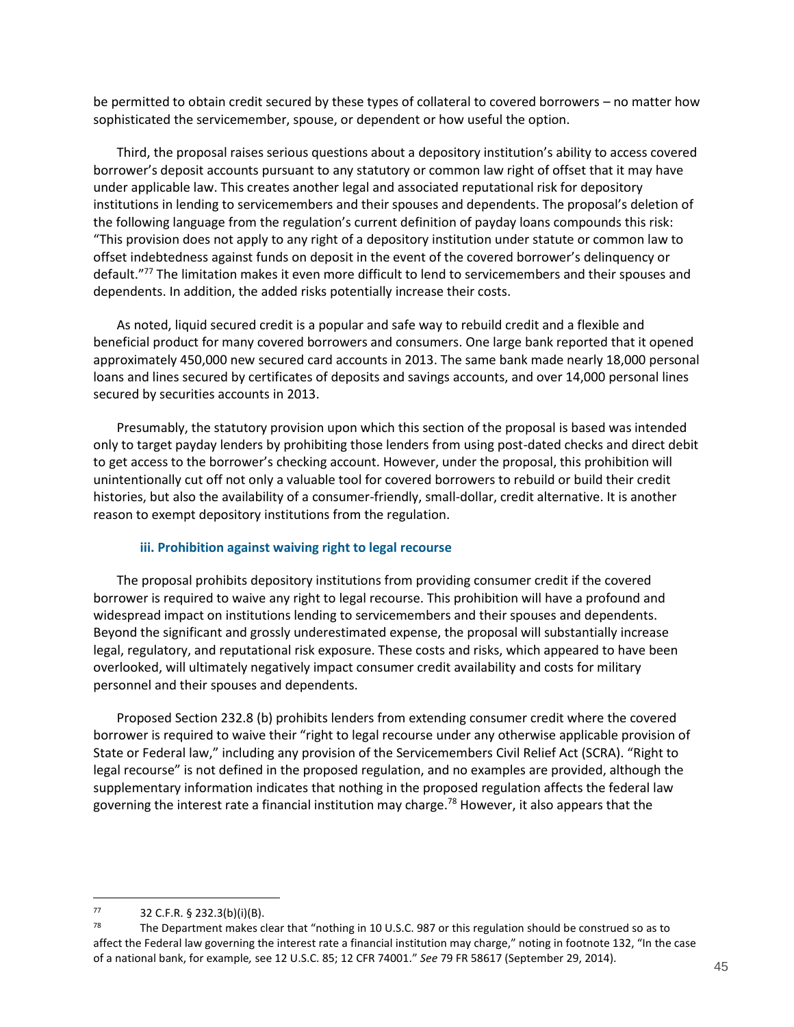be permitted to obtain credit secured by these types of collateral to covered borrowers – no matter how sophisticated the servicemember, spouse, or dependent or how useful the option.

Third, the proposal raises serious questions about a depository institution's ability to access covered borrower's deposit accounts pursuant to any statutory or common law right of offset that it may have under applicable law. This creates another legal and associated reputational risk for depository institutions in lending to servicemembers and their spouses and dependents. The proposal's deletion of the following language from the regulation's current definition of payday loans compounds this risk: "This provision does not apply to any right of a depository institution under statute or common law to offset indebtedness against funds on deposit in the event of the covered borrower's delinquency or default."<sup>77</sup> The limitation makes it even more difficult to lend to servicemembers and their spouses and dependents. In addition, the added risks potentially increase their costs.

As noted, liquid secured credit is a popular and safe way to rebuild credit and a flexible and beneficial product for many covered borrowers and consumers. One large bank reported that it opened approximately 450,000 new secured card accounts in 2013. The same bank made nearly 18,000 personal loans and lines secured by certificates of deposits and savings accounts, and over 14,000 personal lines secured by securities accounts in 2013.

Presumably, the statutory provision upon which this section of the proposal is based was intended only to target payday lenders by prohibiting those lenders from using post-dated checks and direct debit to get access to the borrower's checking account. However, under the proposal, this prohibition will unintentionally cut off not only a valuable tool for covered borrowers to rebuild or build their credit histories, but also the availability of a consumer-friendly, small-dollar, credit alternative. It is another reason to exempt depository institutions from the regulation.

### **iii. Prohibition against waiving right to legal recourse**

<span id="page-44-0"></span>The proposal prohibits depository institutions from providing consumer credit if the covered borrower is required to waive any right to legal recourse. This prohibition will have a profound and widespread impact on institutions lending to servicemembers and their spouses and dependents. Beyond the significant and grossly underestimated expense, the proposal will substantially increase legal, regulatory, and reputational risk exposure. These costs and risks, which appeared to have been overlooked, will ultimately negatively impact consumer credit availability and costs for military personnel and their spouses and dependents.

Proposed Section 232.8 (b) prohibits lenders from extending consumer credit where the covered borrower is required to waive their "right to legal recourse under any otherwise applicable provision of State or Federal law," including any provision of the Servicemembers Civil Relief Act (SCRA). "Right to legal recourse" is not defined in the proposed regulation, and no examples are provided, although the supplementary information indicates that nothing in the proposed regulation affects the federal law governing the interest rate a financial institution may charge.<sup>78</sup> However, it also appears that the

<sup>77 32</sup> C.F.R.  $\frac{5}{9}$  232.3(b)(i)(B).

The Department makes clear that "nothing in 10 U.S.C. 987 or this regulation should be construed so as to affect the Federal law governing the interest rate a financial institution may charge," noting in footnote 132, "In the case of a national bank, for example*,* see 12 U.S.C. 85; 12 CFR 74001." *See* 79 FR 58617 (September 29, 2014).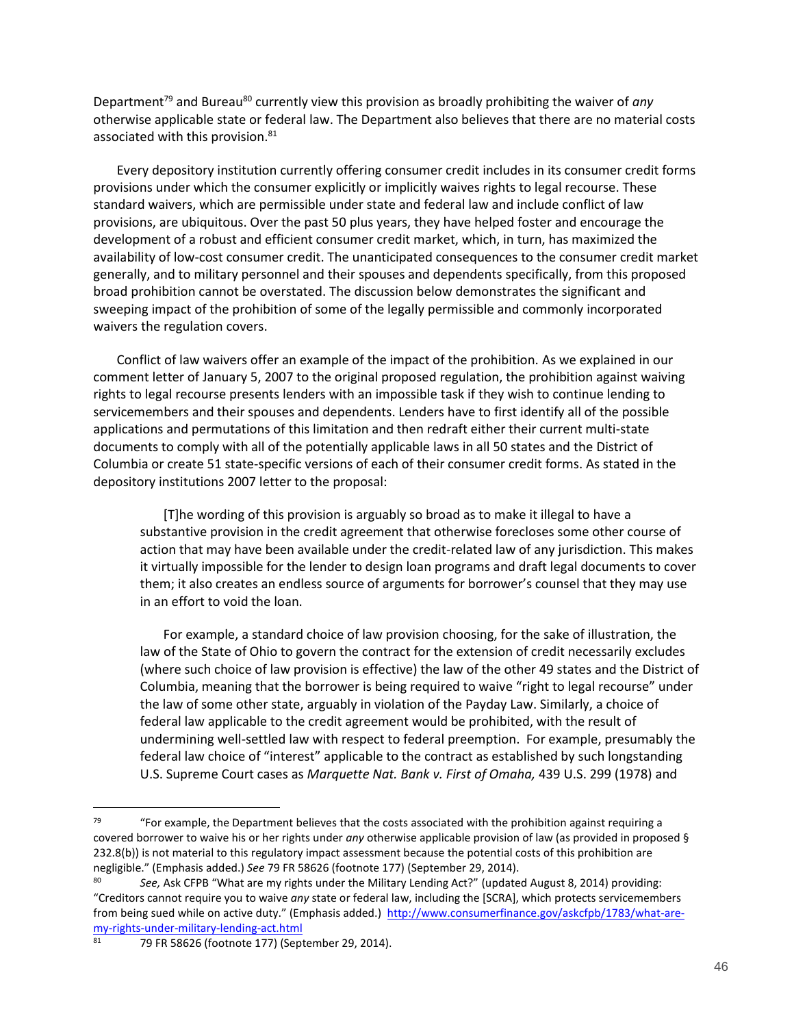Department<sup>79</sup> and Bureau<sup>80</sup> currently view this provision as broadly prohibiting the waiver of *any* otherwise applicable state or federal law. The Department also believes that there are no material costs associated with this provision.<sup>81</sup>

Every depository institution currently offering consumer credit includes in its consumer credit forms provisions under which the consumer explicitly or implicitly waives rights to legal recourse. These standard waivers, which are permissible under state and federal law and include conflict of law provisions, are ubiquitous. Over the past 50 plus years, they have helped foster and encourage the development of a robust and efficient consumer credit market, which, in turn, has maximized the availability of low-cost consumer credit. The unanticipated consequences to the consumer credit market generally, and to military personnel and their spouses and dependents specifically, from this proposed broad prohibition cannot be overstated. The discussion below demonstrates the significant and sweeping impact of the prohibition of some of the legally permissible and commonly incorporated waivers the regulation covers.

Conflict of law waivers offer an example of the impact of the prohibition. As we explained in our comment letter of January 5, 2007 to the original proposed regulation, the prohibition against waiving rights to legal recourse presents lenders with an impossible task if they wish to continue lending to servicemembers and their spouses and dependents. Lenders have to first identify all of the possible applications and permutations of this limitation and then redraft either their current multi-state documents to comply with all of the potentially applicable laws in all 50 states and the District of Columbia or create 51 state-specific versions of each of their consumer credit forms. As stated in the depository institutions 2007 letter to the proposal:

[T]he wording of this provision is arguably so broad as to make it illegal to have a substantive provision in the credit agreement that otherwise forecloses some other course of action that may have been available under the credit-related law of any jurisdiction. This makes it virtually impossible for the lender to design loan programs and draft legal documents to cover them; it also creates an endless source of arguments for borrower's counsel that they may use in an effort to void the loan.

For example, a standard choice of law provision choosing, for the sake of illustration, the law of the State of Ohio to govern the contract for the extension of credit necessarily excludes (where such choice of law provision is effective) the law of the other 49 states and the District of Columbia, meaning that the borrower is being required to waive "right to legal recourse" under the law of some other state, arguably in violation of the Payday Law. Similarly, a choice of federal law applicable to the credit agreement would be prohibited, with the result of undermining well-settled law with respect to federal preemption. For example, presumably the federal law choice of "interest" applicable to the contract as established by such longstanding U.S. Supreme Court cases as *Marquette Nat. Bank v. First of Omaha,* 439 U.S. 299 (1978) and

 $79$  "For example, the Department believes that the costs associated with the prohibition against requiring a covered borrower to waive his or her rights under *any* otherwise applicable provision of law (as provided in proposed § 232.8(b)) is not material to this regulatory impact assessment because the potential costs of this prohibition are negligible." (Emphasis added.) *See* 79 FR 58626 (footnote 177) (September 29, 2014).

<sup>80</sup> *See,* Ask CFPB "What are my rights under the Military Lending Act?" (updated August 8, 2014) providing: "Creditors cannot require you to waive *any* state or federal law, including the [SCRA], which protects servicemembers from being sued while on active duty." (Emphasis added.) [http://www.consumerfinance.gov/askcfpb/1783/what-are](http://www.consumerfinance.gov/askcfpb/1783/what-are-my-rights-under-military-lending-act.html)[my-rights-under-military-lending-act.html](http://www.consumerfinance.gov/askcfpb/1783/what-are-my-rights-under-military-lending-act.html)

<sup>81</sup> 79 FR 58626 (footnote 177) (September 29, 2014).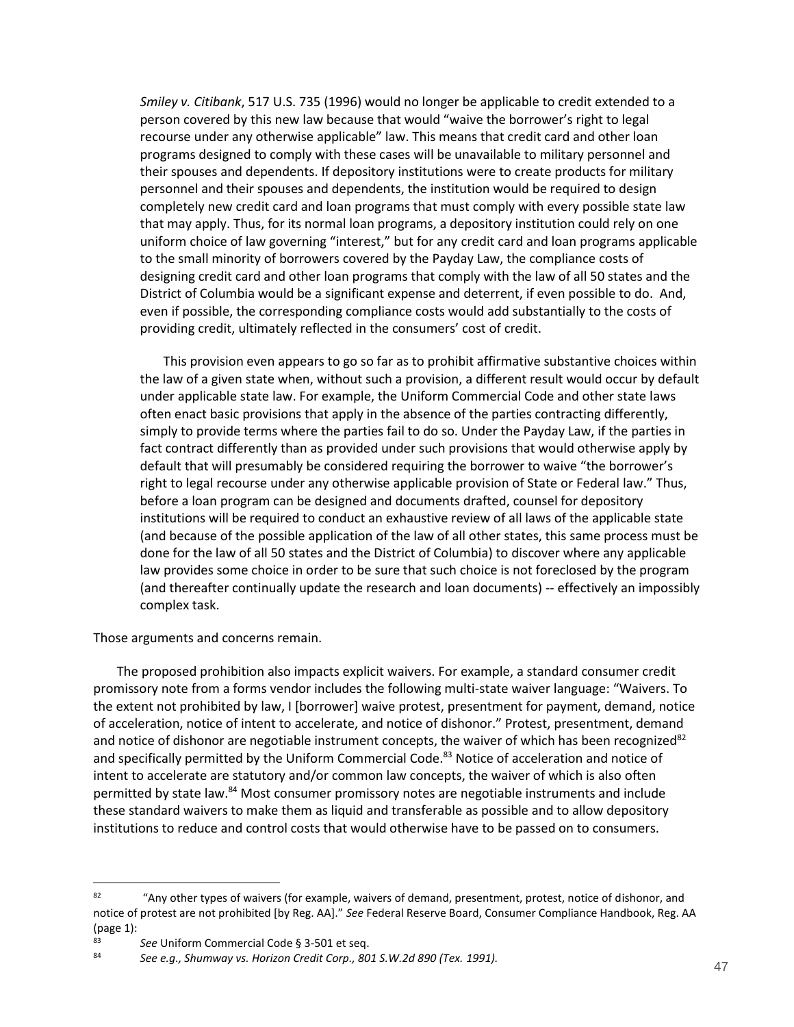*Smiley v. Citibank*, 517 U.S. 735 (1996) would no longer be applicable to credit extended to a person covered by this new law because that would "waive the borrower's right to legal recourse under any otherwise applicable" law. This means that credit card and other loan programs designed to comply with these cases will be unavailable to military personnel and their spouses and dependents. If depository institutions were to create products for military personnel and their spouses and dependents, the institution would be required to design completely new credit card and loan programs that must comply with every possible state law that may apply. Thus, for its normal loan programs, a depository institution could rely on one uniform choice of law governing "interest," but for any credit card and loan programs applicable to the small minority of borrowers covered by the Payday Law, the compliance costs of designing credit card and other loan programs that comply with the law of all 50 states and the District of Columbia would be a significant expense and deterrent, if even possible to do. And, even if possible, the corresponding compliance costs would add substantially to the costs of providing credit, ultimately reflected in the consumers' cost of credit.

This provision even appears to go so far as to prohibit affirmative substantive choices within the law of a given state when, without such a provision, a different result would occur by default under applicable state law. For example, the Uniform Commercial Code and other state laws often enact basic provisions that apply in the absence of the parties contracting differently, simply to provide terms where the parties fail to do so. Under the Payday Law, if the parties in fact contract differently than as provided under such provisions that would otherwise apply by default that will presumably be considered requiring the borrower to waive "the borrower's right to legal recourse under any otherwise applicable provision of State or Federal law." Thus, before a loan program can be designed and documents drafted, counsel for depository institutions will be required to conduct an exhaustive review of all laws of the applicable state (and because of the possible application of the law of all other states, this same process must be done for the law of all 50 states and the District of Columbia) to discover where any applicable law provides some choice in order to be sure that such choice is not foreclosed by the program (and thereafter continually update the research and loan documents) -- effectively an impossibly complex task.

Those arguments and concerns remain.

The proposed prohibition also impacts explicit waivers. For example, a standard consumer credit promissory note from a forms vendor includes the following multi-state waiver language: "Waivers. To the extent not prohibited by law, I [borrower] waive protest, presentment for payment, demand, notice of acceleration, notice of intent to accelerate, and notice of dishonor." Protest, presentment, demand and notice of dishonor are negotiable instrument concepts, the waiver of which has been recognized $82$ and specifically permitted by the Uniform Commercial Code.<sup>83</sup> Notice of acceleration and notice of intent to accelerate are statutory and/or common law concepts, the waiver of which is also often permitted by state law.<sup>84</sup> Most consumer promissory notes are negotiable instruments and include these standard waivers to make them as liquid and transferable as possible and to allow depository institutions to reduce and control costs that would otherwise have to be passed on to consumers.

<sup>&</sup>lt;sup>82</sup> "Any other types of waivers (for example, waivers of demand, presentment, protest, notice of dishonor, and notice of protest are not prohibited [by Reg. AA]." *See* Federal Reserve Board, Consumer Compliance Handbook, Reg. AA (page 1):

<sup>83</sup> **See Uniform Commercial Code § 3-501 et seq.**<br>84 **See a.g.** Shumugu us Herizon Credit Corp. 80

<sup>84</sup> *See e.g., Shumway vs. Horizon Credit Corp., 801 S.W.2d 890 (Tex. 1991).*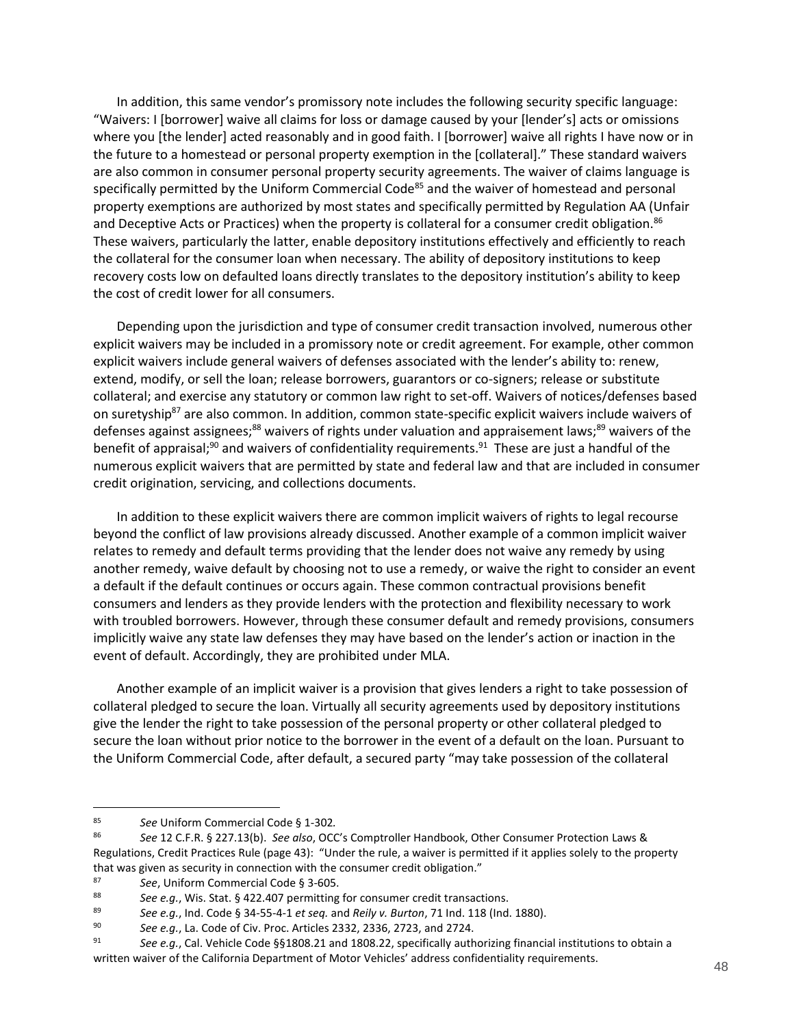In addition, this same vendor's promissory note includes the following security specific language: "Waivers: I [borrower] waive all claims for loss or damage caused by your [lender's] acts or omissions where you [the lender] acted reasonably and in good faith. I [borrower] waive all rights I have now or in the future to a homestead or personal property exemption in the [collateral]." These standard waivers are also common in consumer personal property security agreements. The waiver of claims language is specifically permitted by the Uniform Commercial Code<sup>85</sup> and the waiver of homestead and personal property exemptions are authorized by most states and specifically permitted by Regulation AA (Unfair and Deceptive Acts or Practices) when the property is collateral for a consumer credit obligation.<sup>86</sup> These waivers, particularly the latter, enable depository institutions effectively and efficiently to reach the collateral for the consumer loan when necessary. The ability of depository institutions to keep recovery costs low on defaulted loans directly translates to the depository institution's ability to keep the cost of credit lower for all consumers.

Depending upon the jurisdiction and type of consumer credit transaction involved, numerous other explicit waivers may be included in a promissory note or credit agreement. For example, other common explicit waivers include general waivers of defenses associated with the lender's ability to: renew, extend, modify, or sell the loan; release borrowers, guarantors or co-signers; release or substitute collateral; and exercise any statutory or common law right to set-off. Waivers of notices/defenses based on suretyship<sup>87</sup> are also common. In addition, common state-specific explicit waivers include waivers of defenses against assignees;<sup>88</sup> waivers of rights under valuation and appraisement laws;<sup>89</sup> waivers of the benefit of appraisal;<sup>90</sup> and waivers of confidentiality requirements.<sup>91</sup> These are just a handful of the numerous explicit waivers that are permitted by state and federal law and that are included in consumer credit origination, servicing, and collections documents.

In addition to these explicit waivers there are common implicit waivers of rights to legal recourse beyond the conflict of law provisions already discussed. Another example of a common implicit waiver relates to remedy and default terms providing that the lender does not waive any remedy by using another remedy, waive default by choosing not to use a remedy, or waive the right to consider an event a default if the default continues or occurs again. These common contractual provisions benefit consumers and lenders as they provide lenders with the protection and flexibility necessary to work with troubled borrowers. However, through these consumer default and remedy provisions, consumers implicitly waive any state law defenses they may have based on the lender's action or inaction in the event of default. Accordingly, they are prohibited under MLA.

Another example of an implicit waiver is a provision that gives lenders a right to take possession of collateral pledged to secure the loan. Virtually all security agreements used by depository institutions give the lender the right to take possession of the personal property or other collateral pledged to secure the loan without prior notice to the borrower in the event of a default on the loan. Pursuant to the Uniform Commercial Code, after default, a secured party "may take possession of the collateral

<sup>85</sup> *See* Uniform Commercial Code § 1-302*.*

<sup>86</sup> *See* 12 C.F.R. § 227.13(b). *See also*, OCC's Comptroller Handbook, Other Consumer Protection Laws & Regulations, Credit Practices Rule (page 43): "Under the rule, a waiver is permitted if it applies solely to the property that was given as security in connection with the consumer credit obligation."

<sup>87</sup> **See**, Uniform Commercial Code § 3-605.

<sup>88</sup> *See e.g.*, Wis. Stat. § 422.407 permitting for consumer credit transactions.<br>89 See e.g., Ind. Code § 34.55.4.1 et seg. and *Boiluy, Burton*, 71 Ind. 118 (Ind.

<sup>89</sup> *See e.g.*, Ind. Code § 34-55-4-1 *et seq.* and *Reily v. Burton*, 71 Ind. 118 (Ind. 1880).

<sup>90</sup> *See e.g.*, La. Code of Civ. Proc. Articles 2332, 2336, 2723, and 2724.

<sup>91</sup> *See e.g.*, Cal. Vehicle Code §§1808.21 and 1808.22, specifically authorizing financial institutions to obtain a written waiver of the California Department of Motor Vehicles' address confidentiality requirements.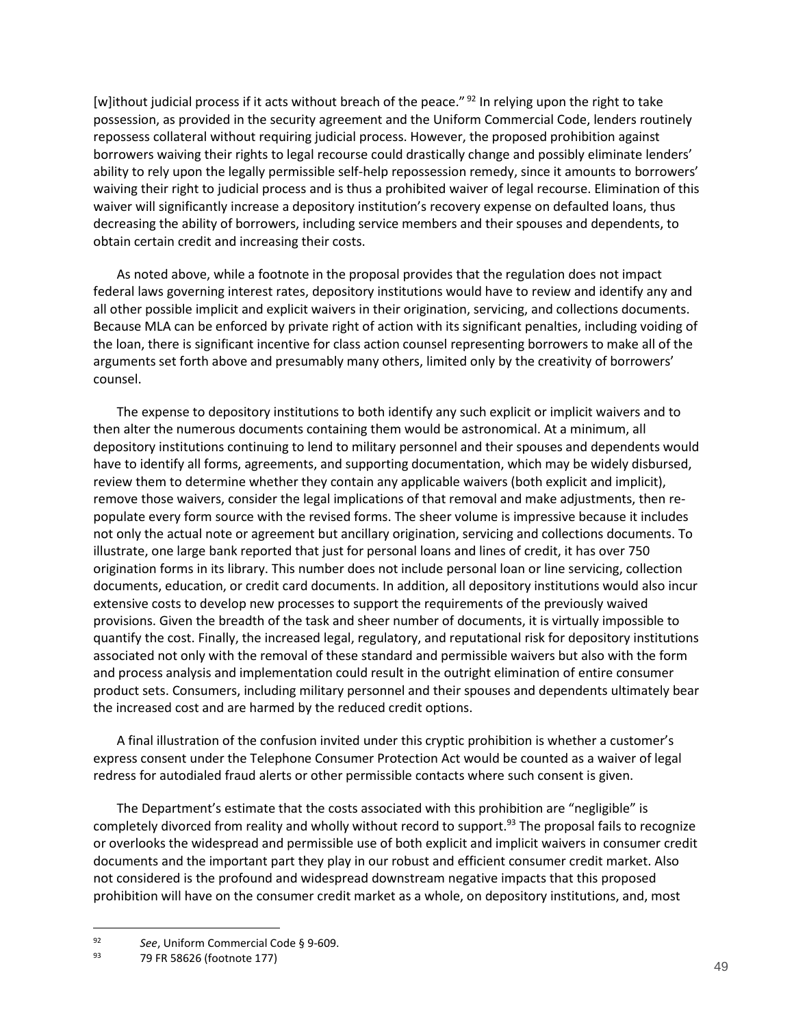[w]ithout judicial process if it acts without breach of the peace." <sup>92</sup> In relying upon the right to take possession, as provided in the security agreement and the Uniform Commercial Code, lenders routinely repossess collateral without requiring judicial process. However, the proposed prohibition against borrowers waiving their rights to legal recourse could drastically change and possibly eliminate lenders' ability to rely upon the legally permissible self-help repossession remedy, since it amounts to borrowers' waiving their right to judicial process and is thus a prohibited waiver of legal recourse. Elimination of this waiver will significantly increase a depository institution's recovery expense on defaulted loans, thus decreasing the ability of borrowers, including service members and their spouses and dependents, to obtain certain credit and increasing their costs.

As noted above, while a footnote in the proposal provides that the regulation does not impact federal laws governing interest rates, depository institutions would have to review and identify any and all other possible implicit and explicit waivers in their origination, servicing, and collections documents. Because MLA can be enforced by private right of action with its significant penalties, including voiding of the loan, there is significant incentive for class action counsel representing borrowers to make all of the arguments set forth above and presumably many others, limited only by the creativity of borrowers' counsel.

The expense to depository institutions to both identify any such explicit or implicit waivers and to then alter the numerous documents containing them would be astronomical. At a minimum, all depository institutions continuing to lend to military personnel and their spouses and dependents would have to identify all forms, agreements, and supporting documentation, which may be widely disbursed, review them to determine whether they contain any applicable waivers (both explicit and implicit), remove those waivers, consider the legal implications of that removal and make adjustments, then repopulate every form source with the revised forms. The sheer volume is impressive because it includes not only the actual note or agreement but ancillary origination, servicing and collections documents. To illustrate, one large bank reported that just for personal loans and lines of credit, it has over 750 origination forms in its library. This number does not include personal loan or line servicing, collection documents, education, or credit card documents. In addition, all depository institutions would also incur extensive costs to develop new processes to support the requirements of the previously waived provisions. Given the breadth of the task and sheer number of documents, it is virtually impossible to quantify the cost. Finally, the increased legal, regulatory, and reputational risk for depository institutions associated not only with the removal of these standard and permissible waivers but also with the form and process analysis and implementation could result in the outright elimination of entire consumer product sets. Consumers, including military personnel and their spouses and dependents ultimately bear the increased cost and are harmed by the reduced credit options.

A final illustration of the confusion invited under this cryptic prohibition is whether a customer's express consent under the Telephone Consumer Protection Act would be counted as a waiver of legal redress for autodialed fraud alerts or other permissible contacts where such consent is given.

The Department's estimate that the costs associated with this prohibition are "negligible" is completely divorced from reality and wholly without record to support.<sup>93</sup> The proposal fails to recognize or overlooks the widespread and permissible use of both explicit and implicit waivers in consumer credit documents and the important part they play in our robust and efficient consumer credit market. Also not considered is the profound and widespread downstream negative impacts that this proposed prohibition will have on the consumer credit market as a whole, on depository institutions, and, most

<sup>92</sup> *See*, Uniform Commercial Code § 9-609.

<sup>93</sup> 79 FR 58626 (footnote 177)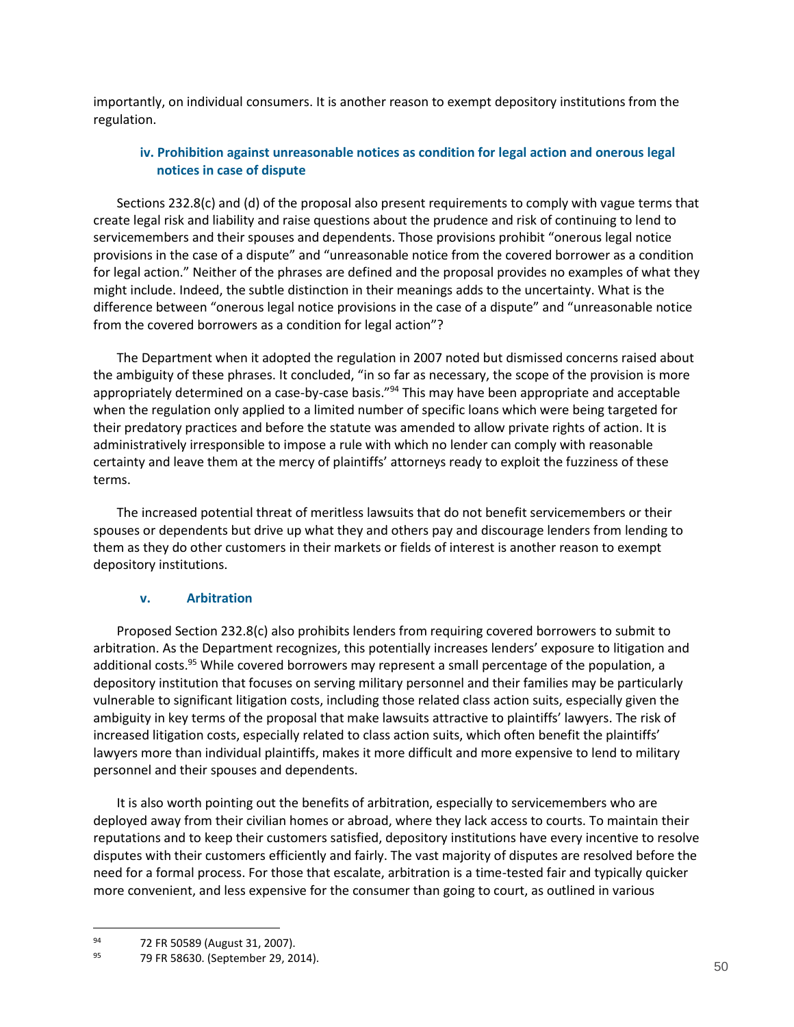<span id="page-49-0"></span>importantly, on individual consumers. It is another reason to exempt depository institutions from the regulation.

## **iv. Prohibition against unreasonable notices as condition for legal action and onerous legal notices in case of dispute**

Sections 232.8(c) and (d) of the proposal also present requirements to comply with vague terms that create legal risk and liability and raise questions about the prudence and risk of continuing to lend to servicemembers and their spouses and dependents. Those provisions prohibit "onerous legal notice provisions in the case of a dispute" and "unreasonable notice from the covered borrower as a condition for legal action." Neither of the phrases are defined and the proposal provides no examples of what they might include. Indeed, the subtle distinction in their meanings adds to the uncertainty. What is the difference between "onerous legal notice provisions in the case of a dispute" and "unreasonable notice from the covered borrowers as a condition for legal action"?

The Department when it adopted the regulation in 2007 noted but dismissed concerns raised about the ambiguity of these phrases. It concluded, "in so far as necessary, the scope of the provision is more appropriately determined on a case-by-case basis."<sup>94</sup> This may have been appropriate and acceptable when the regulation only applied to a limited number of specific loans which were being targeted for their predatory practices and before the statute was amended to allow private rights of action. It is administratively irresponsible to impose a rule with which no lender can comply with reasonable certainty and leave them at the mercy of plaintiffs' attorneys ready to exploit the fuzziness of these terms.

The increased potential threat of meritless lawsuits that do not benefit servicemembers or their spouses or dependents but drive up what they and others pay and discourage lenders from lending to them as they do other customers in their markets or fields of interest is another reason to exempt depository institutions.

### **v. Arbitration**

<span id="page-49-1"></span>Proposed Section 232.8(c) also prohibits lenders from requiring covered borrowers to submit to arbitration. As the Department recognizes, this potentially increases lenders' exposure to litigation and additional costs.<sup>95</sup> While covered borrowers may represent a small percentage of the population, a depository institution that focuses on serving military personnel and their families may be particularly vulnerable to significant litigation costs, including those related class action suits, especially given the ambiguity in key terms of the proposal that make lawsuits attractive to plaintiffs' lawyers. The risk of increased litigation costs, especially related to class action suits, which often benefit the plaintiffs' lawyers more than individual plaintiffs, makes it more difficult and more expensive to lend to military personnel and their spouses and dependents.

It is also worth pointing out the benefits of arbitration, especially to servicemembers who are deployed away from their civilian homes or abroad, where they lack access to courts. To maintain their reputations and to keep their customers satisfied, depository institutions have every incentive to resolve disputes with their customers efficiently and fairly. The vast majority of disputes are resolved before the need for a formal process. For those that escalate, arbitration is a time-tested fair and typically quicker more convenient, and less expensive for the consumer than going to court, as outlined in various

<sup>94 72</sup> FR 50589 (August 31, 2007).<br>95 70 EP 58630 (September 29, 20

<sup>79</sup> FR 58630. (September 29, 2014).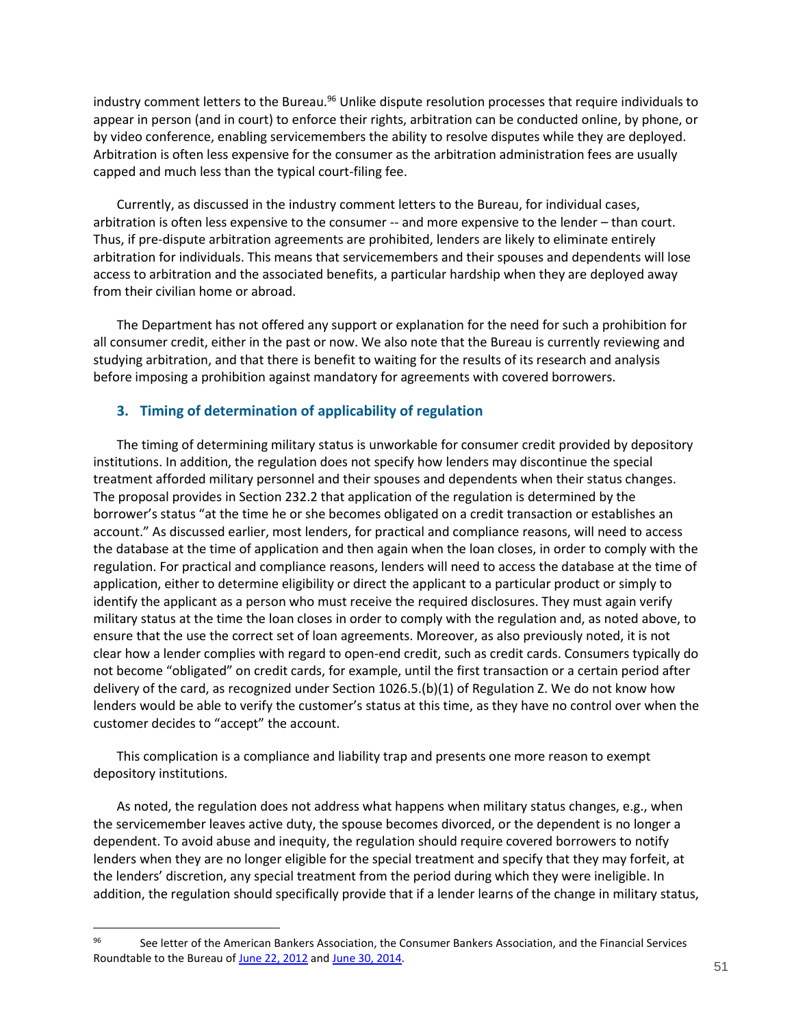industry comment letters to the Bureau.<sup>96</sup> Unlike dispute resolution processes that require individuals to appear in person (and in court) to enforce their rights, arbitration can be conducted online, by phone, or by video conference, enabling servicemembers the ability to resolve disputes while they are deployed. Arbitration is often less expensive for the consumer as the arbitration administration fees are usually capped and much less than the typical court-filing fee.

Currently, as discussed in the industry comment letters to the Bureau, for individual cases, arbitration is often less expensive to the consumer -- and more expensive to the lender – than court. Thus, if pre-dispute arbitration agreements are prohibited, lenders are likely to eliminate entirely arbitration for individuals. This means that servicemembers and their spouses and dependents will lose access to arbitration and the associated benefits, a particular hardship when they are deployed away from their civilian home or abroad.

The Department has not offered any support or explanation for the need for such a prohibition for all consumer credit, either in the past or now. We also note that the Bureau is currently reviewing and studying arbitration, and that there is benefit to waiting for the results of its research and analysis before imposing a prohibition against mandatory for agreements with covered borrowers.

### <span id="page-50-0"></span>**3. Timing of determination of applicability of regulation**

The timing of determining military status is unworkable for consumer credit provided by depository institutions. In addition, the regulation does not specify how lenders may discontinue the special treatment afforded military personnel and their spouses and dependents when their status changes. The proposal provides in Section 232.2 that application of the regulation is determined by the borrower's status "at the time he or she becomes obligated on a credit transaction or establishes an account." As discussed earlier, most lenders, for practical and compliance reasons, will need to access the database at the time of application and then again when the loan closes, in order to comply with the regulation. For practical and compliance reasons, lenders will need to access the database at the time of application, either to determine eligibility or direct the applicant to a particular product or simply to identify the applicant as a person who must receive the required disclosures. They must again verify military status at the time the loan closes in order to comply with the regulation and, as noted above, to ensure that the use the correct set of loan agreements. Moreover, as also previously noted, it is not clear how a lender complies with regard to open-end credit, such as credit cards. Consumers typically do not become "obligated" on credit cards, for example, until the first transaction or a certain period after delivery of the card, as recognized under Section 1026.5.(b)(1) of Regulation Z. We do not know how lenders would be able to verify the customer's status at this time, as they have no control over when the customer decides to "accept" the account.

This complication is a compliance and liability trap and presents one more reason to exempt depository institutions.

As noted, the regulation does not address what happens when military status changes, e.g., when the servicemember leaves active duty, the spouse becomes divorced, or the dependent is no longer a dependent. To avoid abuse and inequity, the regulation should require covered borrowers to notify lenders when they are no longer eligible for the special treatment and specify that they may forfeit, at the lenders' discretion, any special treatment from the period during which they were ineligible. In addition, the regulation should specifically provide that if a lender learns of the change in military status,

<sup>96</sup> See letter of the American Bankers Association, the Consumer Bankers Association, and the Financial Services Roundtable to the Bureau o[f June 22, 2012](http://www.aba.com/Advocacy/commentletters/Documents/CFPB%20Arbitration%20Comment%20Letter%2062212.pdf) an[d June 30, 2014.](http://www.aba.com/Advocacy/commentletters/Documents/cl-CFPBPhoneSurvey2014June.pdf)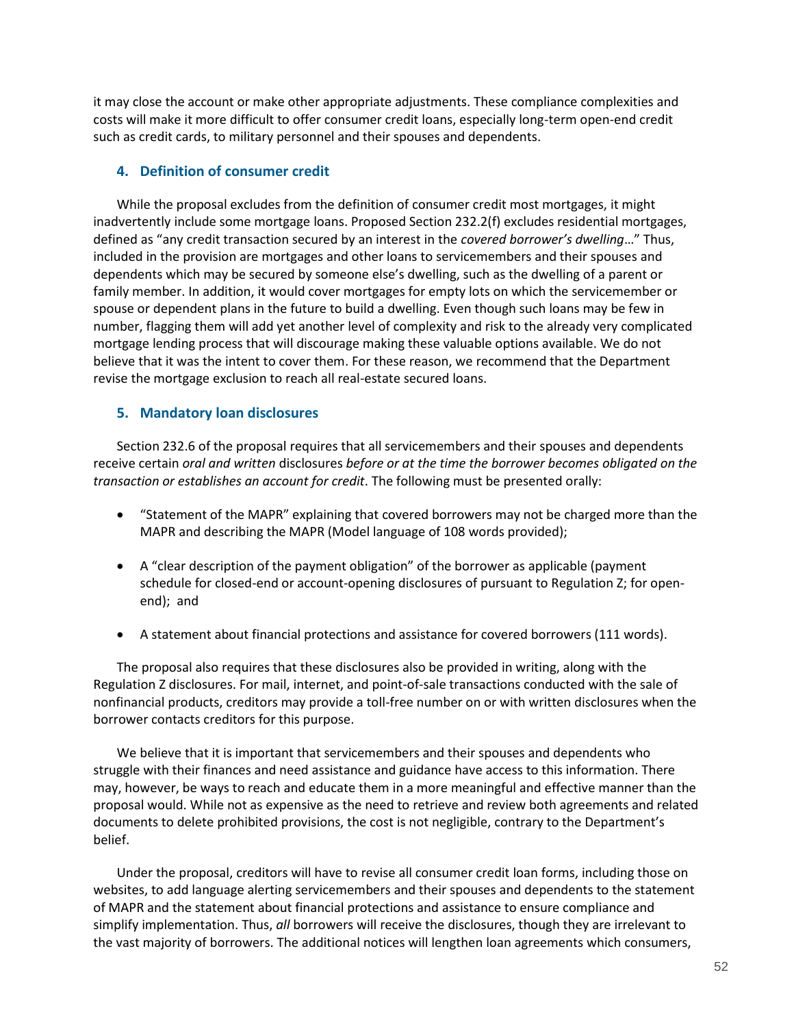it may close the account or make other appropriate adjustments. These compliance complexities and costs will make it more difficult to offer consumer credit loans, especially long-term open-end credit such as credit cards, to military personnel and their spouses and dependents.

### <span id="page-51-0"></span>**4. Definition of consumer credit**

While the proposal excludes from the definition of consumer credit most mortgages, it might inadvertently include some mortgage loans. Proposed Section 232.2(f) excludes residential mortgages, defined as "any credit transaction secured by an interest in the *covered borrower's dwelling*…" Thus, included in the provision are mortgages and other loans to servicemembers and their spouses and dependents which may be secured by someone else's dwelling, such as the dwelling of a parent or family member. In addition, it would cover mortgages for empty lots on which the servicemember or spouse or dependent plans in the future to build a dwelling. Even though such loans may be few in number, flagging them will add yet another level of complexity and risk to the already very complicated mortgage lending process that will discourage making these valuable options available. We do not believe that it was the intent to cover them. For these reason, we recommend that the Department revise the mortgage exclusion to reach all real-estate secured loans.

### <span id="page-51-1"></span>**5. Mandatory loan disclosures**

Section 232.6 of the proposal requires that all servicemembers and their spouses and dependents receive certain *oral and written* disclosures *before or at the time the borrower becomes obligated on the transaction or establishes an account for credit*. The following must be presented orally:

- "Statement of the MAPR" explaining that covered borrowers may not be charged more than the MAPR and describing the MAPR (Model language of 108 words provided);
- A "clear description of the payment obligation" of the borrower as applicable (payment schedule for closed-end or account-opening disclosures of pursuant to Regulation Z; for openend); and
- A statement about financial protections and assistance for covered borrowers (111 words).

The proposal also requires that these disclosures also be provided in writing, along with the Regulation Z disclosures. For mail, internet, and point-of-sale transactions conducted with the sale of nonfinancial products, creditors may provide a toll-free number on or with written disclosures when the borrower contacts creditors for this purpose.

We believe that it is important that servicemembers and their spouses and dependents who struggle with their finances and need assistance and guidance have access to this information. There may, however, be ways to reach and educate them in a more meaningful and effective manner than the proposal would. While not as expensive as the need to retrieve and review both agreements and related documents to delete prohibited provisions, the cost is not negligible, contrary to the Department's belief.

Under the proposal, creditors will have to revise all consumer credit loan forms, including those on websites, to add language alerting servicemembers and their spouses and dependents to the statement of MAPR and the statement about financial protections and assistance to ensure compliance and simplify implementation. Thus, *all* borrowers will receive the disclosures, though they are irrelevant to the vast majority of borrowers. The additional notices will lengthen loan agreements which consumers,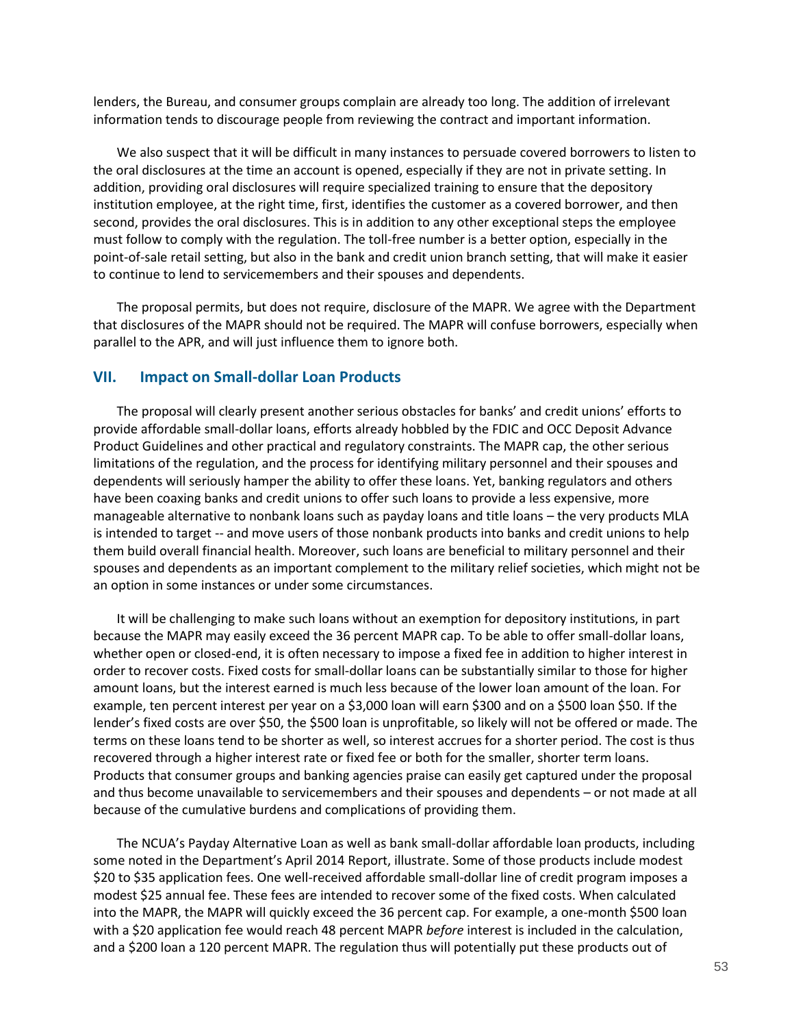lenders, the Bureau, and consumer groups complain are already too long. The addition of irrelevant information tends to discourage people from reviewing the contract and important information.

We also suspect that it will be difficult in many instances to persuade covered borrowers to listen to the oral disclosures at the time an account is opened, especially if they are not in private setting. In addition, providing oral disclosures will require specialized training to ensure that the depository institution employee, at the right time, first, identifies the customer as a covered borrower, and then second, provides the oral disclosures. This is in addition to any other exceptional steps the employee must follow to comply with the regulation. The toll-free number is a better option, especially in the point-of-sale retail setting, but also in the bank and credit union branch setting, that will make it easier to continue to lend to servicemembers and their spouses and dependents.

The proposal permits, but does not require, disclosure of the MAPR. We agree with the Department that disclosures of the MAPR should not be required. The MAPR will confuse borrowers, especially when parallel to the APR, and will just influence them to ignore both.

### <span id="page-52-0"></span>**VII. Impact on Small-dollar Loan Products**

The proposal will clearly present another serious obstacles for banks' and credit unions' efforts to provide affordable small-dollar loans, efforts already hobbled by the FDIC and OCC Deposit Advance Product Guidelines and other practical and regulatory constraints. The MAPR cap, the other serious limitations of the regulation, and the process for identifying military personnel and their spouses and dependents will seriously hamper the ability to offer these loans. Yet, banking regulators and others have been coaxing banks and credit unions to offer such loans to provide a less expensive, more manageable alternative to nonbank loans such as payday loans and title loans – the very products MLA is intended to target -- and move users of those nonbank products into banks and credit unions to help them build overall financial health. Moreover, such loans are beneficial to military personnel and their spouses and dependents as an important complement to the military relief societies, which might not be an option in some instances or under some circumstances.

It will be challenging to make such loans without an exemption for depository institutions, in part because the MAPR may easily exceed the 36 percent MAPR cap. To be able to offer small-dollar loans, whether open or closed-end, it is often necessary to impose a fixed fee in addition to higher interest in order to recover costs. Fixed costs for small-dollar loans can be substantially similar to those for higher amount loans, but the interest earned is much less because of the lower loan amount of the loan. For example, ten percent interest per year on a \$3,000 loan will earn \$300 and on a \$500 loan \$50. If the lender's fixed costs are over \$50, the \$500 loan is unprofitable, so likely will not be offered or made. The terms on these loans tend to be shorter as well, so interest accrues for a shorter period. The cost is thus recovered through a higher interest rate or fixed fee or both for the smaller, shorter term loans. Products that consumer groups and banking agencies praise can easily get captured under the proposal and thus become unavailable to servicemembers and their spouses and dependents – or not made at all because of the cumulative burdens and complications of providing them.

The NCUA's Payday Alternative Loan as well as bank small-dollar affordable loan products, including some noted in the Department's April 2014 Report, illustrate. Some of those products include modest \$20 to \$35 application fees. One well-received affordable small-dollar line of credit program imposes a modest \$25 annual fee. These fees are intended to recover some of the fixed costs. When calculated into the MAPR, the MAPR will quickly exceed the 36 percent cap. For example, a one-month \$500 loan with a \$20 application fee would reach 48 percent MAPR *before* interest is included in the calculation, and a \$200 loan a 120 percent MAPR. The regulation thus will potentially put these products out of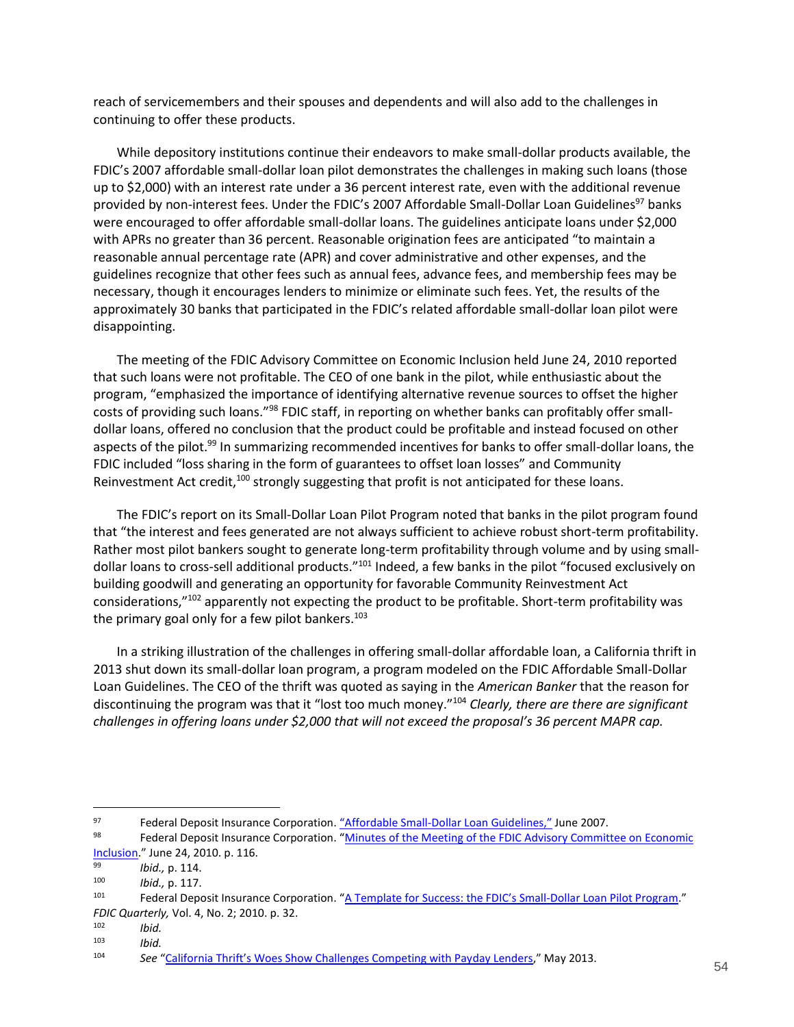reach of servicemembers and their spouses and dependents and will also add to the challenges in continuing to offer these products.

While depository institutions continue their endeavors to make small-dollar products available, the FDIC's 2007 affordable small-dollar loan pilot demonstrates the challenges in making such loans (those up to \$2,000) with an interest rate under a 36 percent interest rate, even with the additional revenue provided by non-interest fees. Under the FDIC's 2007 Affordable Small-Dollar Loan Guidelines<sup>97</sup> banks were encouraged to offer affordable small-dollar loans. The guidelines anticipate loans under \$2,000 with APRs no greater than 36 percent. Reasonable origination fees are anticipated "to maintain a reasonable annual percentage rate (APR) and cover administrative and other expenses, and the guidelines recognize that other fees such as annual fees, advance fees, and membership fees may be necessary, though it encourages lenders to minimize or eliminate such fees. Yet, the results of the approximately 30 banks that participated in the FDIC's related affordable small-dollar loan pilot were disappointing.

The meeting of the FDIC Advisory Committee on Economic Inclusion held June 24, 2010 reported that such loans were not profitable. The CEO of one bank in the pilot, while enthusiastic about the program, "emphasized the importance of identifying alternative revenue sources to offset the higher costs of providing such loans."<sup>98</sup> FDIC staff, in reporting on whether banks can profitably offer smalldollar loans, offered no conclusion that the product could be profitable and instead focused on other aspects of the pilot.<sup>99</sup> In summarizing recommended incentives for banks to offer small-dollar loans, the FDIC included "loss sharing in the form of guarantees to offset loan losses" and Community Reinvestment Act credit,<sup>100</sup> strongly suggesting that profit is not anticipated for these loans.

The FDIC's report on its Small-Dollar Loan Pilot Program noted that banks in the pilot program found that "the interest and fees generated are not always sufficient to achieve robust short-term profitability. Rather most pilot bankers sought to generate long-term profitability through volume and by using smalldollar loans to cross-sell additional products."<sup>101</sup> Indeed, a few banks in the pilot "focused exclusively on building goodwill and generating an opportunity for favorable Community Reinvestment Act considerations,"<sup>102</sup> apparently not expecting the product to be profitable. Short-term profitability was the primary goal only for a few pilot bankers.<sup>103</sup>

In a striking illustration of the challenges in offering small-dollar affordable loan, a California thrift in 2013 shut down its small-dollar loan program, a program modeled on the FDIC Affordable Small-Dollar Loan Guidelines. The CEO of the thrift was quoted as saying in the *American Banker* that the reason for discontinuing the program was that it "lost too much money."<sup>104</sup> *Clearly, there are there are significant challenges in offering loans under \$2,000 that will not exceed the proposal's 36 percent MAPR cap.*

<sup>97</sup> Federal Deposit Insurance Corporation. ["Affordable Small](https://www.fdic.gov/news/news/financial/2007/fil07050a.html)-Dollar Loan Guidelines," June 2007.

<sup>98</sup> Federal Deposit Insurance Corporation. "Minutes of the Meeting of the FDIC Advisory Committee on Economic [Inclusion](http://www.fdic.gov/about/comein/MinsJune2410.pdf)." June 24, 2010. p. 116.

<sup>99</sup> *Ibid.,* p. 114.

<sup>100</sup> *Ibid.,* p. 117.

Federal Deposit Insurance Corporation. ["A Template for Success: the FDIC's Small](http://www.fdic.gov/bank/analytical/quarterly/2010_vol4_2/FDIC_Quarterly_Vol4No2_SmallDollar.pdf)-Dollar Loan Pilot Program." *FDIC Quarterly,* Vol. 4, No. 2; 2010. p. 32.

<sup>102</sup> *Ibid.*

<sup>103</sup> *Ibid.*

<sup>104</sup> *See* ["California Thrift's Woes Show Challenges Competing with Pay](http://www.americanbanker.com/issues/178_90/california-thrift-s-woes-show-challenges-competing-with-payday-lenders-1058995-1.html)day Lenders," May 2013.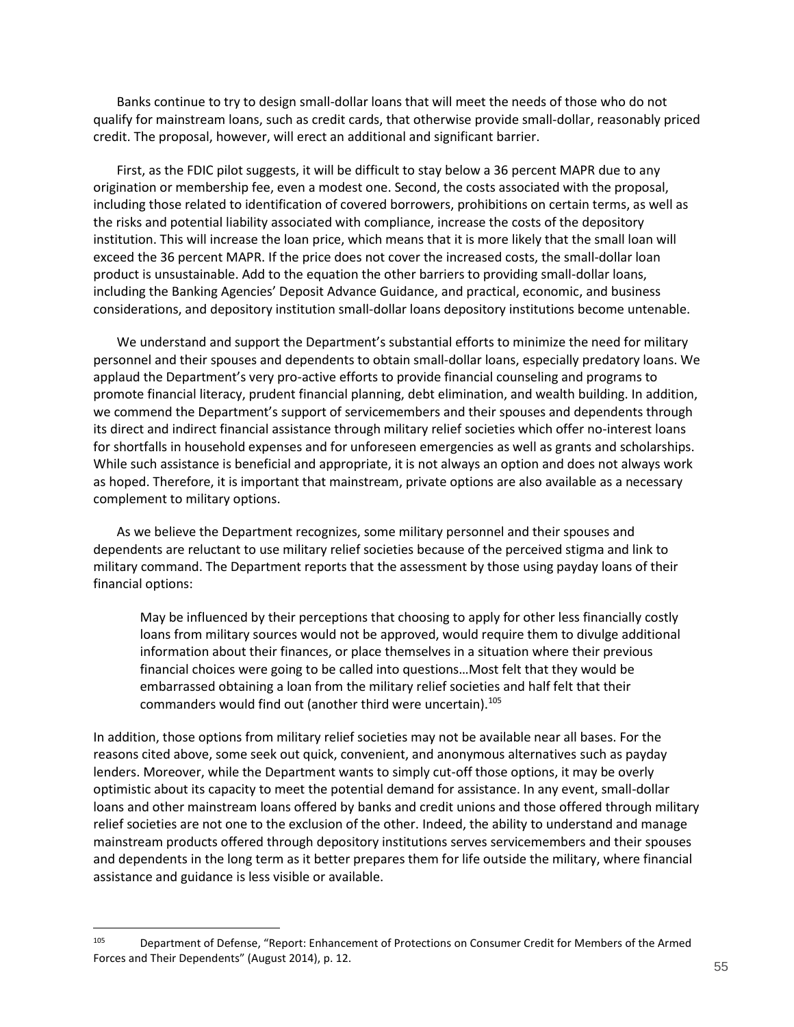Banks continue to try to design small-dollar loans that will meet the needs of those who do not qualify for mainstream loans, such as credit cards, that otherwise provide small-dollar, reasonably priced credit. The proposal, however, will erect an additional and significant barrier.

First, as the FDIC pilot suggests, it will be difficult to stay below a 36 percent MAPR due to any origination or membership fee, even a modest one. Second, the costs associated with the proposal, including those related to identification of covered borrowers, prohibitions on certain terms, as well as the risks and potential liability associated with compliance, increase the costs of the depository institution. This will increase the loan price, which means that it is more likely that the small loan will exceed the 36 percent MAPR. If the price does not cover the increased costs, the small-dollar loan product is unsustainable. Add to the equation the other barriers to providing small-dollar loans, including the Banking Agencies' Deposit Advance Guidance, and practical, economic, and business considerations, and depository institution small-dollar loans depository institutions become untenable.

We understand and support the Department's substantial efforts to minimize the need for military personnel and their spouses and dependents to obtain small-dollar loans, especially predatory loans. We applaud the Department's very pro-active efforts to provide financial counseling and programs to promote financial literacy, prudent financial planning, debt elimination, and wealth building. In addition, we commend the Department's support of servicemembers and their spouses and dependents through its direct and indirect financial assistance through military relief societies which offer no-interest loans for shortfalls in household expenses and for unforeseen emergencies as well as grants and scholarships. While such assistance is beneficial and appropriate, it is not always an option and does not always work as hoped. Therefore, it is important that mainstream, private options are also available as a necessary complement to military options.

As we believe the Department recognizes, some military personnel and their spouses and dependents are reluctant to use military relief societies because of the perceived stigma and link to military command. The Department reports that the assessment by those using payday loans of their financial options:

May be influenced by their perceptions that choosing to apply for other less financially costly loans from military sources would not be approved, would require them to divulge additional information about their finances, or place themselves in a situation where their previous financial choices were going to be called into questions…Most felt that they would be embarrassed obtaining a loan from the military relief societies and half felt that their commanders would find out (another third were uncertain).<sup>105</sup>

In addition, those options from military relief societies may not be available near all bases. For the reasons cited above, some seek out quick, convenient, and anonymous alternatives such as payday lenders. Moreover, while the Department wants to simply cut-off those options, it may be overly optimistic about its capacity to meet the potential demand for assistance. In any event, small-dollar loans and other mainstream loans offered by banks and credit unions and those offered through military relief societies are not one to the exclusion of the other. Indeed, the ability to understand and manage mainstream products offered through depository institutions serves servicemembers and their spouses and dependents in the long term as it better prepares them for life outside the military, where financial assistance and guidance is less visible or available.

<sup>105</sup> Department of Defense, "Report: Enhancement of Protections on Consumer Credit for Members of the Armed Forces and Their Dependents" (August 2014), p. 12.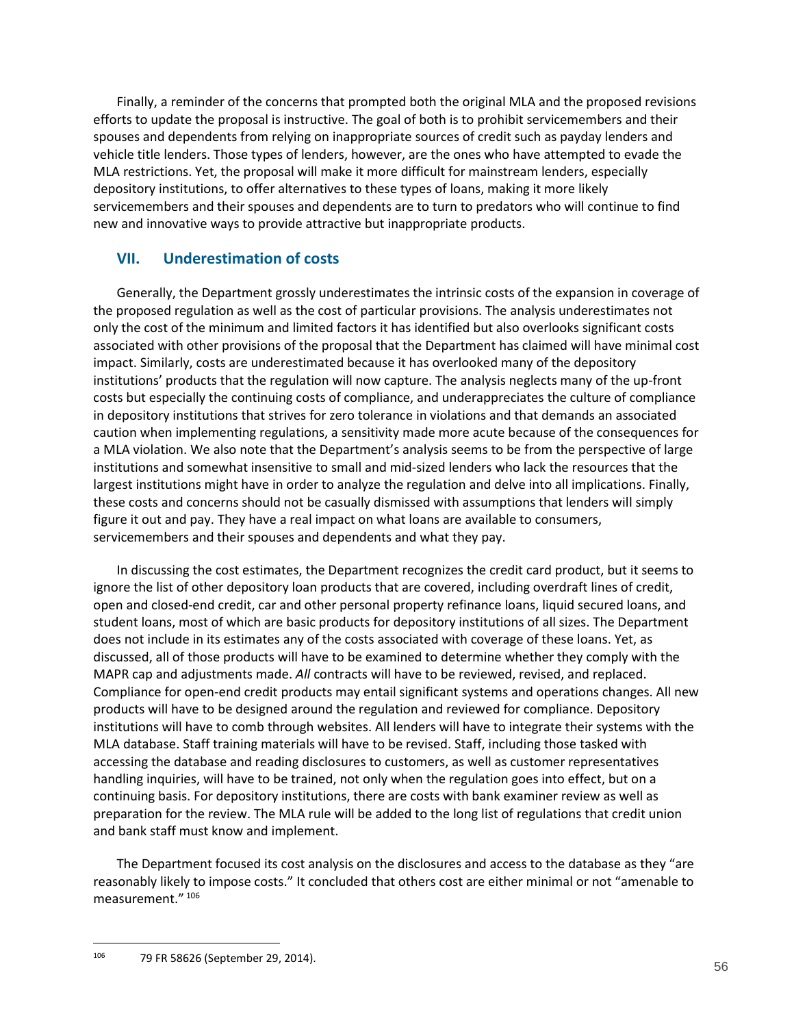Finally, a reminder of the concerns that prompted both the original MLA and the proposed revisions efforts to update the proposal is instructive. The goal of both is to prohibit servicemembers and their spouses and dependents from relying on inappropriate sources of credit such as payday lenders and vehicle title lenders. Those types of lenders, however, are the ones who have attempted to evade the MLA restrictions. Yet, the proposal will make it more difficult for mainstream lenders, especially depository institutions, to offer alternatives to these types of loans, making it more likely servicemembers and their spouses and dependents are to turn to predators who will continue to find new and innovative ways to provide attractive but inappropriate products.

## **VII. Underestimation of costs**

Generally, the Department grossly underestimates the intrinsic costs of the expansion in coverage of the proposed regulation as well as the cost of particular provisions. The analysis underestimates not only the cost of the minimum and limited factors it has identified but also overlooks significant costs associated with other provisions of the proposal that the Department has claimed will have minimal cost impact. Similarly, costs are underestimated because it has overlooked many of the depository institutions' products that the regulation will now capture. The analysis neglects many of the up-front costs but especially the continuing costs of compliance, and underappreciates the culture of compliance in depository institutions that strives for zero tolerance in violations and that demands an associated caution when implementing regulations, a sensitivity made more acute because of the consequences for a MLA violation. We also note that the Department's analysis seems to be from the perspective of large institutions and somewhat insensitive to small and mid-sized lenders who lack the resources that the largest institutions might have in order to analyze the regulation and delve into all implications. Finally, these costs and concerns should not be casually dismissed with assumptions that lenders will simply figure it out and pay. They have a real impact on what loans are available to consumers, servicemembers and their spouses and dependents and what they pay.

In discussing the cost estimates, the Department recognizes the credit card product, but it seems to ignore the list of other depository loan products that are covered, including overdraft lines of credit, open and closed-end credit, car and other personal property refinance loans, liquid secured loans, and student loans, most of which are basic products for depository institutions of all sizes. The Department does not include in its estimates any of the costs associated with coverage of these loans. Yet, as discussed, all of those products will have to be examined to determine whether they comply with the MAPR cap and adjustments made. *All* contracts will have to be reviewed, revised, and replaced. Compliance for open-end credit products may entail significant systems and operations changes. All new products will have to be designed around the regulation and reviewed for compliance. Depository institutions will have to comb through websites. All lenders will have to integrate their systems with the MLA database. Staff training materials will have to be revised. Staff, including those tasked with accessing the database and reading disclosures to customers, as well as customer representatives handling inquiries, will have to be trained, not only when the regulation goes into effect, but on a continuing basis. For depository institutions, there are costs with bank examiner review as well as preparation for the review. The MLA rule will be added to the long list of regulations that credit union and bank staff must know and implement.

The Department focused its cost analysis on the disclosures and access to the database as they "are reasonably likely to impose costs." It concluded that others cost are either minimal or not "amenable to measurement." <sup>106</sup>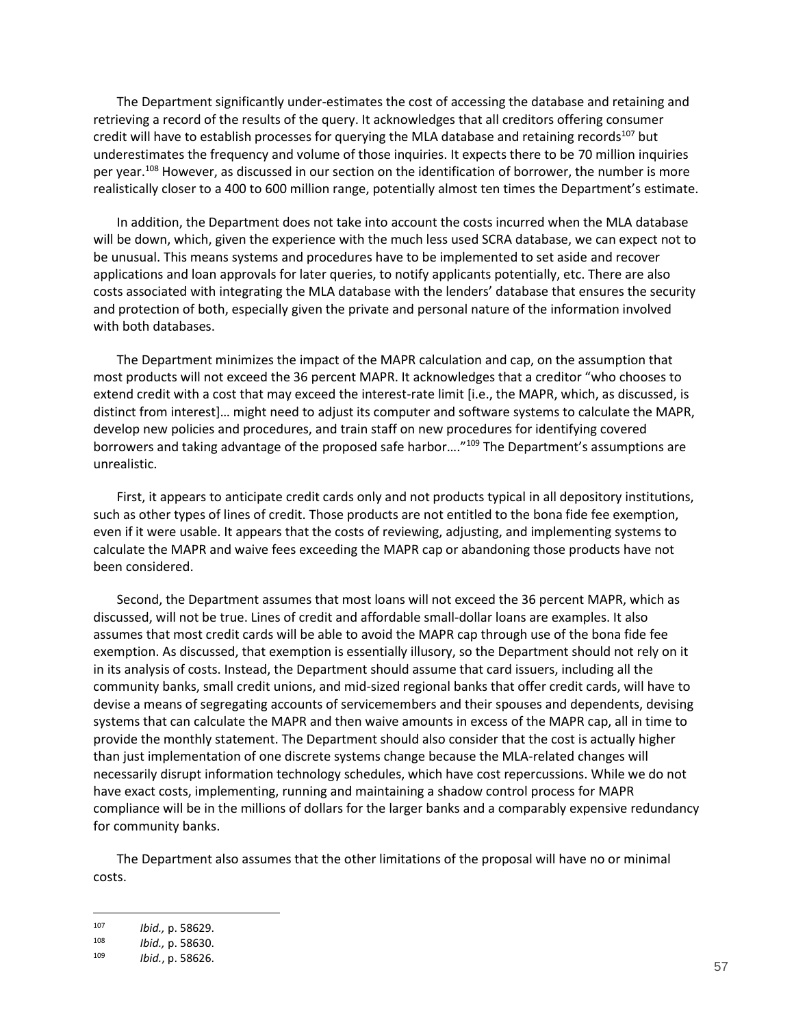The Department significantly under-estimates the cost of accessing the database and retaining and retrieving a record of the results of the query. It acknowledges that all creditors offering consumer credit will have to establish processes for querying the MLA database and retaining records<sup>107</sup> but underestimates the frequency and volume of those inquiries. It expects there to be 70 million inquiries per year.<sup>108</sup> However, as discussed in our section on the identification of borrower, the number is more realistically closer to a 400 to 600 million range, potentially almost ten times the Department's estimate.

In addition, the Department does not take into account the costs incurred when the MLA database will be down, which, given the experience with the much less used SCRA database, we can expect not to be unusual. This means systems and procedures have to be implemented to set aside and recover applications and loan approvals for later queries, to notify applicants potentially, etc. There are also costs associated with integrating the MLA database with the lenders' database that ensures the security and protection of both, especially given the private and personal nature of the information involved with both databases.

The Department minimizes the impact of the MAPR calculation and cap, on the assumption that most products will not exceed the 36 percent MAPR. It acknowledges that a creditor "who chooses to extend credit with a cost that may exceed the interest-rate limit [i.e., the MAPR, which, as discussed, is distinct from interest]… might need to adjust its computer and software systems to calculate the MAPR, develop new policies and procedures, and train staff on new procedures for identifying covered borrowers and taking advantage of the proposed safe harbor...."<sup>109</sup> The Department's assumptions are unrealistic.

First, it appears to anticipate credit cards only and not products typical in all depository institutions, such as other types of lines of credit. Those products are not entitled to the bona fide fee exemption, even if it were usable. It appears that the costs of reviewing, adjusting, and implementing systems to calculate the MAPR and waive fees exceeding the MAPR cap or abandoning those products have not been considered.

Second, the Department assumes that most loans will not exceed the 36 percent MAPR, which as discussed, will not be true. Lines of credit and affordable small-dollar loans are examples. It also assumes that most credit cards will be able to avoid the MAPR cap through use of the bona fide fee exemption. As discussed, that exemption is essentially illusory, so the Department should not rely on it in its analysis of costs. Instead, the Department should assume that card issuers, including all the community banks, small credit unions, and mid-sized regional banks that offer credit cards, will have to devise a means of segregating accounts of servicemembers and their spouses and dependents, devising systems that can calculate the MAPR and then waive amounts in excess of the MAPR cap, all in time to provide the monthly statement. The Department should also consider that the cost is actually higher than just implementation of one discrete systems change because the MLA-related changes will necessarily disrupt information technology schedules, which have cost repercussions. While we do not have exact costs, implementing, running and maintaining a shadow control process for MAPR compliance will be in the millions of dollars for the larger banks and a comparably expensive redundancy for community banks.

The Department also assumes that the other limitations of the proposal will have no or minimal costs.

<sup>107</sup> *Ibid.,* p. 58629.

<sup>108</sup> *Ibid.,* p. 58630.

<sup>109</sup> *Ibid.*, p. 58626.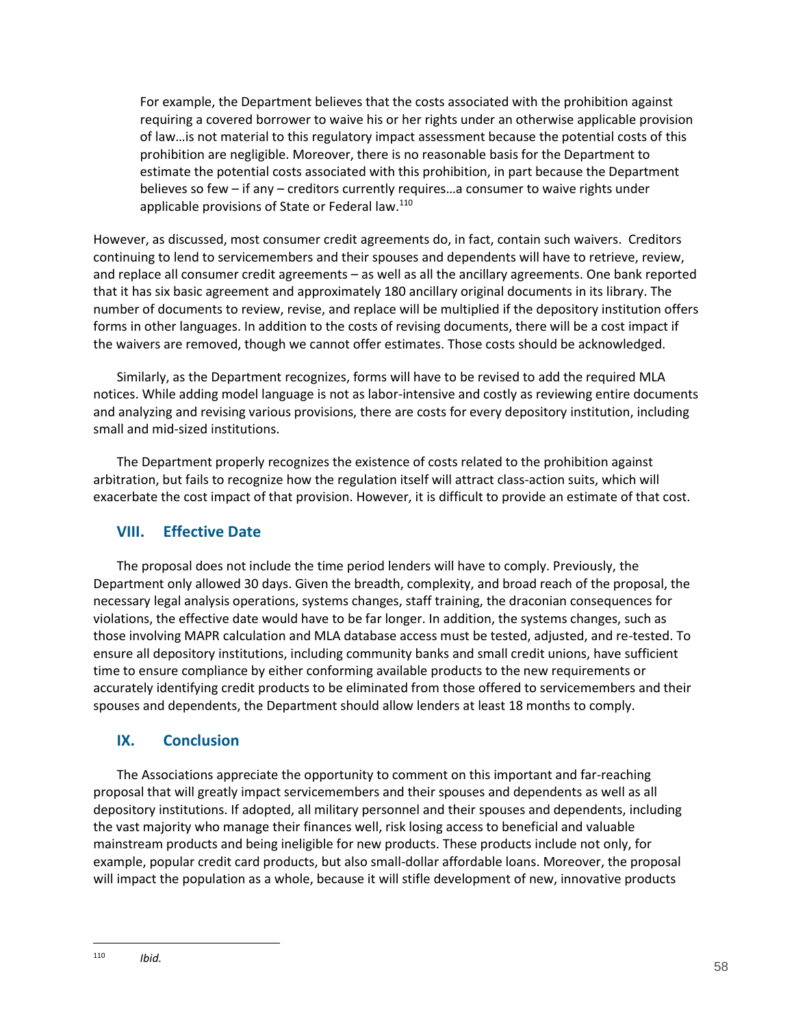For example, the Department believes that the costs associated with the prohibition against requiring a covered borrower to waive his or her rights under an otherwise applicable provision of law…is not material to this regulatory impact assessment because the potential costs of this prohibition are negligible. Moreover, there is no reasonable basis for the Department to estimate the potential costs associated with this prohibition, in part because the Department believes so few – if any – creditors currently requires…a consumer to waive rights under applicable provisions of State or Federal law.<sup>110</sup>

However, as discussed, most consumer credit agreements do, in fact, contain such waivers. Creditors continuing to lend to servicemembers and their spouses and dependents will have to retrieve, review, and replace all consumer credit agreements – as well as all the ancillary agreements. One bank reported that it has six basic agreement and approximately 180 ancillary original documents in its library. The number of documents to review, revise, and replace will be multiplied if the depository institution offers forms in other languages. In addition to the costs of revising documents, there will be a cost impact if the waivers are removed, though we cannot offer estimates. Those costs should be acknowledged.

Similarly, as the Department recognizes, forms will have to be revised to add the required MLA notices. While adding model language is not as labor-intensive and costly as reviewing entire documents and analyzing and revising various provisions, there are costs for every depository institution, including small and mid-sized institutions.

The Department properly recognizes the existence of costs related to the prohibition against arbitration, but fails to recognize how the regulation itself will attract class-action suits, which will exacerbate the cost impact of that provision. However, it is difficult to provide an estimate of that cost.

## <span id="page-57-0"></span>**VIII. Effective Date**

The proposal does not include the time period lenders will have to comply. Previously, the Department only allowed 30 days. Given the breadth, complexity, and broad reach of the proposal, the necessary legal analysis operations, systems changes, staff training, the draconian consequences for violations, the effective date would have to be far longer. In addition, the systems changes, such as those involving MAPR calculation and MLA database access must be tested, adjusted, and re-tested. To ensure all depository institutions, including community banks and small credit unions, have sufficient time to ensure compliance by either conforming available products to the new requirements or accurately identifying credit products to be eliminated from those offered to servicemembers and their spouses and dependents, the Department should allow lenders at least 18 months to comply.

## <span id="page-57-1"></span>**IX. Conclusion**

The Associations appreciate the opportunity to comment on this important and far-reaching proposal that will greatly impact servicemembers and their spouses and dependents as well as all depository institutions. If adopted, all military personnel and their spouses and dependents, including the vast majority who manage their finances well, risk losing access to beneficial and valuable mainstream products and being ineligible for new products. These products include not only, for example, popular credit card products, but also small-dollar affordable loans. Moreover, the proposal will impact the population as a whole, because it will stifle development of new, innovative products